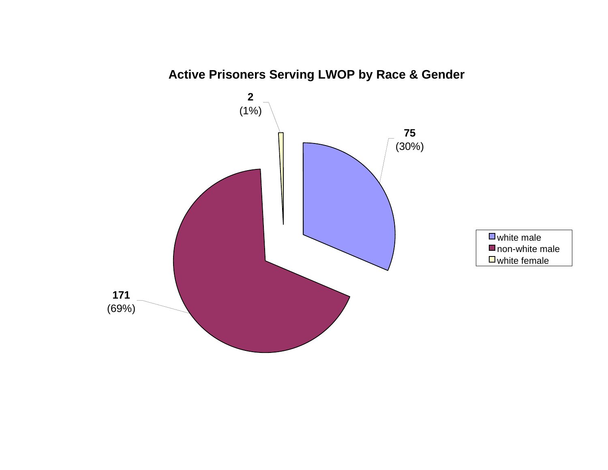

# **Active Prisoners Serving LWOP by Race & Gender**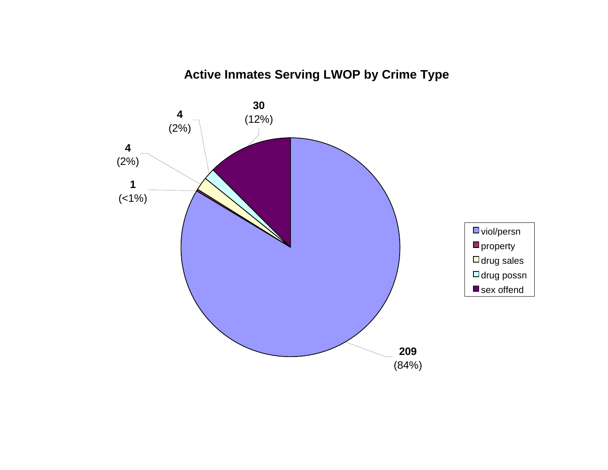# **Active Inmates Serving LWOP by Crime Type**

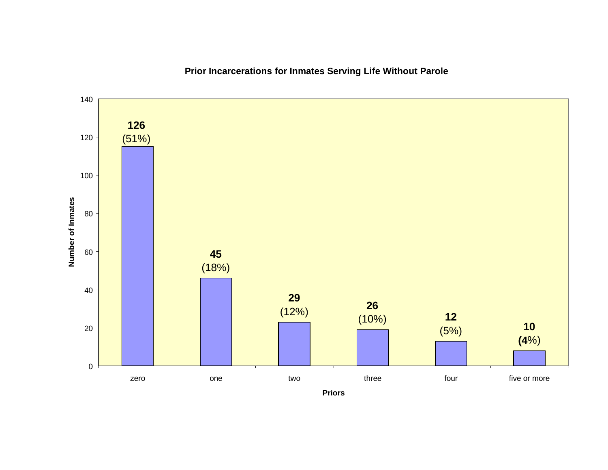

# **Prior Incarcerations for Inmates Serving Life Without Parole**

**Priors**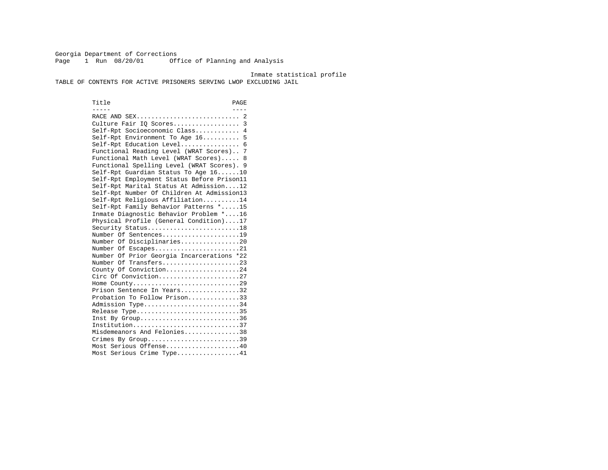Georgia Department of Corrections Page 1 Run 08/20/01 Office of Planning and Analysis

Inmate statistical profile

TABLE OF CONTENTS FOR ACTIVE PRISONERS SERVING LWOP EXCLUDING JAIL

Title PAGE ----- ---- RACE AND SEX............................ 2 Culture Fair IQ Scores.................. 3 Self-Rpt Socioeconomic Class............ 4 Self-Rpt Environment To Age 16.......... 5 Self-Rpt Education Level................ 6 Functional Reading Level (WRAT Scores).. 7 Functional Math Level (WRAT Scores)..... 8 Functional Spelling Level (WRAT Scores). 9 Self-Rpt Guardian Status To Age 16......10 Self-Rpt Employment Status Before Prison11 Self-Rpt Marital Status At Admission....12 Self-Rpt Number Of Children At Admission13 Self-Rpt Religious Affiliation..........14 Self-Rpt Family Behavior Patterns \*.....15 Inmate Diagnostic Behavior Problem \*....16 Physical Profile (General Condition)....17 Security Status...........................18 Number Of Sentences.....................19 Number Of Disciplinaries................20 Number Of Escapes........................21 Number Of Prior Georgia Incarcerations \*22 Number Of Transfers.....................23 County Of Conviction....................24 Circ Of Conviction......................27 Home County.............................29 Prison Sentence In Years.................32 Probation To Follow Prison..............33Admission Type............................34 Release Type..............................35 Inst By Group..............................36 Institution.............................37 Misdemeanors And Felonies...............38 Crimes By Group.............................39 Most Serious Offense....................40 Most Serious Crime Type.................41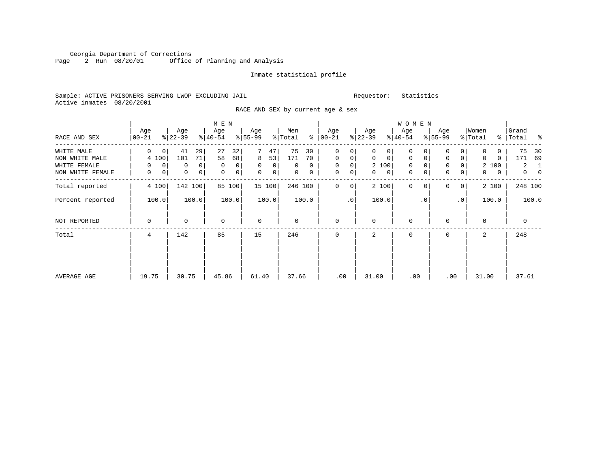Georgia Department of Corrections Page 2 Run 08/20/01 Office of Planning and Analysis

#### Inmate statistical profile

Sample: ACTIVE PRISONERS SERVING LWOP EXCLUDING JAIL Requestor: Statistics Active inmates 08/20/2001

RACE AND SEX by current age & sex

|                  |                  |                  | M E N            |                            |                |                      |                            | <b>WOMEN</b>               |                               |                   |                            |
|------------------|------------------|------------------|------------------|----------------------------|----------------|----------------------|----------------------------|----------------------------|-------------------------------|-------------------|----------------------------|
| RACE AND SEX     | Age<br>$ 00-21 $ | Age<br>$ 22-39 $ | Age<br>$ 40-54 $ | Age<br>$8 55-99$           | Men<br>% Total | Age<br>$8   00 - 21$ | Age<br>$ 22-39 $           | Age<br>$ 40-54 $           | Age<br>$8 55-99$              | Women<br>% Total  | Grand<br>%   Total %       |
| WHITE MALE       | 0<br>$\mathbf 0$ | 29<br>41         | 27<br>32         | 47                         | 75<br>30       | $\mathbf 0$<br>0     | $\Omega$<br>0              | 0                          | 0                             | 0<br>0            | 75<br>30                   |
| NON WHITE MALE   | 4 100            | 71<br>101        | 58<br>68         | 8<br>53                    | 171<br>70      | $\mathbf 0$<br>0     | $\mathbf 0$<br>$\mathbf 0$ | $\mathbf 0$<br>$\mathbf 0$ | $\mathbf 0$<br>$\overline{0}$ | $\Omega$<br>0     | 171<br>69                  |
| WHITE FEMALE     | $\mathbf 0$<br>0 | 0<br>0           | $\mathbf 0$<br>0 | $\Omega$<br>$\overline{0}$ | 0<br>0         | 0<br>$\mathbf 0$     | 2 100                      | 0                          | $\mathbf 0$                   | 2 100             | 2<br>1                     |
| NON WHITE FEMALE | 0<br>0           | 0<br>$\mathbf 0$ | 0<br>0           | 0<br> 0                    | 0<br>0         | 0<br>0               | $\mathbf{0}$<br>0          | 0                          | $\mathbf 0$<br>$\overline{0}$ | $\mathbf{0}$<br>0 | $\overline{0}$<br>$\Omega$ |
| Total reported   | 4 100            | 142 100          | 85 100           | 15 100                     | 246 100        | $\Omega$<br>$\Omega$ | 2 100                      | $\Omega$<br>$\Omega$       | $\Omega$<br>0 <sup>1</sup>    | 2 100             | 248 100                    |
| Percent reported | 100.0            | 100.0            | 100.0            | 100.0                      | 100.0          | $\cdot$ 0            | 100.0                      | $\cdot$ 0                  | $\cdot$ 0                     | 100.0             | 100.0                      |
| NOT REPORTED     | 0                | $\Omega$         | $\Omega$         | $\mathbf 0$                | $\Omega$       | $\mathbf 0$          | $\Omega$                   | $\Omega$                   | $\Omega$                      | $\Omega$          | $\mathbf 0$                |
| Total            | 4                | 142              | 85               | 15                         | 246            | 0                    | 2                          | 0                          | $\Omega$                      | 2                 | 248                        |
|                  |                  |                  |                  |                            |                |                      |                            |                            |                               |                   |                            |
|                  |                  |                  |                  |                            |                |                      |                            |                            |                               |                   |                            |
| AVERAGE AGE      | 19.75            | 30.75            | 45.86            | 61.40                      | 37.66          | .00                  | 31.00                      | .00                        | .00                           | 31.00             | 37.61                      |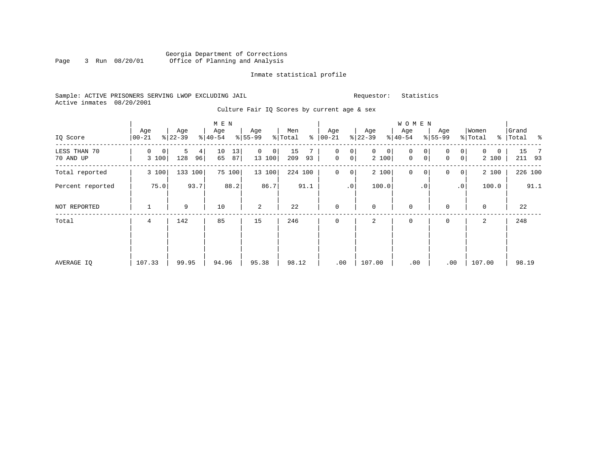#### Georgia Department of Corrections Page 3 Run 08/20/01 Office of Planning and Analysis

# Inmate statistical profile

|  |                           |  | Sample: ACTIVE PRISONERS SERVING LWOP EXCLUDING JAIL |  |
|--|---------------------------|--|------------------------------------------------------|--|
|  | Active inmates 08/20/2001 |  |                                                      |  |

Requestor: Statistics

|  |  |  |  |  |  | Culture Fair IO Scores by current age & sex |  |  |  |
|--|--|--|--|--|--|---------------------------------------------|--|--|--|
|--|--|--|--|--|--|---------------------------------------------|--|--|--|

| IQ Score                  | Age<br>$00 - 21$ | Age<br>$ 22-39 $    | M E N<br>Age<br>$ 40-54 $ | Age<br>$8 55-99$        | Men<br>ႜ<br>% Total | Age<br>$ 00-21 $            | Age<br>$ 22-39 $ | W O M E N<br>Age<br>$ 40-54 $ | Age<br>$8 55-99$                         | Women<br>% Total | Grand<br>% Total % |
|---------------------------|------------------|---------------------|---------------------------|-------------------------|---------------------|-----------------------------|------------------|-------------------------------|------------------------------------------|------------------|--------------------|
| LESS THAN 70<br>70 AND UP | 0<br>0<br>3 100  | 5<br>4<br>128<br>96 | 13<br>10<br>65<br>87      | $\Omega$<br>0<br>13 100 | 15<br>209<br>93     | 0<br>0<br>$\mathbf 0$<br> 0 | 0<br>0<br>2 100  | 0<br>0<br>0<br>$\mathbf 0$    | $\overline{0}$<br>0<br>$\mathbf 0$<br> 0 | 0<br>0<br>2 100  | 15<br>211 93       |
| Total reported            | 3 100            | 133 100             | 75 100                    | 13 100                  | 224 100             | 0<br>$\overline{0}$         | 2 100            | $\mathsf{O}$<br>0             | 0<br>$\overline{0}$                      | 2 100            | 226 100            |
| Percent reported          | 75.0             | 93.7                | 88.2                      | 86.7                    | 91.1                | .0                          | 100.0            | $\cdot$ 0                     | .0 <sup>1</sup>                          | 100.0            | 91.1               |
| NOT REPORTED              | 1                | 9                   | 10                        | 2                       | 22                  | $\mathbf 0$                 | 0                | $\mathbf 0$                   | 0                                        | $\mathbf 0$      | 22                 |
| Total                     | 4                | 142                 | 85                        | 15                      | 246                 | $\mathbf{0}$                | 2                | 0                             | 0                                        | 2                | 248                |
| AVERAGE IQ                | 107.33           | 99.95               | 94.96                     | 95.38                   | 98.12               | .00                         | 107.00           | .00                           | .00                                      | 107.00           | 98.19              |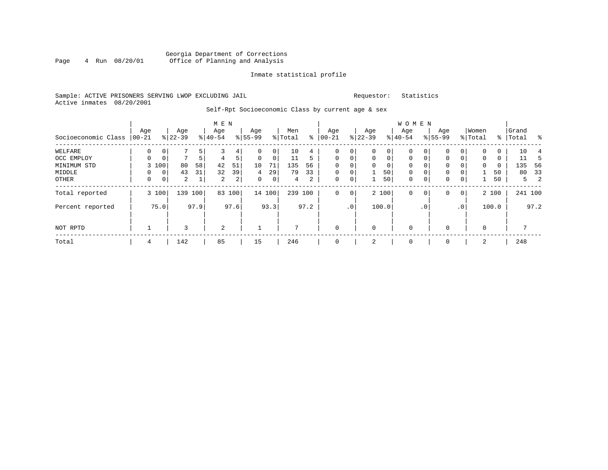### Georgia Department of Corrections<br>4 Run 08/20/01 Office of Planning and Analysis Page 4 Run 08/20/01 Office of Planning and Analysis

#### Inmate statistical profile

#### Sample: ACTIVE PRISONERS SERVING LWOP EXCLUDING JAIL Requestor: Statistics Active inmates 08/20/2001

# Self-Rpt Socioeconomic Class by current age & sex

|                     |                 |                |                  |         | M E N            |                |                  |             |                |      |                  |                 |                  |             | W O M E N        |             |                    |                 |                  |       |                    |         |
|---------------------|-----------------|----------------|------------------|---------|------------------|----------------|------------------|-------------|----------------|------|------------------|-----------------|------------------|-------------|------------------|-------------|--------------------|-----------------|------------------|-------|--------------------|---------|
| Socioeconomic Class | Age<br>$ 00-21$ |                | Age<br>$ 22-39 $ |         | Age<br>$8 40-54$ |                | Age<br>$8 55-99$ |             | Men<br>% Total | နွ   | Age<br>$00 - 21$ |                 | Age<br>$ 22-39 $ |             | Age<br>$8 40-54$ |             | Age<br>$8155 - 99$ |                 | Women<br>% Total |       | Grand<br>%   Total | ႜ       |
| WELFARE             | 0               | 0              |                  | 5       |                  | 4              | 0                | 0           | 10             | 4    | 0                | 0               | 0                | 0           | 0                | 0           | 0                  | 0               |                  | 0     | 10                 |         |
| OCC EMPLOY          | 0               | 0 <sub>1</sub> | 7                | 5       | 4                | 5              | $\mathbf 0$      | 0           | 11             | 5    | $\mathbf 0$      | 0               | 0                | $\mathbf 0$ | $\mathbf 0$      | $\mathbf 0$ | $\Omega$           | $\Omega$        | $\mathbf{0}$     | 0     | 11                 |         |
| MINIMUM STD         |                 | 3 100          | 80               | 58      | 42               | 51             | 10               | 71          | 135            | 56   | $\Omega$         |                 | $\Omega$         | 0           | $\Omega$         | $\Omega$    | 0                  |                 | $\Omega$         | 0     | 135                | - 56    |
| MIDDLE              | 0               | 0 <sup>1</sup> | 43               | 31      | 32               | 39             | 4                | 29          | 79             | 33   | $\mathbf 0$      | 0               |                  | 50          | $\mathbf 0$      | 0           | 0                  |                 |                  | 50    | 80                 | 33      |
| OTHER               | $\mathbf 0$     | 0 <sup>1</sup> | $\overline{a}$   |         | 2                | 2 <sub>1</sub> | $\mathbf 0$      | $\mathbf 0$ | $\overline{4}$ | 2    | 0                | 0               | 1                | 50          | 0                | $\mathbf 0$ | $\mathbf 0$        | 0               |                  | 50    |                    | -2<br>5 |
| Total reported      |                 | 3 100          |                  | 139 100 | 83               | 100            |                  | 14 100      | 239 100        |      | $\mathbf{0}$     | 0               |                  | 2 100       | $\mathbf 0$      | 0           | 0                  | 0 <sup>1</sup>  |                  | 2 100 |                    | 241 100 |
| Percent reported    |                 | 75.0           |                  | 97.9    |                  | 97.6           |                  | 93.3        |                | 97.2 |                  | .0 <sup>1</sup> |                  | 100.0       |                  | $\cdot$ 0   |                    | .0 <sup>1</sup> |                  | 100.0 |                    | 97.2    |
| NOT RPTD            |                 |                | ς                |         | 2                |                |                  |             | 7              |      | $\mathbf{0}$     |                 | $\mathbf 0$      |             | $\mathbf 0$      |             |                    |                 | $\Omega$         |       |                    |         |
| Total               | 4               |                | 142              |         | 85               |                | 15               |             | 246            |      | $\mathbf{0}$     |                 | 2                |             | 0                |             | 0                  |                 | 2                |       | 248                |         |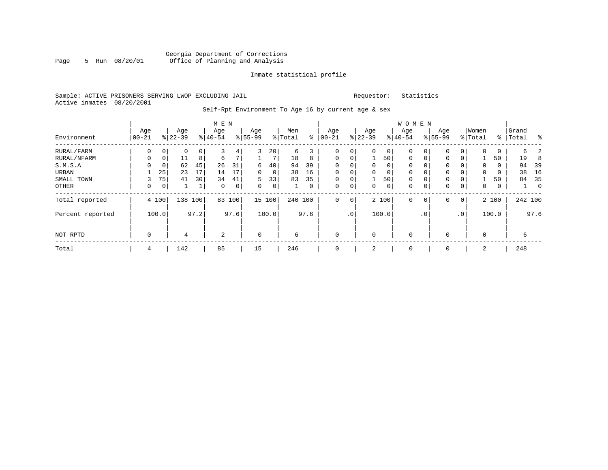#### Sample: ACTIVE PRISONERS SERVING LWOP EXCLUDING JAIL Requestor: Statistics Active inmates 08/20/2001

# Self-Rpt Environment To Age 16 by current age & sex

|                  |                  |       |                  |      | M E N            |             |                  |       |                |             |                   |          |                 |             | <b>WOMEN</b>     |             |                    |                |                  |       |                    |                |
|------------------|------------------|-------|------------------|------|------------------|-------------|------------------|-------|----------------|-------------|-------------------|----------|-----------------|-------------|------------------|-------------|--------------------|----------------|------------------|-------|--------------------|----------------|
| Environment      | Age<br>$00 - 21$ |       | Age<br>$8 22-39$ |      | Age<br>$8 40-54$ |             | Age<br>$8 55-99$ |       | Men<br>% Total | နွ          | Age<br>$ 00 - 21$ |          | Age<br>$ 22-39$ |             | Age<br>$8 40-54$ |             | Age<br>$8155 - 99$ |                | Women<br>% Total |       | Grand<br>%   Total | ႜ              |
| RURAL/FARM       | 0                | 0     | 0                | 0    | 3                | 4           | 3                | 20    | 6              | 3           | 0                 | 0        | $\mathbf 0$     | 0           | 0                | 0           | $\Omega$           | 0              | $\mathbf 0$      | 0     | б.                 | 2              |
| RURAL/NFARM      | 0                | 0     | 11               | 8    | 6                | 7           |                  |       | 18             | 8           | $\mathbf 0$       | 0        |                 | 50          | $\mathbf 0$      | $\mathbf 0$ | 0                  | 0              |                  | 50    | 19                 | 8              |
| S.M.S.A          | $\Omega$         | 0     | 62               | 45   | 26               | 31          | 6                | 40    | 94             | 39          | $\mathbf 0$       | $\Omega$ | $\Omega$        | 0           | 0                | $\Omega$    | $\Omega$           |                | $\Omega$         | 0     | 94                 | 39             |
| URBAN            |                  | 25    | 23               | 17   | 14               | 17          | $\Omega$         | 0     | 38             | 16          | $\mathbf 0$       | 0        | $\mathbf 0$     | $\mathbf 0$ | $\mathbf 0$      | $\mathbf 0$ | $\mathbf 0$        |                | 0                | 0     | 38                 | 16             |
| SMALL TOWN       | 3                | 75    | 41               | 30   | 34               | 41          | 5                | 33    | 83             | 35          | $\mathbf 0$       | 0        |                 | 50          | $\mathbf 0$      | $\Omega$    | $\mathbf 0$        | $\Omega$       |                  | 50    | 84                 | 35             |
| OTHER            | 0                | 0     |                  | 1    | $\mathbf 0$      | $\mathbf 0$ | $\Omega$         | 0     |                | $\mathbf 0$ | 0                 | 0        | $\mathbf 0$     | $\mathbf 0$ | $\mathbf 0$      | 0           | $\Omega$           | 0              | 0                | 0     |                    | $\overline{0}$ |
| Total reported   |                  | 4 100 | 138              | 100  | 83               | 100         | 15 100           |       | 240 100        |             | $\mathbf 0$       | 0        |                 | 2 100       | $\mathbf 0$      | 0           | $\Omega$           | $\overline{0}$ |                  | 2 100 |                    | 242 100        |
| Percent reported |                  | 100.0 |                  | 97.2 |                  | 97.6        |                  | 100.0 |                | 97.6        |                   | .0'      |                 | 100.0       |                  | . 0         |                    | .0'            |                  | 100.0 |                    | 97.6           |
| NOT RPTD         | $\mathbf 0$      |       | 4                |      | 2                |             | $\mathbf 0$      |       | 6              |             | $\mathbf 0$       |          | $\mathbf 0$     |             | $\mathbf 0$      |             | $\Omega$           |                | $\Omega$         |       | б                  |                |
| Total            | 4                |       | 142              |      | 85               |             | 15               |       | 246            |             | 0                 |          | 2               |             | 0                |             | 0                  |                | 2                |       | 248                |                |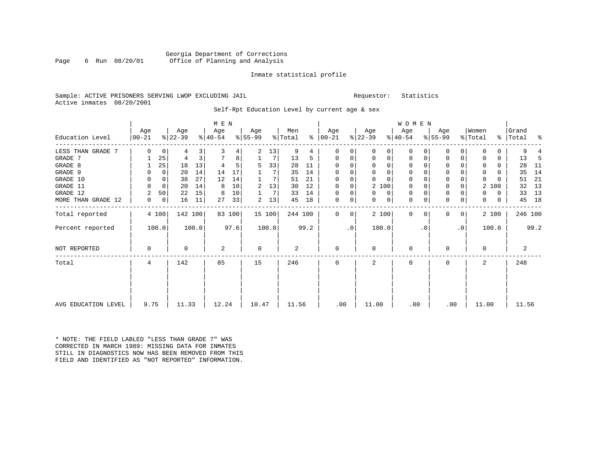|  |                           |  | Sample: ACTIVE PRISONERS SERVING LWOP EXCLUDING JAIL |  |
|--|---------------------------|--|------------------------------------------------------|--|
|  | Active inmates 08/20/2001 |  |                                                      |  |

L<br>
Sample: ACTIVE PREQUESTOR: Statistics

Self-Rpt Education Level by current age & sex

|                     |          |          |           |                         | M E N     |        |           |        |                |      |               |             |              |          | W O M E N |           |           |              |              |       |           |      |
|---------------------|----------|----------|-----------|-------------------------|-----------|--------|-----------|--------|----------------|------|---------------|-------------|--------------|----------|-----------|-----------|-----------|--------------|--------------|-------|-----------|------|
|                     | Age      |          | Age       |                         | Age       |        | Age       |        | Men            |      | Age           |             | Age          |          | Age       |           | Age       |              | Women        |       | Grand     |      |
| Education Level     | $ 00-21$ |          | $ 22-39 $ |                         | $ 40-54 $ |        | $8 55-99$ |        | % Total        |      | $8   00 - 21$ |             | $ 22-39 $    |          | $ 40-54 $ |           | $8 55-99$ |              | % Total      |       | %   Total | နွ   |
| LESS THAN GRADE 7   | $\Omega$ | 0        | 4         | $\overline{\mathbf{3}}$ | 3         | 4      | 2         | 13     | 9              | 4    | 0             | 0           | $\Omega$     | 0        | 0         | $\Omega$  | $\Omega$  | $\Omega$     | <sup>0</sup> | 0     | 9         |      |
| GRADE 7             |          | 25       | 4         | 3 <sup>1</sup>          | 7         | 8      |           | 7      | 13             | 5    | 0             | 0           | 0            | 0        | 0         | 0         | 0         | 0            | 0            | 0     | 13        | -5   |
| GRADE 8             |          | 25       | 18        | 13                      |           |        | 5         | 33     | 28             | 11   | $\Omega$      | 0           | 0            | 0        | 0         | $\Omega$  | $\Omega$  |              | 0            | 0     | 28        | - 11 |
| GRADE 9             | 0        | $\Omega$ | 20        | 14                      | 14        | 17     |           | 7      | 35             | 14   | $\Omega$      |             | $\Omega$     | 0        | 0         |           | 0         |              | $\Omega$     | 0     | 35        | 14   |
| GRADE 10            | $\Omega$ | 0        | 38        | 27                      | 12        | 14     |           | 7      | 51             | 21   | $\Omega$      | $\mathbf 0$ | $\Omega$     | $\Omega$ | 0         | $\Omega$  | 0         |              | $\Omega$     | 0     | 51        | 21   |
| GRADE 11            | 0        | $\Omega$ | 20        | 14                      | 8         | 10     | 2         | 13     | 30             | 12   | $\Omega$      | 0           | 2 100        |          | 0         | O         | 0         |              |              | 2 100 | 32        | 13   |
| GRADE 12            | 2        | 50       | 22        | 15                      | 8         | 10     |           | 7      | 33             | 14   | $\Omega$      | 0           | 0            | 0        | 0         | 0         | 0         |              | $\Omega$     | 0     | 33        | 13   |
| MORE THAN GRADE 12  | 0        | 0        | 16        | 11                      | 27        | 33     | 2         | 13     | 45             | 18   | $\mathbf 0$   | 0           | 0            | 0        | 0         | 0         | 0         | 0            | 0            | 0     | 45        | 18   |
| Total reported      |          | 4 100    | 142 100   |                         |           | 83 100 |           | 15 100 | 244 100        |      | $\Omega$      | 0           |              | 2 100    | 0         | $\Omega$  | $\Omega$  | $\mathbf{0}$ |              | 2 100 | 246 100   |      |
| Percent reported    |          | 100.0    |           | 100.0                   |           | 97.6   |           | 100.0  |                | 99.2 |               | .0          | 100.0        |          |           | $\cdot$ 0 |           | $\cdot$ 0    |              | 100.0 |           | 99.2 |
| NOT REPORTED        | $\Omega$ |          | U         |                         | 2         |        | 0         |        | $\overline{a}$ |      | 0             |             | 0            |          | 0         |           | $\Omega$  |              | $\Omega$     |       | 2         |      |
| Total               | 4        |          | 142       |                         | 85        |        | 15        |        | 246            |      | $\Omega$      |             | $\mathbf{2}$ |          | $\Omega$  |           | 0         |              |              |       | 248       |      |
|                     |          |          |           |                         |           |        |           |        |                |      |               |             |              |          |           |           |           |              |              |       |           |      |
| AVG EDUCATION LEVEL | 9.75     |          | 11.33     |                         | 12.24     |        | 10.47     |        | 11.56          |      | .00           |             | 11.00        |          | .00       |           | .00       |              | 11.00        |       | 11.56     |      |

\* NOTE: THE FIELD LABLED "LESS THAN GRADE 7" WAS CORRECTED IN MARCH 1989: MISSING DATA FOR INMATES STILL IN DIAGNOSTICS NOW HAS BEEN REMOVED FROM THIS FIELD AND IDENTIFIED AS "NOT REPORTED" INFORMATION.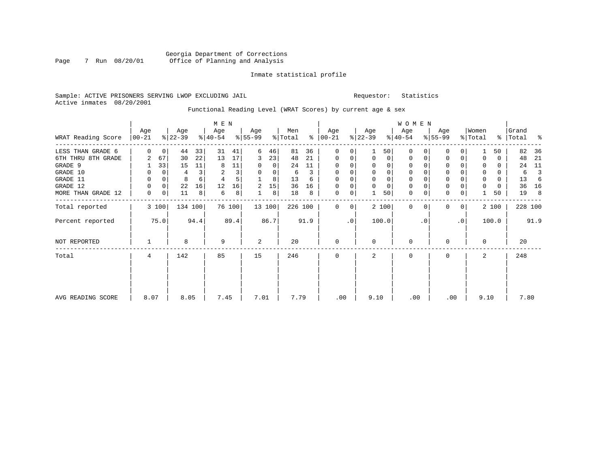#### Sample: ACTIVE PRISONERS SERVING LWOP EXCLUDING JAIL Requestor: Statistics Active inmates 08/20/2001

# Functional Reading Level (WRAT Scores) by current age & sex

|                    |                  |             |                  |         | M E N            |        |                  |        |                |      |                      |           |                  |             | <b>WOMEN</b>     |          |                    |                 |                  |       |                    |         |
|--------------------|------------------|-------------|------------------|---------|------------------|--------|------------------|--------|----------------|------|----------------------|-----------|------------------|-------------|------------------|----------|--------------------|-----------------|------------------|-------|--------------------|---------|
| WRAT Reading Score | Age<br>$00 - 21$ |             | Age<br>$ 22-39 $ |         | Age<br>$ 40-54 $ |        | Age<br>$8 55-99$ |        | Men<br>% Total |      | Age<br>$8   00 - 21$ |           | Age<br>$ 22-39 $ |             | Age<br>$ 40-54 $ |          | Age<br>$8155 - 99$ |                 | Women<br>% Total |       | Grand<br>%   Total | ႜ       |
| LESS THAN GRADE 6  | $\Omega$         | $\mathbf 0$ | 44               | 33      | 31               | 41     | 6                | 46     | 81             | 36   | 0                    | 0         |                  | 50          | $\Omega$         | $\Omega$ | $\Omega$           | $\Omega$        |                  | 50    | 82                 | 36      |
| 6TH THRU 8TH GRADE | 2                | 67          | 30               | 22      | 13               | 17     | 3                | 23     | 48             | 21   | $\mathbf 0$          | 0         | 0                | 0           | 0                | 0        | 0                  | 0               | $\Omega$         | 0     | 48                 | 21      |
| GRADE 9            |                  | 33          | 15               | 11      | 8                | 11     | 0                | 0      | 24             | 11   | 0                    |           | $\Omega$         | 0           | 0                |          | 0                  |                 | O                | 0     | 24                 | 11      |
| GRADE 10           | 0                | 0           | 4                | 3       | 2                | 3      | 0                | 0      | 6              | 3    | 0                    | 0         | $\mathbf 0$      | $\mathbf 0$ | $\mathbf 0$      |          | $\mathsf 0$        |                 | $\mathbf 0$      | 0     | 6                  | 3       |
| GRADE 11           | 0                | 0           | 8                | 6       | 4                | 5      |                  | 8      | 13             | 6    | 0                    |           | $\Omega$         | $\mathbf 0$ | 0                |          | $\mathbf 0$        |                 | 0                | 0     | 13                 | -6      |
| GRADE 12           | 0                | 0           | 22               | 16      | 12               | 16     | 2                | 15     | 36             | 16   | $\mathbf 0$          | 0         | $\mathbf 0$      | $\mathbf 0$ | 0                |          | $\mathbf 0$        |                 |                  | 0     | 36                 | 16      |
| MORE THAN GRADE 12 | 0                | 0           | 11               | 8       | 6                | 8      |                  | 8      | 18             | 8    | 0                    | 0         |                  | 50          | $\mathbf 0$      | 0        | $\mathbf 0$        | 0               |                  | 50    | 19                 | 8       |
| Total reported     |                  | 3 100       |                  | 134 100 |                  | 76 100 |                  | 13 100 | 226 100        |      | $\Omega$             | 0         |                  | 2 100       | $\Omega$         | $\Omega$ | <sup>0</sup>       | $\overline{0}$  |                  | 2 100 |                    | 228 100 |
| Percent reported   |                  | 75.0        |                  | 94.4    |                  | 89.4   |                  | 86.7   |                | 91.9 |                      | $\cdot$ 0 |                  | 100.0       |                  | . 0      |                    | .0 <sup>1</sup> |                  | 100.0 |                    | 91.9    |
| NOT REPORTED       |                  |             | 8                |         | 9                |        | 2                |        | 20             |      | $\mathbf 0$          |           | $\Omega$         |             | $\mathbf 0$      |          | $\Omega$           |                 | $\Omega$         |       | 20                 |         |
| Total              | 4                |             | 142              |         | 85               |        | 15               |        | 246            |      | $\Omega$             |           | $\mathfrak{D}$   |             | $\Omega$         |          | <sup>0</sup>       |                 | 2                |       | 248                |         |
|                    |                  |             |                  |         |                  |        |                  |        |                |      |                      |           |                  |             |                  |          |                    |                 |                  |       |                    |         |
| AVG READING SCORE  | 8.07             |             | 8.05             |         | 7.45             |        | 7.01             |        | 7.79           |      | .00                  |           | 9.10             |             | .00              |          | .00                |                 | 9.10             |       | 7.80               |         |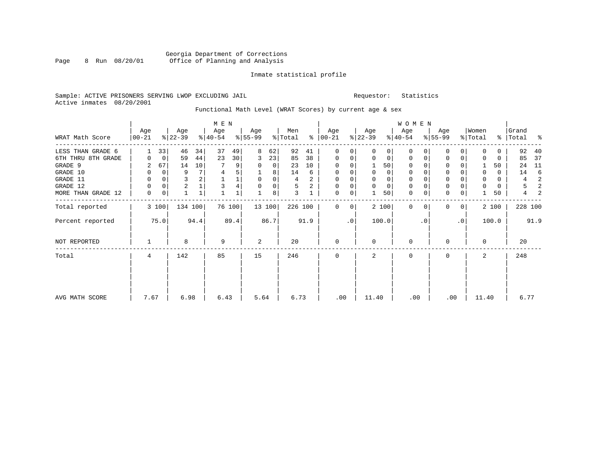#### Sample: ACTIVE PRISONERS SERVING LWOP EXCLUDING JAIL Requestor: Statistics Active inmates 08/20/2001

### Functional Math Level (WRAT Scores) by current age & sex

| WRAT Math Score    | Age<br>$00 - 21$ |       | Age<br>$ 22-39 $ |         | M E N<br>Age<br>$ 40-54 $ |        | Age<br>$ 55-99 $ |      | Men<br>% Total |      | Age<br>$8   00 - 21$ |             | Age<br>$ 22-39 $ |             | <b>WOMEN</b><br>Age<br>$ 40-54 $ |          | Age<br>$8 55-99$ |                | Women<br>% Total |       | Grand<br>%   Total | နွ   |
|--------------------|------------------|-------|------------------|---------|---------------------------|--------|------------------|------|----------------|------|----------------------|-------------|------------------|-------------|----------------------------------|----------|------------------|----------------|------------------|-------|--------------------|------|
|                    |                  |       |                  |         |                           |        |                  |      |                |      |                      |             |                  |             |                                  |          |                  |                |                  |       |                    |      |
| LESS THAN GRADE 6  |                  | 33    | 46               | 34      | 37                        | 49     | 8                | 62   | 92             | 41   | 0                    | 0           | $\Omega$         | 0           | 0                                | $\Omega$ | $\Omega$         | 0              | 0                | 0     | 92                 | 40   |
| 6TH THRU 8TH GRADE | 0                | 0     | 59               | 44      | 23                        | 30     | 3                | 23   | 85             | 38   | $\mathbf 0$          | 0           | 0                | 0           | $\mathbf 0$                      | 0        | 0                | 0              | $\Omega$         | 0     | 85                 | 37   |
| GRADE 9            | 2                | 67    | 14               | 10      |                           | 9      | 0                | 0    | 23             | 10   | 0                    | 0           |                  | 50          | 0                                |          | 0                |                |                  | 50    | 24                 | 11   |
| GRADE 10           | 0                | 0     | 9                |         | 4                         | 5      |                  | 8    | 14             | 6    | 0                    | 0           | 0                | $\mathbf 0$ | $\mathbf 0$                      |          | $\mathsf 0$      |                | 0                | 0     | 14                 | 6    |
| GRADE 11           | 0                | 0     | 3                |         |                           |        | $\mathbf 0$      | 0    | 4              | 2    | 0                    |             |                  | $\mathbf 0$ | $\mathbf 0$                      |          | $\mathbf 0$      |                | 0                | 0     | 4                  | 2    |
| GRADE 12           | 0                | 0     | 2                |         | 3                         | 4      |                  | 0    | 5              | 2    | $\mathbf 0$          | 0           | 0                | $\mathbf 0$ | 0                                |          | $\mathsf 0$      |                |                  | 0     | 5                  | 2    |
| MORE THAN GRADE 12 | 0                | 0     |                  |         |                           |        |                  | 8    | 3              |      | $\mathbf 0$          | $\mathbf 0$ |                  | 50          | $\mathbf 0$                      | 0        | $\mathbf 0$      | 0              |                  | 50    | 4                  |      |
| Total reported     |                  | 3 100 |                  | 134 100 |                           | 76 100 | 13 100           |      | 226 100        |      | 0                    | 0           |                  | 2 100       | $\Omega$                         | $\Omega$ | $\Omega$         | 0 <sup>1</sup> |                  | 2 100 | 228 100            |      |
| Percent reported   |                  | 75.0  |                  | 94.4    |                           | 89.4   |                  | 86.7 |                | 91.9 |                      | $\cdot$ 0   |                  | 100.0       |                                  | . 0      |                  | $\cdot$ 0      |                  | 100.0 |                    | 91.9 |
| NOT REPORTED       |                  |       | 8                |         | 9                         |        | 2                |      | 20             |      | $\mathbf{0}$         |             | $\Omega$         |             | $\mathbf 0$                      |          | $\Omega$         |                | $\Omega$         |       | 20                 |      |
| Total              | 4                |       | 142              |         | 85                        |        | 15               |      | 246            |      | $\mathbf 0$          |             | 2                |             | $\mathbf 0$                      |          | 0                |                | 2                |       | 248                |      |
|                    |                  |       |                  |         |                           |        |                  |      |                |      |                      |             |                  |             |                                  |          |                  |                |                  |       |                    |      |
|                    |                  |       |                  |         |                           |        |                  |      |                |      |                      |             |                  |             |                                  |          |                  |                |                  |       |                    |      |
| AVG MATH SCORE     | 7.67             |       | 6.98             |         | 6.43                      |        | 5.64             |      | 6.73           |      | .00                  |             | 11.40            |             | .00                              |          | .00              |                | 11.40            |       | 6.77               |      |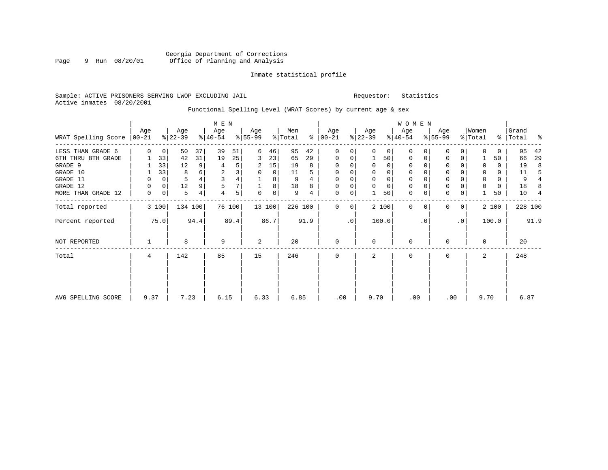### Sample: ACTIVE PRISONERS SERVING LWOP EXCLUDING JAIL Requestor: Statistics Active inmates 08/20/2001

# Functional Spelling Level (WRAT Scores) by current age & sex

|                     |                  |             |                  |      | M E N            |        |                  |             |                |      |                      |           |                  |          | W O M E N        |           |                 |                |                  |          |                |                |
|---------------------|------------------|-------------|------------------|------|------------------|--------|------------------|-------------|----------------|------|----------------------|-----------|------------------|----------|------------------|-----------|-----------------|----------------|------------------|----------|----------------|----------------|
| WRAT Spelling Score | Age<br>$ 00-21 $ |             | Age<br>$8 22-39$ |      | Age<br>$ 40-54 $ |        | Age<br>$8 55-99$ |             | Men<br>% Total |      | Age<br>$8   00 - 21$ |           | Age<br>$ 22-39 $ |          | Age<br>$ 40-54 $ |           | Age<br>$ 55-99$ |                | Women<br>% Total | ွေ       | Grand<br>Total | ႜ              |
| LESS THAN GRADE 6   | $\Omega$         | $\mathbf 0$ | 50               | 37   | 39               | 51     | 6                | 46          | 95             | 42   | $\mathbf 0$          | 0         | $\Omega$         | $\Omega$ | $\Omega$         | 0         | 0               | 0              | $\Omega$         | 0        | 95             | 42             |
| 6TH THRU 8TH GRADE  |                  | 33          | 42               | 31   | 19               | 25     | 3                | 23          | 65             | 29   | 0                    | 0         |                  | 50       | 0                | 0         | $\mathbf 0$     | 0              |                  | 50       | 66             | 29             |
| GRADE 9             |                  | 33          | 12               | 9    | 4                | 5      | 2                | 15          | 19             | 8    | 0                    | 0         |                  | $\Omega$ | 0                |           | $\Omega$        |                | $\Omega$         | $\Omega$ | 19             | 8              |
| GRADE 10            | 1                | 33          | 8                | 6    | $\overline{c}$   | 3      | $\Omega$         | $\Omega$    | 11             |      | $\Omega$             | 0         |                  | $\Omega$ | 0                |           | $\Omega$        |                | 0                | $\Omega$ | 11             | .5             |
| GRADE 11            | 0                | 0           | 5                |      |                  | 4      |                  | 8           | 9              |      | $\Omega$             |           |                  |          |                  |           | $\Omega$        |                | 0                | $\Omega$ | 9              |                |
| GRADE 12            | $\Omega$         | $\mathbf 0$ | 12               |      |                  | 7      |                  | 8           | 18             | 8    | $\Omega$             | 0         |                  | $\Omega$ | 0                |           | $\Omega$        |                | 0                | $\Omega$ | 18             | 8              |
| MORE THAN GRADE 12  | $\mathbf 0$      | $\mathbf 0$ | 5                | 4    | 4                | 5      | $\Omega$         | $\mathbf 0$ | 9              | 4    | $\mathbf 0$          | 0         |                  | 50       | 0                | 0         | $\Omega$        | $\mathbf 0$    |                  | 50       | 10             | $\overline{4}$ |
| Total reported      |                  | 3 100       | 134 100          |      |                  | 76 100 |                  | 13 100      | 226 100        |      | $\Omega$             | $\Omega$  |                  | 2 100    | $\Omega$         | 0         | $\Omega$        | 0 <sup>1</sup> |                  | 2 100    |                | 228 100        |
| Percent reported    |                  | 75.0        |                  | 94.4 |                  | 89.4   |                  | 86.7        |                | 91.9 |                      | $\cdot$ 0 |                  | 100.0    |                  | $\cdot$ 0 |                 | $\cdot$ 0      |                  | 100.0    |                | 91.9           |
| NOT REPORTED        |                  |             | 8                |      | 9                |        | 2                |             | 20             |      | $\mathbf 0$          |           | $\Omega$         |          | 0                |           | $\Omega$        |                | $\Omega$         |          | 20             |                |
| Total               | 4                |             | 142              |      | 85               |        | 15               |             | 246            |      | $\mathbf 0$          |           | 2                |          | 0                |           | $\mathbf 0$     |                | 2                |          | 248            |                |
|                     |                  |             |                  |      |                  |        |                  |             |                |      |                      |           |                  |          |                  |           |                 |                |                  |          |                |                |
| AVG SPELLING SCORE  | 9.37             |             | 7.23             |      | 6.15             |        | 6.33             |             | 6.85           |      | .00                  |           | 9.70             |          | .00              |           | .00             |                | 9.70             |          | 6.87           |                |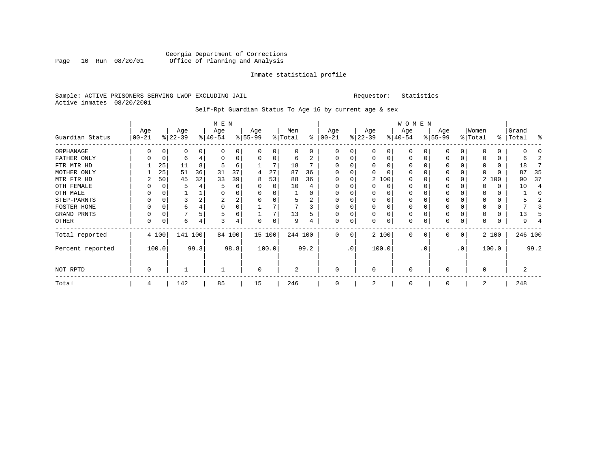#### Sample: ACTIVE PRISONERS SERVING LWOP EXCLUDING JAIL Requestor: Statistics Active inmates 08/20/2001

# Self-Rpt Guardian Status To Age 16 by current age & sex

|                  |                   |          |                  |      | M E N            |        |                 |          |                |      |                 |           |                 |              | W O M E N        |          |                  |                |                  |       |                    |         |
|------------------|-------------------|----------|------------------|------|------------------|--------|-----------------|----------|----------------|------|-----------------|-----------|-----------------|--------------|------------------|----------|------------------|----------------|------------------|-------|--------------------|---------|
| Guardian Status  | Age<br>$ 00 - 21$ |          | Age<br>$ 22-39 $ |      | Age<br>$ 40-54 $ |        | Age<br>$ 55-99$ |          | Men<br>% Total | ႜ    | Age<br>$ 00-21$ |           | Age<br>$ 22-39$ |              | Age<br>$ 40-54 $ |          | Age<br>$ 55-99 $ |                | Women<br>% Total |       | Grand<br>%   Total | ႜ       |
| ORPHANAGE        | U                 | 0        | 0                |      |                  | 0      |                 |          |                | U    | O               | 0         |                 | <sup>0</sup> | $\Omega$         |          |                  | $\Omega$       |                  |       |                    |         |
| FATHER ONLY      | U                 | $\Omega$ | h                |      |                  | 0      |                 |          | 6              |      | O               | 0         |                 |              | $\Omega$         |          |                  |                |                  |       | h                  |         |
| FTR MTR HD       |                   | 25       | 11               |      |                  | 6      |                 |          | 18             |      |                 |           |                 |              | O                |          |                  |                |                  |       | 18                 |         |
| MOTHER ONLY      |                   | 25       | 51               | 36   | 31               | 37     | 4               | 27       | 87             | 36   |                 |           |                 |              | 0                |          |                  |                |                  |       | 87                 | 35      |
| MTR FTR HD       | 2                 | 50       | 45               | 32   | 33               | 39     | 8               | 53       | 88             | 36   | <sup>0</sup>    | 0         |                 | 2 100        | $\Omega$         |          | $\Omega$         |                |                  | 2 100 | 90                 | 37      |
| OTH FEMALE       | 0                 | 0        |                  |      | 5                | 6      |                 | $\Omega$ | 10             |      | O               | 0         |                 | $\Omega$     | 0                |          | $\Omega$         |                |                  | 0     | 10                 |         |
| OTH MALE         |                   | 0        |                  |      |                  | 0      |                 |          |                |      | O               |           |                 | $\Omega$     | $\Omega$         |          |                  |                |                  |       |                    | C       |
| STEP-PARNTS      | U                 | 0        |                  |      | 2                | 2      |                 |          | 5              |      | 0               | 0         |                 | $\Omega$     | 0                |          |                  |                |                  |       |                    |         |
| FOSTER HOME      |                   | 0        | 6                |      | $\Omega$         | 0      |                 |          |                |      | <sup>0</sup>    |           |                 |              | $\Omega$         |          |                  |                |                  |       |                    |         |
| GRAND PRNTS      | 0                 | $\Omega$ |                  |      | 5                | 6      |                 |          | 13             |      | <sup>0</sup>    | 0         |                 | $\Omega$     | 0                |          | $\Omega$         |                |                  |       | 13                 |         |
| OTHER            | 0                 | $\Omega$ | 6                |      | 3                | 4      |                 |          | 9              | 4    | $\Omega$        | 0         |                 | $\Omega$     | $\Omega$         |          | $\Omega$         |                |                  |       | 9                  |         |
| Total reported   |                   | 4 100    | 141 100          |      |                  | 84 100 |                 | 15 100   | 244 100        |      | $\Omega$        | 0         |                 | 2 100        | $\Omega$         | $\Omega$ | $\Omega$         | $\overline{0}$ |                  | 2 100 |                    | 246 100 |
| Percent reported |                   | 100.0    |                  | 99.3 |                  | 98.8   |                 | 100.0    |                | 99.2 |                 | $\cdot$ 0 |                 | 100.0        |                  | . 0      |                  | $\cdot$ 0      |                  | 100.0 |                    | 99.2    |
| NOT RPTD         | $\Omega$          |          |                  |      |                  |        | $\Omega$        |          | 2              |      | $\Omega$        |           | $\Omega$        |              | $\Omega$         |          | U                |                | ∩                |       | 2                  |         |
| Total            | 4                 |          | 142              |      | 85               |        | 15              |          | 246            |      | $\Omega$        |           |                 |              | $\Omega$         |          |                  |                | 2                |       | 248                |         |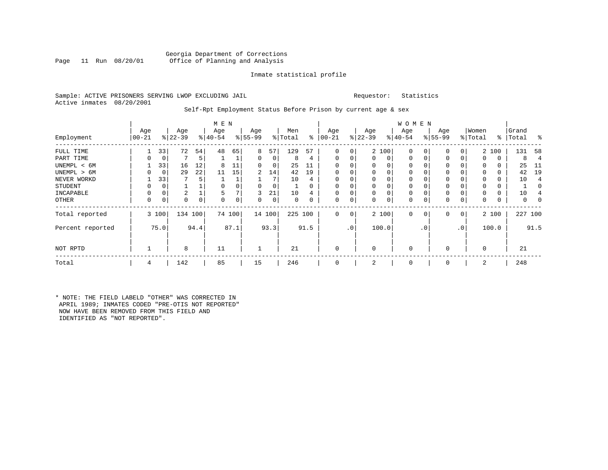#### Sample: ACTIVE PRISONERS SERVING LWOP EXCLUDING JAIL Requestor: Statistics Active inmates 08/20/2001

#### Self-Rpt Employment Status Before Prison by current age & sex

|                  | Age       |             | Age       |      | M E N<br>Age |        | Age       |          | Men      |          | Age          |                 | Age         |          | <b>WOMEN</b><br>Age |             | Age          |                 | Women    |       | Grand     |                          |
|------------------|-----------|-------------|-----------|------|--------------|--------|-----------|----------|----------|----------|--------------|-----------------|-------------|----------|---------------------|-------------|--------------|-----------------|----------|-------|-----------|--------------------------|
| Employment       | $00 - 21$ |             | $ 22-39 $ |      | $ 40-54 $    |        | $8 55-99$ |          | % Total  | ွေ       | $ 00-21$     |                 | $ 22-39 $   |          | $ 40-54 $           |             | $ 55-99$     |                 | % Total  |       | %   Total | ႜ                        |
| FULL TIME        |           | 33          | 72        | 54   | 48           | 65     | 8         | 57       | 129      | 57       | 0            | 0               |             | 2 100    | 0                   |             | $\Omega$     | 0               |          | 2 100 | 131       | 58                       |
| PART TIME        | 0         | $\mathbf 0$ |           | 5    |              | 1      | $\Omega$  | 0        | 8        | 4        | 0            | 0               | $\Omega$    | 0        | $\mathbf 0$         | 0           | $\Omega$     | $\Omega$        | $\Omega$ | 0     | 8         | 4                        |
| UNEMPL < 6M      |           | 33          | 16        | 12   | 8            | 11     | 0         | 0        | 25       | 11       | 0            | 0               |             | 0        | 0                   |             | 0            |                 | 0        | 0     | 25        | -11                      |
| UNEMPL > 6M      | 0         | $\mathbf 0$ | 29        | 22   | 11           | 15     | 2         | 14       | 42       | 19       | $\Omega$     |                 | $\Omega$    | $\Omega$ | $\Omega$            |             | $\Omega$     |                 | $\Omega$ |       | 42        | 19                       |
| NEVER WORKD      |           | 33          | 7         |      |              |        |           |          | 10       | 4        | $\mathbf 0$  |                 |             | $\Omega$ | 0                   |             | 0            |                 |          | 0     | 10        | $\overline{\mathcal{L}}$ |
| <b>STUDENT</b>   | 0         | 0           |           |      | 0            | 0      | $\Omega$  | $\Omega$ |          |          | 0            | 0               | $\Omega$    | $\Omega$ | 0                   |             | 0            |                 | $\Omega$ | 0     |           | 0                        |
| INCAPABLE        | 0         | 0           | 2         |      |              |        | 3         | 21       | 10       |          | $\mathbf 0$  | 0               |             | 0        | 0                   |             | 0            |                 |          | 0     | 10        |                          |
| OTHER            | 0         | $\mathbf 0$ | 0         | 0    | $\Omega$     | 0      | $\Omega$  | 0        | $\Omega$ | $\Omega$ | 0            | 0               | $\Omega$    | 0        | $\Omega$            | $\Omega$    | $\Omega$     | 0               | $\Omega$ | 0     | 0         |                          |
| Total reported   |           | 3 100       | 134 100   |      |              | 74 100 |           | 14 100   | 225 100  |          | $\mathbf{0}$ | 0               |             | 2 100    | $\Omega$            | $\mathbf 0$ | $\Omega$     | $\overline{0}$  |          | 2 100 | 227 100   |                          |
| Percent reported |           | 75.0        |           | 94.4 |              | 87.1   |           | 93.3     |          | 91.5     |              | .0 <sup>′</sup> |             | 100.0    |                     | . 0         |              | .0 <sup>′</sup> |          | 100.0 |           | 91.5                     |
| NOT RPTD         |           |             | 8         |      | 11           |        |           |          | 21       |          | $\mathbf 0$  |                 | $\mathbf 0$ |          | 0                   |             | <sup>0</sup> |                 | 0        |       | 21        |                          |
| Total            | 4         |             | 142       |      | 85           |        | 15        |          | 246      |          | $\Omega$     |                 |             |          | 0                   |             | $\Omega$     |                 | 2        |       | 248       |                          |

\* NOTE: THE FIELD LABELD "OTHER" WAS CORRECTED IN APRIL 1989; INMATES CODED "PRE-OTIS NOT REPORTED" NOW HAVE BEEN REMOVED FROM THIS FIELD AND IDENTIFIED AS "NOT REPORTED".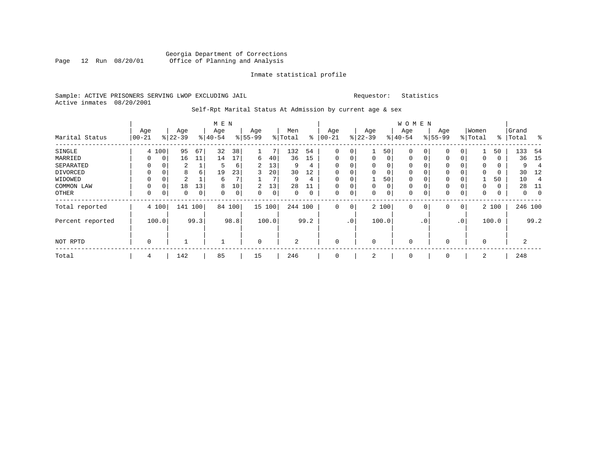#### Sample: ACTIVE PRISONERS SERVING LWOP EXCLUDING JAIL Requestor: Statistics Active inmates 08/20/2001

# Self-Rpt Marital Status At Admission by current age & sex

|                  |            |       |           |             | M E N     |             |                |             |                |      |             |           |           |                | <b>WOMEN</b> |           |             |                 |          |       |          |          |
|------------------|------------|-------|-----------|-------------|-----------|-------------|----------------|-------------|----------------|------|-------------|-----------|-----------|----------------|--------------|-----------|-------------|-----------------|----------|-------|----------|----------|
|                  | Age        |       | Age       |             | Age       |             | Age            |             | Men            |      | Age         |           | Age       |                | Age          |           | Age         |                 | Women    |       | Grand    |          |
| Marital Status   | $ 00 - 21$ |       | $8 22-39$ |             | $8 40-54$ |             | $8 55-99$      |             | % Total        | နွ   | $ 00-21$    |           | $ 22-39 $ |                | $8 40-54$    |           | $8155 - 99$ |                 | % Total  | ∻     | Total    | ွေ       |
| SINGLE           |            | 4 100 | 95        | 67          | 32        | 38          |                |             | 132            | 54   | $\Omega$    | 0         |           | 50             | $\Omega$     |           | $\mathbf 0$ |                 |          | 50    | 133      | -54      |
| MARRIED          | 0          | 0     | 16        | 11          | 14        | 17          | 6              | 40          | 36             | 15   | 0           | 0         | 0         | 0 <sup>1</sup> | 0            | 0         | 0           | 0               | 0        | 0     | 36       | 15       |
| SEPARATED        | 0          | 0     | 2         |             | 5         | 6           | 2              | 13          | 9              | 4    | $\Omega$    | 0         |           | $\Omega$       | 0            |           | 0           |                 | 0        | 0     | 9        |          |
| DIVORCED         | 0          | 0     | 8         | 6           | 19        | 23          |                | 20          | 30             | 12   | $\Omega$    | 0         |           | 0              | 0            |           | $\mathbf 0$ |                 | $\Omega$ | 0     | 30       | 12       |
| WIDOWED          | 0          | 0     | 2         |             | 6         | 7           |                |             | 9              | 4    | 0           | 0         |           | 50             | 0            |           | 0           |                 |          | 50    | 10       |          |
| COMMON LAW       | 0          |       | 18        | 13          | 8         | 10          | $\overline{2}$ | 13          | 28             | 11   | $\Omega$    | $\Omega$  |           | $\Omega$       |              |           | $\mathbf 0$ |                 | U        | 0     | 28       | -11      |
| OTHER            | 0          | 0     | $\Omega$  | $\mathbf 0$ | $\Omega$  | $\mathbf 0$ | $\Omega$       | $\mathbf 0$ | 0              |      | $\mathbf 0$ | 0         |           | $\Omega$       | 0            |           | $\mathbf 0$ | $\Omega$        | $\Omega$ | 0     | $\Omega$ | $\Omega$ |
| Total reported   |            | 4 100 |           | 141 100     | 84        | 100         | 15 100         |             | 244 100        |      | 0           | 0         |           | 2 100          | 0            | 0         | $\mathbf 0$ | 0               |          | 2 100 | 246 100  |          |
| Percent reported |            | 100.0 |           | 99.3        |           | 98.8        |                | 100.0       |                | 99.2 |             | $\cdot$ 0 |           | 100.0          |              | $\cdot$ 0 |             | .0 <sup>′</sup> |          | 100.0 |          | 99.2     |
| NOT RPTD         | 0          |       |           |             |           |             | $\Omega$       |             | $\overline{2}$ |      | $\mathbf 0$ |           |           |                | $\mathbf 0$  |           | 0           |                 | $\Omega$ |       | 2        |          |
| Total            | 4          |       | 142       |             | 85        |             | 15             |             | 246            |      | $\mathbf 0$ |           | 2         |                | 0            |           | 0           |                 | 2        |       | 248      |          |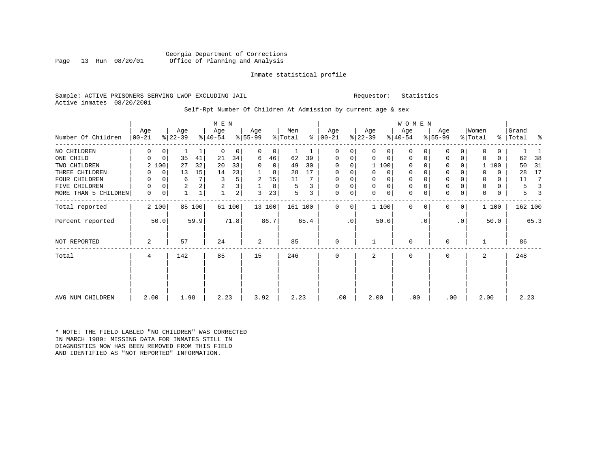Georgia Department of Corrections Office of Planning and Analysis

Inmate statistical profile

Requestor: Statistics

|  |                           |  | Sample: ACTIVE PRISONERS SERVING LWOP EXCLUDING JAIL |  |
|--|---------------------------|--|------------------------------------------------------|--|
|  | Active inmates 08/20/2001 |  |                                                      |  |

#### Self-Rpt Number Of Children At Admission by current age & sex

|                      |                 |             |                  |        | M E N            |      |                  |          |                |      |                      |             |                  |             | <b>WOMEN</b>     |           |                  |           |                  |             |                 |      |
|----------------------|-----------------|-------------|------------------|--------|------------------|------|------------------|----------|----------------|------|----------------------|-------------|------------------|-------------|------------------|-----------|------------------|-----------|------------------|-------------|-----------------|------|
| Number Of Children   | Age<br>$ 00-21$ |             | Age<br>$ 22-39 $ |        | Age<br>$ 40-54 $ |      | Age<br>$ 55-99 $ |          | Men<br>% Total |      | Age<br>$8   00 - 21$ |             | Age<br>$ 22-39 $ |             | Age<br>$ 40-54 $ |           | Age<br>$8 55-99$ |           | Women<br>% Total | ွေ          | Grand<br> Total | る    |
| NO CHILDREN          | $\Omega$        | 0           |                  |        | $\Omega$         | 0    | $\Omega$         | 0        |                |      | $\Omega$             | $\Omega$    | $\Omega$         | $\Omega$    | $\Omega$         | 0         | 0                | $\Omega$  | 0                | 0           |                 |      |
| ONE CHILD            | $\Omega$        | $\mathbf 0$ | 35               | 41     | 21               | 34   | 6                | 46       | 62             | 39   | 0                    | 0           | 0                | 0           | $\mathbf 0$      | 0         | 0                | 0         | 0                | $\mathbf 0$ | 62              | 38   |
| TWO CHILDREN         | 2               | 100         | 27               | 32     | 20               | 33   | 0                | $\Omega$ | 49             | 30   | 0                    | $\Omega$    |                  | 1 100       | $\Omega$         |           | 0                | 0         |                  | 1 100       | 50              | 31   |
| THREE CHILDREN       | 0               | 0           | 13               | 15     | 14               | 23   |                  | 8        | 28             | 17   | 0                    | 0           | 0                | 0           | $\mathbf 0$      | 0         | 0                | 0         | 0                | $\Omega$    | 28              | 17   |
| FOUR CHILDREN        | 0               |             | 6                | 7      | 3                | 5    | 2                | 15       | 11             |      |                      |             | $\Omega$         |             |                  |           | 0                |           | 0                | 0           | 11              | 7    |
| FIVE CHILDREN        | 0               | 0           | 2                | 2      | 2                | 3    |                  | 8        | 5              |      | $\Omega$             | 0           | 0                | 0           | $\mathbf{0}$     | 0         | $\mathbf 0$      | 0         | 0                | $\mathbf 0$ | 5               |      |
| MORE THAN 5 CHILDREN | $\mathbf 0$     | 0           | $\overline{1}$   | 1      |                  | 2    | 3                | 23       | 5              | 3    | $\Omega$             | $\mathsf 0$ | 0                | $\mathbf 0$ | $\Omega$         | 0         | $\mathbf 0$      | 0         | 0                | 0           | 5               |      |
| Total reported       |                 | 2 100       |                  | 85 100 | 61               | 100  |                  | 13 100   | 161 100        |      | $\Omega$             | $\Omega$    |                  | 1 100       | $\Omega$         | $\Omega$  | 0                | 0         |                  | 1 100       | 162 100         |      |
| Percent reported     |                 | 50.0        |                  | 59.9   |                  | 71.8 |                  | 86.7     |                | 65.4 |                      | $\cdot$ 0   |                  | 50.0        |                  | $\cdot$ 0 |                  | $\cdot$ 0 |                  | 50.0        |                 | 65.3 |
| NOT REPORTED         | 2               |             | 57               |        | 24               |      | 2                |          | 85             |      | $\Omega$             |             |                  |             | $\Omega$         |           | 0                |           |                  |             | 86              |      |
| Total                | 4               |             | 142              |        | 85               |      | 15               |          | 246            |      | $\Omega$             |             | 2                |             | $\Omega$         |           | 0                |           | 2                |             | 248             |      |
|                      |                 |             |                  |        |                  |      |                  |          |                |      |                      |             |                  |             |                  |           |                  |           |                  |             |                 |      |
| AVG NUM CHILDREN     | 2.00            |             | 1.98             |        | 2.23             |      | 3.92             |          | 2.23           |      | .00                  |             | 2.00             |             | .00              |           | .00              |           | 2.00             |             | 2.23            |      |

\* NOTE: THE FIELD LABLED "NO CHILDREN" WAS CORRECTED IN MARCH 1989: MISSING DATA FOR INMATES STILL IN DIAGNOSTICS NOW HAS BEEN REMOVED FROM THIS FIELD AND IDENTIFIED AS "NOT REPORTED" INFORMATION.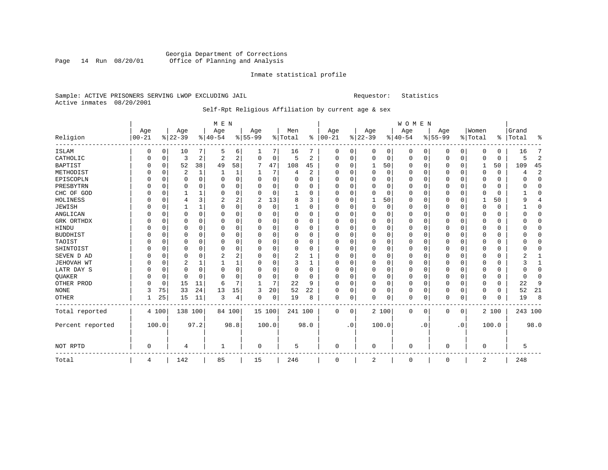#### Sample: ACTIVE PRISONERS SERVING LWOP EXCLUDING JAIL Requestor: Statistics Active inmates 08/20/2001

# Self-Rpt Religious Affiliation by current age & sex

|                  |           |             |          |              | M E N       |                |           |          |                |                |              |           |             |          | WOMEN        |          |           |                |          |          |           |                |
|------------------|-----------|-------------|----------|--------------|-------------|----------------|-----------|----------|----------------|----------------|--------------|-----------|-------------|----------|--------------|----------|-----------|----------------|----------|----------|-----------|----------------|
|                  | Age       |             | Age      |              | Age         |                | Age       |          | Men            |                | Age          |           | Age         |          | Age          |          | Age       |                | Women    |          | Grand     |                |
| Religion         | $00 - 21$ |             | $ 22-39$ |              | $8 40-54$   |                | $8 55-99$ |          | % Total        | ៖              | $ 00-21$     |           | $ 22-39 $   |          | $ 40-54$     |          | $8 55-99$ |                | % Total  |          | %   Total | ႜ              |
| ISLAM            | 0         | 0           | 10       | 7            | 5           | 6              | 1         | 7        | 16             | 7              | 0            | 0         | 0           | 0        | 0            | 0        | 0         | 0 <sup>1</sup> | 0        | 0        | 16        | 7              |
| CATHOLIC         | 0         | 0           | 3        | 2            | 2           | 2              | $\Omega$  | 0        | 5              | $\overline{c}$ | $\Omega$     | $\Omega$  | $\mathbf 0$ | 0        | $\Omega$     | 0        | 0         | 0              | $\Omega$ | 0        | 5         | $\overline{2}$ |
| <b>BAPTIST</b>   |           | 0           | 52       | 38           | 49          | 58             |           | 47       | 108            | 45             |              | $\Omega$  | 1           | 50       | O            | 0        | U         | 0              |          | 50       | 109       | 45             |
| METHODIST        |           | $\mathbf 0$ | 2        | $\mathbf{1}$ |             |                |           | 7        | $\overline{4}$ | 2              | 0            |           | $\mathbf 0$ | $\Omega$ |              | $\Omega$ |           | 0              | $\Omega$ | $\Omega$ |           | 2              |
| EPISCOPLN        |           | $\Omega$    | 0        | $\Omega$     | $\Omega$    | 0              | 0         | $\Omega$ | $\Omega$       | $\Omega$       | <sup>0</sup> |           | $\Omega$    | U        |              | $\Omega$ | U         | 0              | $\Omega$ | 0        |           | $\Omega$       |
| PRESBYTRN        |           | $\mathbf 0$ | U        | U            | $\Omega$    | 0              | U         | 0        | $\Omega$       | $\Omega$       | n            |           | n           | U        |              | $\cap$   | U         | <sup>0</sup>   | ∩        | O        |           | $\Omega$       |
| CHC OF GOD       |           | 0           |          | 1            | 0           | 0              | O         | 0        |                | $\Omega$       | O            |           | O           | 0        | <sup>0</sup> | $\Omega$ | U         | 0              | $\Omega$ | O        |           | $\Omega$       |
| HOLINESS         |           | 0           | 4        | 3            | 2           | $\overline{a}$ | 2         | 13       | 8              | 3              | O            |           |             | 50       | n            | n        | 0         | 0              |          | 50       |           | 4              |
| <b>JEWISH</b>    |           | 0           |          | 1            | 0           | 0              | O         | 0        |                | 0              | <sup>0</sup> | O         | $\Omega$    | $\Omega$ | $\Omega$     | $\Omega$ | 0         | $\Omega$       | $\Omega$ | 0        |           | $\Omega$       |
| ANGLICAN         |           | $\Omega$    | 0        | $\Omega$     | $\Omega$    | 0              | O         | 0        | $\Omega$       | $\Omega$       |              | O         | 0           | 0        | O            | $\Omega$ | 0         | 0              | $\Omega$ | 0        |           | $\Omega$       |
| GRK ORTHDX       |           | 0           | 0        | U            | $\Omega$    | 0              | O         | 0        | $\Omega$       | $\Omega$       |              | O         | 0           | 0        |              | 0        | 0         | U              | O        | 0        |           | $\Omega$       |
| HINDU            |           | 0           | 0        | U            | 0           | 0              | O         | 0        | 0              | 0              |              |           | 0           | U        |              | O        |           | U              |          |          |           | $\Omega$       |
| <b>BUDDHIST</b>  |           | O           | U        | U            | 0           | $\Omega$       | O         | $\Omega$ | $\Omega$       | 0              |              |           | O           | O        |              | n        | U         | 0              | O        | U        |           | $\Omega$       |
| TAOIST           |           | $\Omega$    | U        | $\Omega$     | $\Omega$    | $\Omega$       | O         | 0        | $\Omega$       | $\Omega$       | O            |           | O           | O        |              | ∩        | U         | <sup>0</sup>   | n        | U        |           | ∩              |
| SHINTOIST        |           | 0           | 0        | $\Omega$     | $\Omega$    | 0              | O         | 0        | $\Omega$       | $\Omega$       | ∩            |           | $\Omega$    | U        | $\Omega$     | $\cap$   | U         | <sup>0</sup>   | ∩        | U        |           | ∩              |
| SEVEN D AD       |           | 0           | 0        | 0            | 2           | 2              | O         | 0        | 2              |                |              |           | 0           | 0        |              | 0        | 0         | U              | 0        |          |           |                |
| JEHOVAH WT       |           | 0           | 2        | 1            |             |                | 0         | 0        | 3              | 1              | <sup>0</sup> |           | 0           | U        | O            | $\Omega$ | 0         | 0              | $\Omega$ | 0        |           | 1              |
| LATR DAY S       |           | $\mathbf 0$ | 0        | 0            | $\mathbf 0$ | 0              | O         | 0        | 0              | 0              | <sup>0</sup> |           | 0           | U        | O            | $\Omega$ | U         | $\Omega$       | $\Omega$ | O        |           | $\Omega$       |
| <b>QUAKER</b>    |           | 0           | 0        | 0            | $\mathbf 0$ | 0              | O         | 0        | 0              | 0              |              | O         | 0           | 0        |              | $\Omega$ | U         | $\Omega$       | $\Omega$ | 0        |           | $\Omega$       |
| OTHER PROD       |           | 0           | 15       | 11           | 6           | 7              | 1         | 7        | 22             | 9              |              | $\Omega$  | 0           | $\Omega$ |              | $\Omega$ |           | $\Omega$       | $\Omega$ | $\Omega$ | 22        | 9              |
| <b>NONE</b>      | 3         | 75          | 33       | 24           | 13          | 15             | 3         | 20       | 52             | 22             | O            | O         | 0           | 0        |              | $\Omega$ | 0         | 0              | $\Omega$ | 0        | 52        | 21             |
| OTHER            |           | 25          | 15       | 11           | 3           | 4              | 0         | 0        | 19             | 8              | $\Omega$     | 0         | 0           | 0        | $\Omega$     | 0        | 0         | 0              | $\Omega$ | 0        | 19        | 8              |
| Total reported   | 4 100     |             | 138 100  |              | 84 100      |                | 15 100    |          | 241 100        |                | 0            | 0         |             | 2 100    | $\mathbf 0$  | 0        | 0         | 0              |          | 2 100    | 243 100   |                |
| Percent reported | 100.0     |             |          | 97.2         |             | 98.8           | 100.0     |          |                | 98.0           |              | $\cdot$ 0 |             | 100.0    |              | . 0      |           | $\cdot$ 0      |          | 100.0    |           | 98.0           |
| NOT RPTD         | 0         |             | 4        |              |             |                | 0         |          | 5              |                | 0            |           | 0           |          | 0            |          | 0         |                | 0        |          | 5         |                |
| Total            | 4         |             | 142      |              | 85          |                | 15        |          | 246            |                | 0            |           | 2           |          | 0            |          | 0         |                | 2        |          | 248       |                |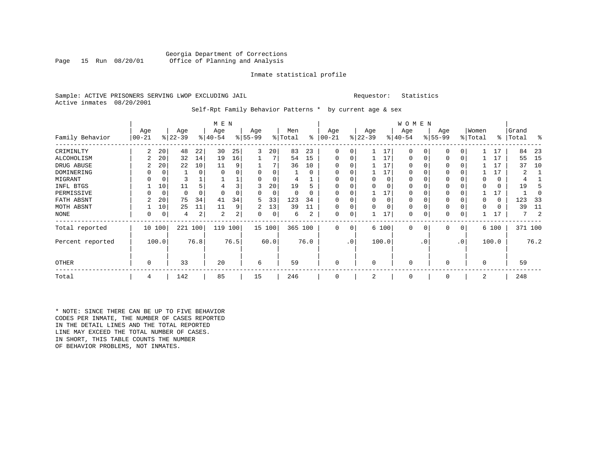#### Sample: ACTIVE PRISONERS SERVING LWOP EXCLUDING JAIL Requestor: Statistics Active inmates 08/20/2001

#### Self-Rpt Family Behavior Patterns \* by current age & sex

|                  |            |             |           |          | M E N     |      |          |          |          |          |              |           |              | W O M E N |              |           |          |                 |          |       |       |         |
|------------------|------------|-------------|-----------|----------|-----------|------|----------|----------|----------|----------|--------------|-----------|--------------|-----------|--------------|-----------|----------|-----------------|----------|-------|-------|---------|
|                  | Age        |             | Age       |          | Age       |      | Age      |          | Men      |          | Age          |           | Age          |           | Age          |           | Age      |                 | Women    |       | Grand |         |
| Family Behavior  | $ 00 - 21$ |             | $ 22-39 $ |          | $ 40-54 $ |      | $ 55-99$ |          | % Total  | နွ       | $ 00 - 21$   |           | $ 22-39 $    |           | $ 40-54 $    |           | $ 55-99$ |                 | % Total  | ႜၟ    | Total | ႜ       |
| CRIMINLTY        | 2          | 20          | 48        | 22       | 30        | 25   | 3        | 20       | 83       | 23       | 0            | 0         |              | 17        | $\Omega$     |           | 0        |                 |          | 17    | 84    | -23     |
| ALCOHOLISM       | 2          | 20          | 32        | 14       | 19        | 16   |          |          | 54       | 15       | 0            | 0         |              | 17        | 0            |           | 0        | 0               |          | 17    | 55    | 15      |
| DRUG ABUSE       | 2          | 20          | 22        | 10       | 11        | 9    |          |          | 36       | 10       |              |           |              | 17        | $\Omega$     |           |          |                 |          | 17    | 37    | 10      |
| DOMINERING       |            |             |           | $\Omega$ | $\Omega$  | 0    |          |          |          | $\Omega$ | $\Omega$     |           |              | 17        | $\Omega$     |           |          |                 |          | 17    |       |         |
| MIGRANT          |            |             |           |          |           |      |          | $\Omega$ |          |          | 0            |           | 0            | $\Omega$  | 0            |           |          |                 |          | 0     |       |         |
| INFL BTGS        |            | 10          | 11        |          |           | 3    | 3        | 20       | 19       | 5        | $\Omega$     |           |              | $\Omega$  | 0            |           |          |                 |          | 0     | 19    |         |
| PERMISSIVE       |            | $\mathbf 0$ | $\Omega$  |          | 0         | 0    | $\Omega$ | $\Omega$ | $\Omega$ | O        | $\Omega$     | 0         |              | 17        | $\Omega$     |           |          |                 |          | 17    |       |         |
| FATH ABSNT       |            | 20          | 75        | 34       | 41        | 34   | 5.       | 33       | 123      | 34       |              |           | <sup>0</sup> | $\Omega$  | 0            |           |          |                 |          | 0     | 123   | -33     |
| MOTH ABSNT       |            | 10          | 25        | 11       | 11        | 9    | 2        | 13       | 39       | 11       | $\Omega$     | 0         |              | $\Omega$  | 0            |           |          |                 |          | 0     | 39    | 11      |
| NONE             |            |             | 4         | 2        | 2         | 2    | 0        | 0        | 6        | 2        | 0            | 0         |              | 17        | 0            |           | 0        |                 |          | 17    |       |         |
| Total reported   |            | 10 100      | 221       | 100      | 119       | 100  |          | 15 100   | 365 100  |          | $\mathbf{0}$ | 0         |              | 6 100     | $\mathbf{0}$ | $\Omega$  | 0        | 0 <sup>1</sup>  |          | 6 100 |       | 371 100 |
| Percent reported |            | 100.0       |           | 76.8     |           | 76.5 |          | 60.0     |          | 76.0     |              | $\cdot$ 0 |              | 100.0     |              | $\cdot$ 0 |          | .0 <sup>1</sup> |          | 100.0 |       | 76.2    |
| OTHER            | 0          |             | 33        |          | 20        |      | 6        |          | 59       |          | $\mathbf 0$  |           | $\Omega$     |           | 0            |           | $\Omega$ |                 | $\Omega$ |       | 59    |         |
| Total            | 4          |             | 142       |          | 85        |      | 15       |          | 246      |          | $\mathbf 0$  |           | 2            |           | 0            |           | 0        |                 | 2        |       | 248   |         |

\* NOTE: SINCE THERE CAN BE UP TO FIVE BEHAVIOR CODES PER INMATE, THE NUMBER OF CASES REPORTED IN THE DETAIL LINES AND THE TOTAL REPORTED LINE MAY EXCEED THE TOTAL NUMBER OF CASES. IN SHORT, THIS TABLE COUNTS THE NUMBER OF BEHAVIOR PROBLEMS, NOT INMATES.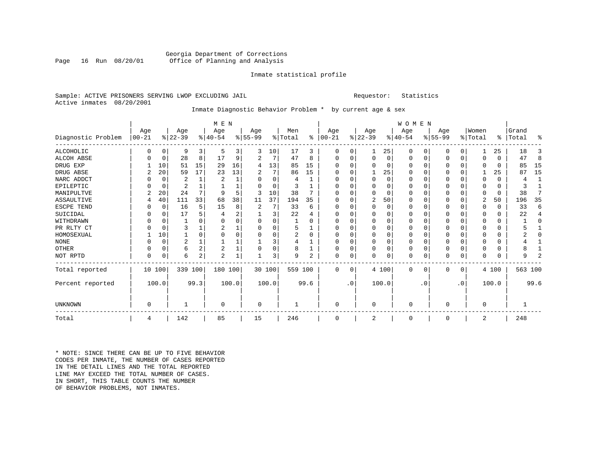#### Georgia Department of Corrections<br>Page 16 Run 08/20/01 Office of Planning and Analysis Office of Planning and Analysis

#### Inmate statistical profile

#### Sample: ACTIVE PRISONERS SERVING LWOP EXCLUDING JAIL Requestor: Statistics Active inmates 08/20/2001

### Inmate Diagnostic Behavior Problem \* by current age & sex

|                    |                   |          |                  |          | M E N            |       |                 |          |                |          |                   |                |                  |          | WOMEN            |           |                  |                |                  |              |                    |          |
|--------------------|-------------------|----------|------------------|----------|------------------|-------|-----------------|----------|----------------|----------|-------------------|----------------|------------------|----------|------------------|-----------|------------------|----------------|------------------|--------------|--------------------|----------|
| Diagnostic Problem | Age<br>$ 00 - 21$ |          | Age<br>$ 22-39 $ |          | Age<br>$ 40-54 $ |       | Age<br>$ 55-99$ |          | Men<br>% Total | ៖        | Age<br>$ 00 - 21$ |                | Age<br>$ 22-39 $ |          | Age<br>$ 40-54 $ |           | Age<br>$8 55-99$ |                | Women<br>% Total |              | Grand<br>%   Total | ៖        |
| <b>ALCOHOLIC</b>   | 0                 | 0        | 9                | 3        | 5                | 3     | 3               | 10       | 17             | 3        | 0                 |                |                  | 25       | 0                |           |                  | 0              |                  | 25           | 18                 | 3        |
| ALCOH ABSE         |                   | 0        | 28               | 8        | 17               | 9     |                 | 7        | 47             | 8        | O                 | $\Omega$       | $\Omega$         | $\Omega$ | $\Omega$         | $\Omega$  |                  | 0              | <sup>0</sup>     | $\Omega$     | 47                 | 8        |
| DRUG EXP           |                   | 10       | 51               | 15       | 29               | 16    | 4               | 13       | 85             | 15       |                   |                |                  | U        |                  |           |                  | 0              |                  |              | 85                 | 15       |
| DRUG ABSE          | 2                 | 20       | 59               | 17       | 23               | 13    |                 | 7        | 86             | 15       |                   |                |                  | 25       |                  |           |                  | U              |                  | 25           | 87                 | 15       |
| NARC ADDCT         |                   | 0        |                  |          | 2                | 1     |                 | $\Omega$ | 4              |          |                   |                |                  | 0        |                  |           |                  | 0              |                  |              |                    |          |
| EPILEPTIC          |                   | 0        | 2                |          |                  | 1     |                 | $\Omega$ | 3              |          |                   |                |                  | U        |                  |           |                  | O              |                  | 0            |                    |          |
| MANIPULTVE         |                   | 20       | 24               |          | q                | 5     |                 | 10       | 38             |          |                   |                |                  | U        |                  |           |                  |                |                  | 0            | 38                 |          |
| <b>ASSAULTIVE</b>  |                   | 40       | 111              | 33       | 68               | 38    | 11              | 37       | 194            | 35       |                   |                | 2                | 50       |                  |           |                  | 0              | 2                | 50           | 196                | 35       |
| ESCPE TEND         |                   | 0        | 16               | 5        | 15               | 8     |                 | 7        | 33             | 6        |                   |                | U                | U        |                  |           |                  | 0              | ∩                | <sup>0</sup> | 33                 | 6        |
| SUICIDAL           |                   | $\Omega$ | 17               |          |                  | 2     |                 | 3        | 22             |          |                   |                |                  |          |                  |           |                  | 0              | O                | 0            | 22                 | 4        |
| WITHDRAWN          |                   | $\Omega$ |                  |          | $\Omega$         | 0     | U               | 0        |                | $\Omega$ |                   |                | ∩                |          |                  |           |                  | 0              | <sup>0</sup>     | 0            |                    | $\Omega$ |
| PR RLTY CT         |                   | $\Omega$ |                  |          | 2                |       | U               | 0        | 5              |          |                   |                | U                | U        |                  |           |                  | 0              | <sup>0</sup>     | U            |                    |          |
| HOMOSEXUAL         |                   | 10       |                  | $\Omega$ | $\cap$           | O     | U               | $\Omega$ | 2              | $\Omega$ |                   |                | ∩                | U        |                  |           |                  | $\Omega$       | ∩                | 0            |                    | ∩        |
| <b>NONE</b>        |                   | 0        | 2                |          |                  |       |                 | 3        |                |          |                   |                | 0                | O        |                  |           |                  | $\Omega$       |                  | 0            |                    |          |
| OTHER              | O                 | 0        | 6                | 2        | $\overline{2}$   |       | O               | 0        | 8              |          |                   |                | $\Omega$         | 0        | $\Omega$         |           |                  | $\Omega$       | <sup>0</sup>     | 0            |                    |          |
| NOT RPTD           | 0                 | 0        | 6                | 2        | $\overline{2}$   |       |                 | 3        | 9              | 2        | O                 | 0              |                  | 0        | $\Omega$         | 0         |                  | 0              | <sup>0</sup>     | U            |                    |          |
| Total reported     |                   | 10 100   | 339 100          |          | 180 100          |       |                 | 30 100   | 559 100        |          | $\Omega$          | $\overline{0}$ |                  | 4 100    | $\Omega$         | 0         | 0                | $\overline{0}$ |                  | 4 100        | 563 100            |          |
| Percent reported   |                   | 100.0    |                  | 99.3     |                  | 100.0 |                 | 100.0    |                | 99.6     |                   | $\cdot$ 0      |                  | 100.0    |                  | $\cdot$ 0 |                  | .0             |                  | 100.0        |                    | 99.6     |
| UNKNOWN            | 0                 |          |                  |          | 0                |       | 0               |          |                |          | U                 |                | U                |          | $\Omega$         |           |                  |                | $\Omega$         |              |                    |          |
| Total              | 4                 |          | 142              |          | 85               |       | 15              |          | 246            |          | $\Omega$          |                | 2                |          | 0                |           | O                |                | 2                |              | 248                |          |

\* NOTE: SINCE THERE CAN BE UP TO FIVE BEHAVIOR CODES PER INMATE, THE NUMBER OF CASES REPORTED IN THE DETAIL LINES AND THE TOTAL REPORTED LINE MAY EXCEED THE TOTAL NUMBER OF CASES.IN SHORT, THIS TABLE COUNTS THE NUMBER OF BEHAVIOR PROBLEMS, NOT INMATES.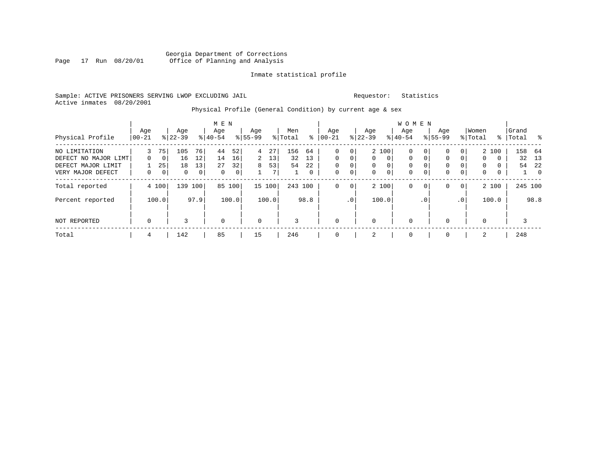#### Sample: ACTIVE PRISONERS SERVING LWOP EXCLUDING JAIL Requestor: Statistics Active inmates 08/20/2001

# Physical Profile (General Condition) by current age & sex

|                                            |                 |                      |                  |                | M E N            |             |                  |          |                |          |                   |                |                      |                         | WOMEN                |                      |                      |                            |                   |        |                    |                |
|--------------------------------------------|-----------------|----------------------|------------------|----------------|------------------|-------------|------------------|----------|----------------|----------|-------------------|----------------|----------------------|-------------------------|----------------------|----------------------|----------------------|----------------------------|-------------------|--------|--------------------|----------------|
| Physical Profile                           | Age<br>$ 00-21$ |                      | Age<br>$8 22-39$ |                | Age<br>$8 40-54$ |             | Age<br>$8 55-99$ |          | Men<br>% Total | နွ       | Age<br>$ 00 - 21$ |                | Age<br>$ 22-39 $     |                         | Age<br>$8 40-54$     |                      | Age<br>$8155 - 99$   |                            | Women<br>% Total  |        | Grand<br>%   Total |                |
| NO LIMITATION                              | 3               | 75                   | 105              | 76             | 44               | 52          | $\overline{4}$   | 27       | 156            | 64       | 0                 | 0              |                      | 2 100                   | 0                    | 0                    | 0                    | 0 <sup>1</sup>             |                   | 2 100  | 158                | - 64           |
| DEFECT NO MAJOR LIMT<br>DEFECT MAJOR LIMIT | $\Omega$        | $\overline{0}$<br>25 | 16<br>18         | 12<br>13       | 14<br>27         | 16<br>32    | 2<br>8           | 13<br>53 | 32<br>54       | 13<br>22 | 0<br>$\mathbf 0$  | $\Omega$<br>0  | $\Omega$<br>$\Omega$ | $\Omega$<br>$\mathbf 0$ | $\Omega$<br>$\Omega$ | $\Omega$<br>$\Omega$ | $\Omega$<br>$\Omega$ | $\Omega$<br>$\overline{0}$ | $\mathbf{0}$<br>0 | 0<br>0 | 54                 | 32 13<br>-22   |
| VERY MAJOR DEFECT                          | 0               | 0                    | 0                | $\overline{0}$ | $\mathbf 0$      | $\mathbf 0$ |                  | 7        |                | 0        | $\mathbf 0$       | 0              | $\mathbf 0$          | $\mathbf 0$             | $\mathbf 0$          | 0                    | 0                    | $\overline{0}$             | 0                 | 0      | $\perp$            | $\overline{0}$ |
| Total reported                             |                 | 4 100                | 139              | 100            | 85               | 100         |                  | 15 100   | 243 100        |          | $\mathbf 0$       | $\overline{0}$ |                      | 2 100                   | $\mathbf 0$          | $\mathbf{0}$         | 0                    | 0 <sup>1</sup>             |                   | 2 100  |                    | 245 100        |
| Percent reported                           |                 | 100.0                |                  | 97.9           |                  | 100.0       |                  | 100.0    |                | 98.8     |                   | .0'            |                      | 100.0                   |                      | . 0                  |                      | .0 <sup>1</sup>            |                   | 100.0  |                    | 98.8           |
| NOT REPORTED                               | $\mathbf 0$     |                      | 3                |                | $\mathbf 0$      |             | $\mathbf 0$      |          | 3              |          | $\mathbf 0$       |                | $\Omega$             |                         | $\mathbf 0$          |                      |                      |                            | $\Omega$          |        | 3                  |                |
| Total                                      | 4               |                      | 142              |                | 85               |             | 15               |          | 246            |          | $\mathbf 0$       |                | 2                    |                         | $\mathbf 0$          |                      | $\Omega$             |                            | 2                 |        | 248                |                |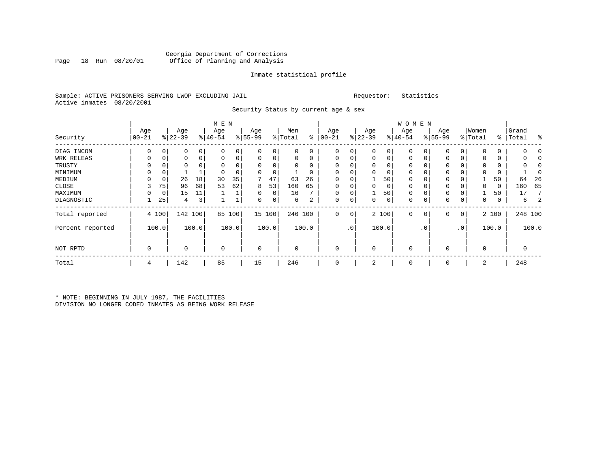### Georgia Department of Corrections Page 18 Run 08/20/01 Office of Planning and Analysis

#### Inmate statistical profile

|  |                           |  | Sample: ACTIVE PRISONERS SERVING LWOP EXCLUDING JAIL |  |
|--|---------------------------|--|------------------------------------------------------|--|
|  | Active inmates 08/20/2001 |  |                                                      |  |

L<br>
Sample: ACTIVE PREQUESTOR: Statistics

Security Status by current age & sex

|                  |                  |       |                  |       | M E N            |       |                  |          |                |       |                  |                |                  |       | W O M E N        |             |                    |                |                  |       |                    |         |
|------------------|------------------|-------|------------------|-------|------------------|-------|------------------|----------|----------------|-------|------------------|----------------|------------------|-------|------------------|-------------|--------------------|----------------|------------------|-------|--------------------|---------|
| Security         | Age<br>$00 - 21$ |       | Age<br>$ 22-39 $ |       | Age<br>$ 40-54 $ |       | Age<br>$8 55-99$ |          | Men<br>% Total | ွေ    | Age<br>$ 00-21 $ |                | Age<br>$ 22-39 $ |       | Age<br>$ 40-54 $ |             | Age<br>$8155 - 99$ |                | Women<br>% Total |       | Grand<br>%   Total | ႜ       |
| DIAG INCOM       | 0                | 0     | 0                | 0     | $\Omega$         | 0     | 0                | 0        |                | 0     | 0                | 0              | $\mathbf 0$      | 0     | $\mathbf 0$      | 0           | 0                  | 0              | O                | 0     | 0                  |         |
| WRK RELEAS       | 0                | 0     | 0                | 0     | $\Omega$         | 0     | 0                | 0        |                | 0     | 0                | 0              | $\mathbf 0$      | 0     | $\mathbf 0$      | $\mathbf 0$ | 0                  | 0              | 0                | 0     | 0                  |         |
| TRUSTY           | 0                | 0     |                  | 0     |                  |       | 0                | 0        |                |       |                  |                |                  | 0     | 0                |             | 0                  |                |                  | 0     |                    |         |
| MINIMUM          | 0                | 0     |                  |       | $\Omega$         |       |                  | $\Omega$ |                |       |                  |                |                  | 0     | $\Omega$         |             | 0                  |                | $\Omega$         | 0     |                    | 0       |
| MEDIUM           | 0                | 0     | 26               | 18    | 30               | 35    |                  | 47       | 63             | 26    | $\Omega$         |                |                  | 50    | 0                |             | 0                  |                |                  | 50    | 64                 | 26      |
| CLOSE            | 3                | 75    | 96               | 68    | 53               | 62    | 8                | 53       | 160            | 65    | $\Omega$         |                | $\Omega$         | 0     | 0                | 0           | 0                  |                | $\mathbf 0$      | 0     | 160                | 65      |
| MAXIMUM          | 0                | 0     | 15               | 11    |                  |       | 0                | 0        | 16             |       | $\Omega$         |                |                  | 50    | $\Omega$         |             | 0                  |                |                  | 50    | 17                 | 7       |
| DIAGNOSTIC       |                  | 25    | 4                | 3     |                  |       | 0                | 0        | 6              | 2     | 0                | 0              | 0                | 0     | 0                | 0           | 0                  | 0              | $\mathbf 0$      | 0     | 6                  | 2       |
| Total reported   |                  | 4 100 | 142 100          |       | 85               | 100   |                  | 15 100   | 246 100        |       | 0                | $\overline{0}$ |                  | 2 100 | $\mathbf 0$      | 0           | 0                  | $\overline{0}$ |                  | 2 100 |                    | 248 100 |
| Percent reported |                  | 100.0 |                  | 100.0 |                  | 100.0 |                  | 100.0    |                | 100.0 |                  | .0             |                  | 100.0 |                  | . 0         |                    | $\cdot$ 0      |                  | 100.0 |                    | 100.0   |
| NOT RPTD         | $\Omega$         |       | 0                |       | $\Omega$         |       | $\Omega$         |          |                |       |                  |                | $\Omega$         |       | $\Omega$         |             | 0                  |                | $\mathbf 0$      |       | 0                  |         |
| Total            | 4                |       | 142              |       | 85               |       | 15               |          | 246            |       | $\Omega$         |                | 2                |       | $\mathbf 0$      |             | 0                  |                | 2                |       | 248                |         |

\* NOTE: BEGINNING IN JULY 1987, THE FACILITIES DIVISION NO LONGER CODED INMATES AS BEING WORK RELEASE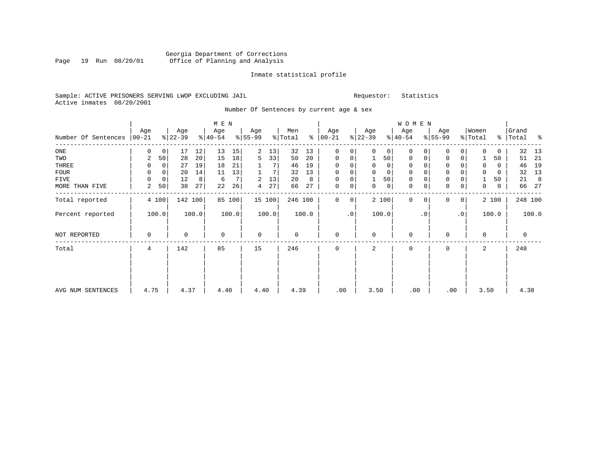#### Georgia Department of Corrections Page 19 Run 08/20/01 Office of Planning and Analysis

#### Inmate statistical profile

#### Sample: ACTIVE PRISONERS SERVING LWOP EXCLUDING JAIL Requestor: Statistics Active inmates 08/20/2001

### Number Of Sentences by current age & sex

|                     |          |              |           |                 | M E N     |                |           |                |             |       |               |             |              |             | W O M E N   |           |              |                 |                |       |           |       |
|---------------------|----------|--------------|-----------|-----------------|-----------|----------------|-----------|----------------|-------------|-------|---------------|-------------|--------------|-------------|-------------|-----------|--------------|-----------------|----------------|-------|-----------|-------|
|                     | Age      |              | Age       |                 | Age       |                | Age       |                | Men         |       | Age           |             | Age          |             | Age         |           | Age          |                 | Women          |       | Grand     |       |
| Number Of Sentences | $ 00-21$ |              | $ 22-39 $ |                 | $ 40-54 $ |                | $8 55-99$ |                | % Total     |       | $8   00 - 21$ |             | $ 22-39 $    |             | $ 40-54 $   |           | $ 55-99 $    |                 | % Total        |       | % Total % |       |
| $_{\rm ONE}$        | 0        | 0            | 17        | 12              | 13        | 15             | 2         | 13             | 32          | 13    | 0             | 0           | $\Omega$     | 0           | 0           |           | U            |                 |                | 0     | 32        | 13    |
| TWO                 | 2        | 50           | 28        | 20 <sup>1</sup> | 15        | 18             | 5         | 33             | 50          | 20    | $\mathbf 0$   | 0           |              | 50          | 0           | 0         | $\mathbf 0$  | 0 <sup>1</sup>  |                | 50    | 51        | 21    |
| THREE               | 0        | 0            | 27        | 19              | 18        | 21             |           | 7 <sup>1</sup> | 46          | 19    | 0             | 0           | $\mathbf 0$  | 0           | 0           |           | $\mathbf 0$  |                 | 0              | 0     | 46        | 19    |
| <b>FOUR</b>         | $\Omega$ | $\mathbf{0}$ | 20        | 14              | 11        | 13             |           | 7              | 32          | 13    | $\mathbf 0$   | $\mathbf 0$ | $\Omega$     | $\mathbf 0$ | $\mathbf 0$ |           | $\mathbf{0}$ |                 | $\mathbf 0$    | 0     | 32        | 13    |
| FIVE                | 0        | 0            | 12        | 8               | 6         | 7 <sup>1</sup> | 2         | 13             | 20          | 8     | 0             | 0           |              | 50          | $\mathbf 0$ |           | $\mathbf 0$  |                 |                | 50    | 21        | 8     |
| MORE THAN FIVE      | 2        | 50           | 38        | 27              | 22        | 26             | 4         | 27             | 66          | 27    | $\mathbf 0$   | 0           | $\mathbf{0}$ | $\mathbf 0$ | $\mathbf 0$ |           | $\mathbf 0$  | 0 <sup>1</sup>  | 0              | 0     | 66        | 27    |
| Total reported      |          | 4 100        | 142       | 100             |           | 85 100         |           | 15 100         | 246 100     |       | $\Omega$      | 0           |              | 2 100       | $\Omega$    |           | 0            | 0 <sup>1</sup>  |                | 2 100 | 248 100   |       |
| Percent reported    |          | 100.0        |           | 100.0           |           | 100.0          |           | 100.0          |             | 100.0 |               | $\cdot$ 0   |              | 100.0       |             | $\cdot$ 0 |              | .0 <sup>1</sup> |                | 100.0 |           | 100.0 |
| NOT REPORTED        | 0        |              | $\Omega$  |                 | $\Omega$  |                | $\Omega$  |                | $\mathbf 0$ |       | $\Omega$      |             | $\Omega$     |             | $\Omega$    |           | $\cap$       |                 | $\Omega$       |       | 0         |       |
| Total               | 4        |              | 142       |                 | 85        |                | 15        |                | 246         |       | $\Omega$      |             | 2            |             | $\mathbf 0$ |           | $\Omega$     |                 | $\overline{a}$ |       | 248       |       |
|                     |          |              |           |                 |           |                |           |                |             |       |               |             |              |             |             |           |              |                 |                |       |           |       |
| AVG NUM SENTENCES   | 4.75     |              | 4.37      |                 | 4.40      |                | 4.40      |                | 4.39        |       | .00           |             | 3.50         |             | .00         |           |              | .00             | 3.50           |       | 4.38      |       |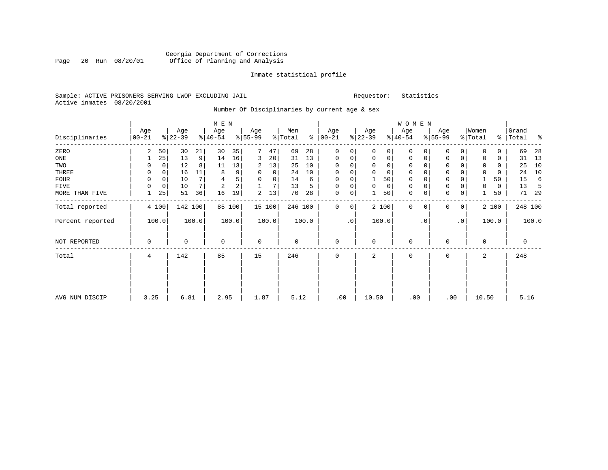#### Georgia Department of Corrections<br>Page 20 Run 08/20/01 Office of Planning and Analysis Page 20 Run 08/20/01 Office of Planning and Analysis

#### Inmate statistical profile

#### Sample: ACTIVE PRISONERS SERVING LWOP EXCLUDING JAIL Requestor: Statistics Active inmates 08/20/2001

# Number Of Disciplinaries by current age & sex

|                  |             |             |           |                | M E N          |        |             |             |             |       |              |              |          |             | <b>WOMEN</b> |           |             |                 |             |       |             |       |
|------------------|-------------|-------------|-----------|----------------|----------------|--------|-------------|-------------|-------------|-------|--------------|--------------|----------|-------------|--------------|-----------|-------------|-----------------|-------------|-------|-------------|-------|
|                  | Age         |             | Age       |                | Age            |        | Age         |             | Men         |       | Age          |              | Age      |             | Age          |           | Age         |                 | Women       |       | Grand       |       |
| Disciplinaries   | $00 - 21$   |             | $ 22-39 $ |                | $ 40-54 $      |        | $8 55-99$   |             | % Total     | နွ    | $ 00-21$     |              | $ 22-39$ |             | $ 40-54$     |           | $8 55-99$   |                 | % Total     |       | %   Total   | နွ    |
| ZERO             | 2           | 50          | 30        | 21             | 30             | 35     | 7           | 47          | 69          | 28    | $\mathbf{0}$ | 0            | $\Omega$ | 0           | $\mathbf 0$  | $\Omega$  | $\Omega$    | 0               | $\mathbf 0$ | 0     | 69          | 28    |
| $_{\rm ONE}$     |             | 25          | 13        | 9 <sup>1</sup> | 14             | 16     | 3           | 20          | 31          | 13    | $\mathbf 0$  | 0            | $\Omega$ | $\mathbf 0$ | $\mathbf 0$  | 0         | 0           | 0               | $\Omega$    | 0     | 31          | 13    |
| TWO              | 0           | 0           | 12        | 8              | 11             | 13     | 2           | 13          | 25          | 10    | $\Omega$     | 0            | $\Omega$ | $\mathbf 0$ | 0            | $\Omega$  | 0           |                 | 0           | 0     | 25          | 10    |
| THREE            | 0           | 0           | 16        | 11             | 8              | 9      | $\Omega$    | $\mathbf 0$ | 24          | 10    | $\mathbf 0$  | 0            | $\Omega$ | $\Omega$    | $\mathbf 0$  | $\Omega$  | $\mathbf 0$ |                 | $\Omega$    | 0     | 24          | 10    |
| <b>FOUR</b>      | $\mathbf 0$ | $\mathbf 0$ | 10        | 7              | 4              | 5      | 0           | $\mathbf 0$ | 14          | 6     | $\mathbf{0}$ | 0            |          | 50          | $\mathbf 0$  | $\Omega$  | $\mathbf 0$ |                 |             | 50    | 15          | 6     |
| <b>FIVE</b>      | $\mathbf 0$ | $\mathbf 0$ | 10        | 7              | $\overline{2}$ | 2      |             | 7           | 13          | 5     | $\mathbf 0$  | 0            | 0        | $\mathbf 0$ | $\mathbf 0$  | 0         | $\mathbf 0$ | 0               | 0           | 0     | 13          | -5    |
| MORE THAN FIVE   |             | 25          | 51        | 36             | 16             | 19     | 2           | 13          | 70          | 28    | $\mathbf 0$  | $\mathsf{O}$ |          | 50          | 0            | 0         | 0           | $\mathbf 0$     |             | 50    | 71          | 29    |
| Total reported   |             | 4 100       |           | 142 100        |                | 85 100 |             | 15 100      | 246 100     |       | $\mathbf{0}$ | $\mathbf 0$  |          | 2 100       | $\Omega$     | $\Omega$  | $\Omega$    | $\overline{0}$  |             | 2 100 | 248 100     |       |
| Percent reported |             | 100.0       |           | 100.0          |                | 100.0  |             | 100.0       |             | 100.0 |              | $\cdot$ 0    |          | 100.0       |              | $\cdot$ 0 |             | .0 <sup>1</sup> |             | 100.0 |             | 100.0 |
| NOT REPORTED     | $\mathbf 0$ |             | 0         |                | $\mathbf 0$    |        | $\mathbf 0$ |             | $\mathbf 0$ |       | $\mathbf 0$  |              | $\Omega$ |             | $\mathbf 0$  |           | $\Omega$    |                 | $\Omega$    |       | $\mathbf 0$ |       |
| Total            | 4           |             | 142       |                | 85             |        | 15          |             | 246         |       | $\mathbf 0$  |              | 2        |             | $\mathbf 0$  |           | $\Omega$    |                 | 2           |       | 248         |       |
|                  |             |             |           |                |                |        |             |             |             |       |              |              |          |             |              |           |             |                 |             |       |             |       |
| AVG NUM DISCIP   | 3.25        |             | 6.81      |                | 2.95           |        | 1.87        |             | 5.12        |       | .00          |              | 10.50    |             | .00          |           | .00         |                 | 10.50       |       | 5.16        |       |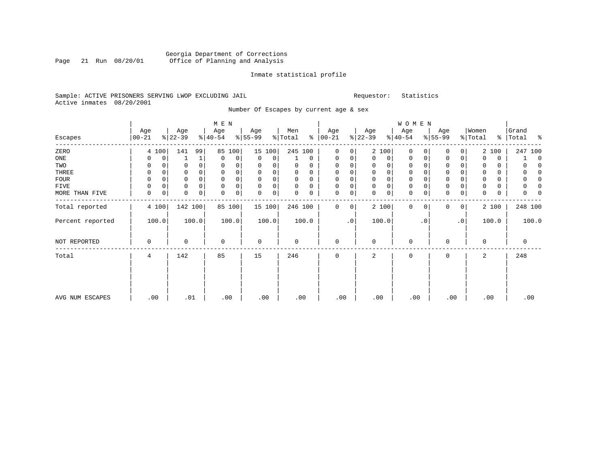#### Georgia Department of Corrections Page 21 Run 08/20/01 Office of Planning and Analysis

# Inmate statistical profile

|  |                           |  | Sample: ACTIVE PRISONERS SERVING LWOP EXCLUDING JAIL |  |
|--|---------------------------|--|------------------------------------------------------|--|
|  | Active inmates 08/20/2001 |  |                                                      |  |

Requestor: Statistics

Number Of Escapes by current age & sex

|                  |                  |   |                  |       | M E N            |        |                 |        |                |             |                      |             |                  |             | <b>WOMEN</b>     |           |                  |                 |                  |       |                 |             |
|------------------|------------------|---|------------------|-------|------------------|--------|-----------------|--------|----------------|-------------|----------------------|-------------|------------------|-------------|------------------|-----------|------------------|-----------------|------------------|-------|-----------------|-------------|
| Escapes          | Age<br>$00 - 21$ |   | Age<br>$ 22-39 $ |       | Age<br>$ 40-54 $ |        | Age<br>$ 55-99$ |        | Men<br>% Total |             | Age<br>$8   00 - 21$ |             | Age<br>$ 22-39 $ |             | Age<br>$ 40-54 $ |           | Age<br>$8 55-99$ |                 | Women<br>% Total | န္    | Grand<br> Total | ႜ           |
| ZERO             | 4 100            |   | 141              | 99    | 85               | 100    |                 | 15 100 | 245 100        |             | $\mathbf 0$          | 0           |                  | 2 100       | 0                | $\Omega$  | $\Omega$         | 0               |                  | 2 100 |                 | 247 100     |
| ONE              | 0                | 0 |                  | 1     | $\mathbf 0$      | 0      | 0               | 0      |                | $\mathbf 0$ | 0                    | 0           | 0                | 0           | 0                | 0         | $\mathbf 0$      | 0               | 0                | 0     |                 | $\mathbf 0$ |
| TWO              | 0                |   |                  |       | 0                | 0      | 0               | 0      | 0              | $\Omega$    | 0                    |             | $\Omega$         | 0           | 0                |           | 0                |                 | $\Omega$         | 0     |                 |             |
| THREE            | 0                | 0 |                  |       | $\mathbf 0$      | 0      | 0               | 0      | 0              | 0           | 0                    | 0           | $\mathbf 0$      | 0           | 0                |           | 0                |                 | 0                | 0     |                 |             |
| <b>FOUR</b>      | $\Omega$         |   |                  |       | 0                | 0      | $\Omega$        | 0      | 0              | $\Omega$    | $\Omega$             |             | 0                | $\mathsf 0$ | 0                |           | $\Omega$         |                 | 0                | 0     |                 |             |
| FIVE             | $\Omega$         |   | 0                |       | $\mathbf 0$      | 0      | $\Omega$        | 0      | 0              | 0           | 0                    | 0           | $\mathbf 0$      | $\mathbf 0$ | 0                |           | $\mathbf 0$      |                 | 0                | 0     |                 |             |
| MORE THAN FIVE   | $\Omega$         | 0 | 0                | 0     | $\mathbf 0$      | 0      | $\Omega$        | 0      | 0              | 0           | 0                    | 0           | $\Omega$         | $\mathsf 0$ | $\mathbf 0$      | 0         | $\Omega$         | 0               | 0                | 0     | U               |             |
| Total reported   | 4 100            |   | 142 100          |       |                  | 85 100 |                 | 15 100 | 246 100        |             | $\mathbf 0$          | $\mathbf 0$ |                  | 2 100       | $\Omega$         | $\Omega$  | $\Omega$         | $\overline{0}$  |                  | 2 100 |                 | 248 100     |
| Percent reported | 100.0            |   |                  | 100.0 |                  | 100.0  |                 | 100.0  |                | 100.0       |                      | $\cdot$ 0   |                  | 100.0       |                  | $\cdot$ 0 |                  | .0 <sup>1</sup> |                  | 100.0 |                 | 100.0       |
| NOT REPORTED     | 0                |   | $\Omega$         |       | $\mathbf 0$      |        | $\mathbf 0$     |        | $\Omega$       |             | 0                    |             | $\Omega$         |             | 0                |           | $\Omega$         |                 | $\Omega$         |       | 0               |             |
| Total            | 4                |   | 142              |       | 85               |        | 15              |        | 246            |             | $\Omega$             |             | 2                |             | $\Omega$         |           | $\Omega$         |                 | 2                |       | 248             |             |
|                  |                  |   |                  |       |                  |        |                 |        |                |             |                      |             |                  |             |                  |           |                  |                 |                  |       |                 |             |
| AVG NUM ESCAPES  | .00              |   | .01              |       |                  | .00    | .00             |        | .00            |             | .00                  |             | .00              |             | .00              |           | .00              |                 |                  | .00   |                 | .00         |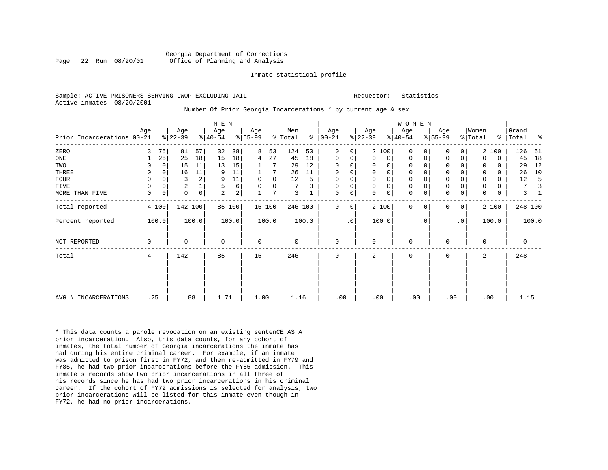Requestor: Statistics

|  |                           |  | Sample: ACTIVE PRISONERS SERVING LWOP EXCLUDING JAIL |  |
|--|---------------------------|--|------------------------------------------------------|--|
|  | Active inmates 08/20/2001 |  |                                                      |  |

#### Number Of Prior Georgia Incarcerations \* by current age & sex

|                              |     |       |                |             | M E N          |        |             |                |             |       |               |           |              |             | W O M E N   |           |             |           |          |          |         |       |
|------------------------------|-----|-------|----------------|-------------|----------------|--------|-------------|----------------|-------------|-------|---------------|-----------|--------------|-------------|-------------|-----------|-------------|-----------|----------|----------|---------|-------|
|                              | Age |       | Age            |             | Age            |        | Age         |                | Men         |       | Age           |           | Age          |             | Age         |           | Age         |           | Women    |          | Grand   |       |
| Prior Incarcerations   00-21 |     |       | $ 22-39 $      |             | $ 40-54 $      |        | $ 55-99 $   |                | % Total     |       | $8   00 - 21$ |           | $ 22-39 $    |             | $8 40-54$   |           | $ 55-99 $   |           | % Total  | ႜၟ       | Total   | ႜ     |
| ZERO                         | 3   | 75    | 81             | 57          | 32             | 38     | 8           | 53             | 124         | 50    | $\Omega$      | 0         |              | 2 100       | $\Omega$    |           | $\Omega$    | 0         |          | 2 100    | 126     | -51   |
| ONE                          |     | 25    | 25             | 18          | 15             | 18     | 4           | 27             | 45          | 18    | $\mathbf 0$   | 0         | $\mathbf{0}$ | 0           | $\mathbf 0$ | 0         | 0           | 0         | $\Omega$ | 0        | 45      | 18    |
| TWO                          |     | 0     | 15             | 11          | 13             | 15     |             |                | 29          | 12    | 0             | 0         | 0            | 0           | $\mathbf 0$ |           | 0           |           | 0        | $\Omega$ | 29      | 12    |
| THREE                        | 0   | 0     | 16             | 11          | 9              | 11     |             | 7              | 26          | 11    | $\mathbf 0$   | 0         | $\mathbf 0$  | $\mathsf 0$ | $\mathbf 0$ |           | $\mathbf 0$ | 0         |          | $\Omega$ | 26      | 10    |
| FOUR                         |     |       | 3              | 2           | 9              | 11     | $\mathbf 0$ | $\mathbf 0$    | 12          | 5     | $\mathbf 0$   | 0         | 0            | $\mathsf 0$ | $\mathbf 0$ |           | $\mathbf 0$ |           | 0        | 0        | 12      |       |
| FIVE                         | 0   |       | $\overline{2}$ |             | 5              | 6      | $\Omega$    | $\mathbf 0$    | 7           | 3     | $\mathbf 0$   | 0         | 0            | $\mathsf 0$ | $\mathbf 0$ |           | $\mathbf 0$ | 0         |          | 0        | 7       |       |
| MORE THAN FIVE               | 0   | 0     | $\mathbf 0$    | $\mathbf 0$ | $\overline{a}$ | 2      |             | $\overline{7}$ | 3           |       | 0             | 0         | $\Omega$     | $\mathsf 0$ | $\mathsf 0$ | 0         | $\mathbf 0$ | 0         | $\Omega$ | 0        | 3       |       |
| Total reported               |     | 4 100 | 142 100        |             |                | 85 100 |             | 15 100         | 246 100     |       | $\Omega$      | 0         |              | 2 100       | $\Omega$    | $\Omega$  | 0           | 0         |          | 2 100    | 248 100 |       |
| Percent reported             |     | 100.0 |                | 100.0       |                | 100.0  |             | 100.0          |             | 100.0 |               | $\cdot$ 0 |              | 100.0       |             | $\cdot$ 0 |             | $\cdot$ 0 |          | 100.0    |         | 100.0 |
| NOT REPORTED                 | 0   |       | $\mathbf 0$    |             | $\mathbf 0$    |        | $\mathbf 0$ |                | $\mathbf 0$ |       | $\mathbf 0$   |           | 0            |             | $\mathbf 0$ |           | $\mathbf 0$ |           | $\Omega$ |          | 0       |       |
| Total                        | 4   |       | 142            |             | 85             |        | 15          |                | 246         |       | 0             |           | 2            |             | 0           |           | $\mathbf 0$ |           | 2        |          | 248     |       |
|                              |     |       |                |             |                |        |             |                |             |       |               |           |              |             |             |           |             |           |          |          |         |       |
|                              |     |       |                |             |                |        |             |                |             |       |               |           |              |             |             |           |             |           |          |          |         |       |
| AVG # INCARCERATIONS         | .25 |       | .88            |             | 1.71           |        | 1.00        |                | 1.16        |       | .00           |           | .00          |             | .00         |           | .00         |           | .00      |          | 1.15    |       |

\* This data counts a parole revocation on an existing sentenCE AS A prior incarceration. Also, this data counts, for any cohort of inmates, the total number of Georgia incarcerations the inmate has had during his entire criminal career. For example, if an inmate was admitted to prison first in FY72, and then re-admitted in FY79 and FY85, he had two prior incarcerations before the FY85 admission. This inmate's records show two prior incarcerations in all three of his records since he has had two prior incarcerations in his criminal career. If the cohort of FY72 admissions is selected for analysis, two prior incarcerations will be listed for this inmate even though in FY72, he had no prior incarcerations.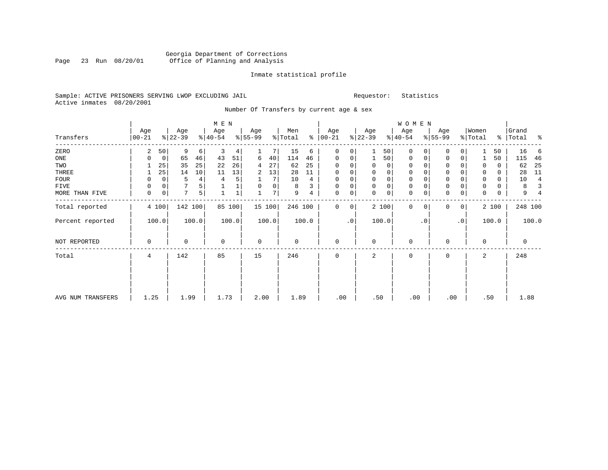#### Georgia Department of Corrections Page 23 Run 08/20/01 Office of Planning and Analysis

# Inmate statistical profile

|  |                           |  | Sample: ACTIVE PRISONERS SERVING LWOP EXCLUDING JAIL |  |
|--|---------------------------|--|------------------------------------------------------|--|
|  | Active inmates 08/20/2001 |  |                                                      |  |

L<br>
Sample: ACTIVE PREQUESTOR: Statistics

Number Of Transfers by current age & sex

|                   |           |    |           |                | M E N       |        |             |        |         |       |             |    |             |       | W O M E N    |             |           |              |             |       |             |                |
|-------------------|-----------|----|-----------|----------------|-------------|--------|-------------|--------|---------|-------|-------------|----|-------------|-------|--------------|-------------|-----------|--------------|-------------|-------|-------------|----------------|
|                   | Age       |    | Age       |                | Age         |        | Age         |        | Men     |       | Age         |    | Age         |       | Age          |             | Age       |              | Women       |       | Grand       |                |
| Transfers         | $00 - 21$ |    | $ 22-39 $ |                | $ 40-54 $   |        | $ 55-99$    |        | % Total | ွေ    | $ 00-21$    |    | $ 22-39 $   |       | $ 40-54 $    |             | $8 55-99$ |              | % Total     |       | %   Total   | နွ             |
| ZERO              | 2         | 50 | 9         | $6 \mid$       | 3           | 4      |             |        | 15      | 6     | $\mathbf 0$ | 0  |             | 50    | $\mathbf{0}$ | $\Omega$    | $\Omega$  | $\Omega$     |             | 50    | 16          | -6             |
| ONE               | $\Omega$  | 0  | 65        | 46             | 43          | 51     | 6           | 40     | 114     | 46    | 0           | 0  | 1           | 50    | $\mathbf{0}$ | 0           | 0         | 0            |             | 50    | 115         | 46             |
| TWO               |           | 25 | 35        | 25             | 22          | 26     | 4           | 27     | 62      | 25    | $\Omega$    |    | 0           | 0     | 0            | 0           | 0         |              | $\Omega$    | 0     | 62          | 25             |
| THREE             |           | 25 | 14        | 10             | 11          | 13     | 2           | 13     | 28      | 11    | 0           | 0  | 0           | 0     | 0            | $\mathbf 0$ | 0         |              | 0           | 0     | 28          | 11             |
| <b>FOUR</b>       | 0         | 0  | 5         | 4              | 4           | 5      |             | 7      | 10      | 4     | $\Omega$    |    | 0           | 0     | 0            | $\Omega$    | 0         |              | $\mathbf 0$ | 0     | 10          | $\overline{4}$ |
| FIVE              | $\Omega$  | 0  |           | 5              |             | 1      | $\Omega$    | 0      | 8       | 3     | $\Omega$    |    | $\mathbf 0$ | 0     | 0            | $\Omega$    | 0         |              | 0           | 0     | 8           | 3              |
| MORE THAN FIVE    | 0         | 0  | 7         | 5 <sup>1</sup> |             |        |             | 7      | 9       | 4     | $\Omega$    | 0  | $\Omega$    | 0     | $\mathbf 0$  | $\mathbf 0$ | $\Omega$  | 0            | $\Omega$    | 0     | 9           |                |
| Total reported    | 4 100     |    | 142 100   |                |             | 85 100 |             | 15 100 | 246 100 |       | $\Omega$    | 0  |             | 2 100 | $\Omega$     | $\Omega$    | $\Omega$  | $\mathbf{0}$ |             | 2 100 | 248 100     |                |
| Percent reported  | 100.0     |    |           | 100.0          |             | 100.0  |             | 100.0  |         | 100.0 |             | .0 |             | 100.0 |              | $\cdot$ 0   |           | $\cdot$ 0    |             | 100.0 |             | 100.0          |
| NOT REPORTED      | 0         |    | $\Omega$  |                | $\mathbf 0$ |        | $\mathbf 0$ |        | 0       |       | $\mathbf 0$ |    | 0           |       | $\mathbf 0$  |             | 0         |              | $\Omega$    |       | $\mathbf 0$ |                |
| Total             | 4         |    | 142       |                | 85          |        | 15          |        | 246     |       | $\Omega$    |    | 2           |       | $\Omega$     |             | $\Omega$  |              | 2           |       | 248         |                |
|                   |           |    |           |                |             |        |             |        |         |       |             |    |             |       |              |             |           |              |             |       |             |                |
| AVG NUM TRANSFERS | 1.25      |    | 1.99      |                | 1.73        |        | 2.00        |        | 1.89    |       | .00         |    | .50         |       | .00          |             | .00       |              | .50         |       | 1.88        |                |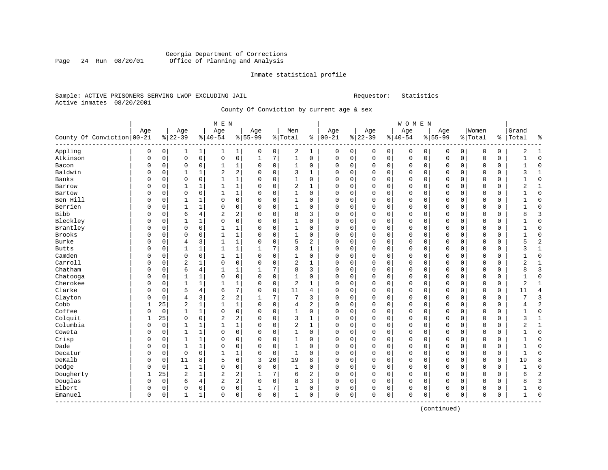#### Georgia Department of Corrections Page 24 Run 08/20/01 Office of Planning and Analysis

#### Inmate statistical profile

#### Sample: ACTIVE PRISONERS SERVING LWOP EXCLUDING JAIL Requestor: Statistics Active inmates 08/20/2001

### County Of Conviction by current age & sex

|                                  |          |             |                |              | M E N                   |                |           |             |              |              |              |                |          |   | WOMEN        |             |             |             |             |             |                |                |
|----------------------------------|----------|-------------|----------------|--------------|-------------------------|----------------|-----------|-------------|--------------|--------------|--------------|----------------|----------|---|--------------|-------------|-------------|-------------|-------------|-------------|----------------|----------------|
|                                  | Age      |             | Age            |              | Age                     |                | Age       |             | Men          |              | Age          |                | Age      |   | Age          |             | Age         |             | Women       |             | Grand          |                |
| County Of Conviction 00-21       |          |             | $ 22-39$       |              | $8 40-54$               |                | $8 55-99$ |             | %   Total    | ႜ            | $ 00-21$     |                | $ 22-39$ |   | $ 40-54$     |             | $8155 - 99$ |             | % Total     |             | %   Total      | နွ             |
| Appling                          | 0        | 0           | 1              | 1            | 1                       | $\mathbf{1}$   | 0         | 0           | 2            | 1            | $\mathbf 0$  | $\overline{0}$ | 0        | 0 | $\mathbf 0$  | 0           | 0           | 0           | $\mathbf 0$ | 0           | 2              | 1              |
| Atkinson                         | 0        | 0           | $\mathbf 0$    | $\mathbf 0$  | $\mathbf 0$             | 0              | 1         | 7           | $\mathbf{1}$ | 0            | $\mathbf 0$  | 0 <sup>1</sup> | 0        | 0 | $\mathbf 0$  | $\mathbf 0$ | 0           | $\mathbf 0$ | $\mathbf 0$ | 0           | 1              | $\mathbf 0$    |
| Bacon                            | 0        | $\mathbf 0$ | $\mathbf 0$    | $\mathbf 0$  | $\mathbf{1}$            | 1              | $\Omega$  | $\mathsf 0$ | 1            | 0            | $\Omega$     | $\mathbf 0$    | 0        | 0 | $\Omega$     | $\mathbf 0$ | $\Omega$    | 0           | $\mathbf 0$ | $\mathbf 0$ | $\mathbf{1}$   | $\mathsf 0$    |
| Baldwin                          | U        | 0           | 1              | 1            | $\overline{\mathbf{c}}$ | 2              | $\Omega$  | $\mathbf 0$ | 3            | $\mathbf{1}$ | $\Omega$     | $\Omega$       | 0        | 0 | $\Omega$     | $\mathbf 0$ | 0           | $\Omega$    | $\Omega$    | $\Omega$    | 3              | $1\,$          |
| Banks                            | U        | 0           | $\Omega$       | 0            | $\mathbf{1}$            | $\mathbf 1$    | $\Omega$  | $\mathbf 0$ | 1            | 0            | $\Omega$     | $\Omega$       | 0        | 0 | $\Omega$     | 0           | $\Omega$    | $\Omega$    | $\Omega$    | 0           |                | 0              |
| Barrow                           | U        | $\Omega$    | 1              |              | $\mathbf{1}$            | $\mathbf 1$    | $\Omega$  | $\mathbf 0$ | 2            | 1            | $\mathbf 0$  | $\Omega$       | $\Omega$ | 0 | $\Omega$     | 0           | $\Omega$    | $\Omega$    | $\Omega$    | $\Omega$    |                | $\mathbf{1}$   |
| Bartow                           | U        | $\Omega$    | $\Omega$       | $\Omega$     | 1                       | $\mathbf 1$    | $\Omega$  | $\mathbf 0$ | 1            | 0            | $\mathbf 0$  | $\Omega$       | $\Omega$ | 0 | $\Omega$     | $\Omega$    | 0           | $\Omega$    | $\Omega$    | $\Omega$    | 1              | $\mathbf 0$    |
| Ben Hill                         | 0        | 0           |                |              | 0                       | $\mathbf 0$    | $\Omega$  | $\mathbf 0$ | 1            | 0            | $\mathbf 0$  | 0              | 0        | 0 | $\Omega$     | 0           | 0           | 0           | $\Omega$    | 0           | 1              | 0              |
| Berrien                          | 0        | $\Omega$    | 1              | 1            | $\mathbf 0$             | 0              | $\Omega$  | $\mathbf 0$ | 1            | 0            | 0            | 0              | 0        | 0 | $\Omega$     | 0           | 0           | 0           | $\mathbf 0$ | 0           | $\mathbf{1}$   | $\mathbf 0$    |
| <b>Bibb</b>                      | U        | $\Omega$    | 6              | 4            | 2                       | 2              | $\Omega$  | $\mathbf 0$ | 8            | 3            | $\Omega$     | $\Omega$       | $\Omega$ | 0 | $\Omega$     | $\Omega$    | 0           | $\Omega$    | $\Omega$    | $\Omega$    | 8              | 3              |
| Bleckley                         | U        | 0           | 1              | 1            | $\mathbf 0$             | 0              | $\Omega$  | $\mathbf 0$ | 1            | 0            | $\Omega$     | $\Omega$       | 0        | 0 | $\Omega$     | 0           | 0           | $\Omega$    | $\Omega$    | $\Omega$    |                | 0              |
| Brantley                         | U        | $\Omega$    | $\Omega$       | $\Omega$     | $\mathbf{1}$            | 1              | $\Omega$  | $\mathbf 0$ | 1            | 0            | $\mathbf 0$  | $\Omega$       | $\Omega$ | 0 | $\Omega$     | $\mathbf 0$ | $\Omega$    | $\Omega$    | $\Omega$    | $\Omega$    | 1              | $\mathbf 0$    |
| <b>Brooks</b>                    | U        | $\Omega$    | $\mathbf 0$    | $\Omega$     | $\mathbf{1}$            | $\mathbf 1$    | $\Omega$  | $\mathbf 0$ | 1            | 0            | $\mathbf 0$  | $\Omega$       | 0        | 0 | $\Omega$     | $\Omega$    | 0           | $\Omega$    | $\Omega$    | $\Omega$    | $\mathbf{1}$   | $\mathbf 0$    |
| <b>Burke</b>                     | U        | 0           | $\overline{4}$ | 3            | $\mathbf{1}$            | $1\,$          | $\Omega$  | $\mathsf 0$ | 5            | 2            | $\mathbf 0$  | $\Omega$       | $\Omega$ | 0 | 0            | $\mathbf 0$ | 0           | $\Omega$    | $\mathbf 0$ | 0           | 5              | $\sqrt{2}$     |
| <b>Butts</b>                     | U        | 0           | 1              | 1            | $\mathbf{1}$            | 1              |           | 7           | 3            | $\mathbf{1}$ | $\mathbf 0$  | 0              | 0        | 0 | $\Omega$     | 0           | 0           | 0           | $\Omega$    | 0           | 3              | $1\,$          |
| Camden                           | O        | $\Omega$    | $\Omega$       | 0            | 1                       | 1              | $\Omega$  | $\mathbf 0$ | 1            | 0            | $\Omega$     | 0              | 0        | 0 | $\Omega$     | 0           | 0           | 0           | $\Omega$    | 0           | 1              | $\mathbf 0$    |
| Carroll                          | O        | 0           | 2              |              | 0                       | $\mathbf 0$    | $\Omega$  | 0           | 2            | 1            | $\mathbf 0$  | 0              | 0        | 0 | $\mathbf 0$  | 0           | 0           | 0           | $\Omega$    | 0           | 2              | 1              |
| Chatham                          | O        | $\Omega$    | 6              | 4            | $\mathbf{1}$            | 1              |           | 7           | 8            | 3            | $\mathbf{0}$ | 0              | 0        | 0 | $\mathbf 0$  | $\mathbf 0$ | 0           | 0           | $\Omega$    | $\Omega$    | 8              | 3              |
| Chatooga                         | 0        | $\Omega$    | 1              | $\mathbf{1}$ | $\Omega$                | $\mathbf 0$    | $\Omega$  | $\mathbf 0$ | $\mathbf{1}$ | $\Omega$     | $\Omega$     | $\Omega$       | $\Omega$ | 0 | $\Omega$     | $\Omega$    | 0           | $\Omega$    | $\Omega$    | $\Omega$    | 1              | $\mathbf 0$    |
| Cherokee                         | 0        | 0           |                |              | $\mathbf{1}$            | $\mathbf 1$    | $\Omega$  | $\mathbf 0$ | 2            | $\mathbf{1}$ | $\Omega$     | $\Omega$       | $\Omega$ | 0 | 0            | $\Omega$    | $\Omega$    | $\Omega$    | $\Omega$    | 0           | $\overline{2}$ | $\mathbf{1}$   |
| Clarke                           | U        | 0           | 5              | 4            | 6                       | 7              | $\Omega$  | $\mathbf 0$ | 11           | 4            | $\Omega$     | $\Omega$       | 0        | 0 | $\Omega$     | $\mathbf 0$ | 0           | $\Omega$    | $\Omega$    | $\Omega$    | 11             | $\overline{4}$ |
| Clayton                          | U        | $\mathbf 0$ | $\overline{4}$ | 3            | $\overline{\mathbf{c}}$ | $\overline{a}$ | 1         | 7           | 7            | 3            | $\Omega$     | 0              | $\Omega$ | 0 | $\Omega$     | 0           | $\Omega$    | 0           | $\Omega$    | 0           | 7              | 3              |
| Cobb                             |          | 25          | $\overline{2}$ |              |                         | $\mathbf 1$    | $\Omega$  | $\mathbf 0$ | 4            | 2            | $\mathbf 0$  | 0              | 0        | 0 | 0            | 0           | 0           | 0           | $\Omega$    | 0           | 4              | $\overline{2}$ |
| Coffee                           | U        | $\mathbf 0$ | 1              | $\mathbf{1}$ | $\mathbf 0$             | 0              | $\Omega$  | $\mathbf 0$ | 1            | 0            | $\mathbf 0$  | $\Omega$       | 0        | 0 | $\mathbf 0$  | 0           | 0           | $\Omega$    | $\Omega$    | $\Omega$    |                | 0              |
| Colquit                          |          | 25          | $\mathbf 0$    | $\mathbf 0$  | $\overline{2}$          | 2              | $\Omega$  | $\mathbf 0$ | 3            | 1            | $\mathbf 0$  | 0              | 0        | 0 | $\mathbf 0$  | 0           | 0           | $\Omega$    | $\mathbf 0$ | 0           | 3              | 1              |
| Columbia                         | 0        | $\mathbf 0$ | 1              | 1            | 1                       | $\mathbf 1$    | $\Omega$  | $\mathbf 0$ | 2            | 1            | $\Omega$     | 0              | 0        | 0 | $\Omega$     | 0           | 0           | 0           | $\mathbf 0$ | 0           | 2              | 1              |
| Coweta                           | 0        | 0           | $\mathbf{1}$   | $\mathbf{1}$ | $\Omega$                | $\mathbf 0$    | $\Omega$  | $\mathbf 0$ | $\mathbf 1$  | 0            | $\Omega$     | $\Omega$       | $\Omega$ | 0 | $\Omega$     | $\mathbf 0$ | 0           | $\Omega$    | $\Omega$    | $\Omega$    | $\mathbf{1}$   | $\mathbf 0$    |
| Crisp                            | U        | 0           | 1              | 1            | $\Omega$                | $\mathbf 0$    | $\Omega$  | $\mathbf 0$ | 1            | 0            | $\Omega$     | 0              | $\Omega$ | 0 | $\Omega$     | 0           | $\Omega$    | $\Omega$    | $\Omega$    | 0           | 1              | $\mathsf 0$    |
| Dade                             | U        | 0           | 1              |              | $\Omega$                | 0              | $\Omega$  | $\mathbf 0$ | 1            | 0            | $\Omega$     | $\Omega$       | $\Omega$ | 0 | 0            | 0           | 0           | $\Omega$    | $\Omega$    | 0           |                | $\mathsf 0$    |
| Decatur                          | U        | $\Omega$    | $\Omega$       | 0            | $\mathbf{1}$            | 1              | $\Omega$  | $\mathbf 0$ | $\mathbf{1}$ | $\Omega$     | $\Omega$     | $\Omega$       | 0        | 0 | $\Omega$     | $\Omega$    | 0           | $\Omega$    | $\Omega$    | $\Omega$    | 1              | $\mathbf 0$    |
| DeKalb                           | U        | $\mathbf 0$ | 11             | 8            | 5                       | 6              | 3         | 20          | 19           | 8            | $\mathbf 0$  | $\Omega$       | 0        | 0 | 0            | $\Omega$    | 0           | $\Omega$    | $\mathbf 0$ | $\Omega$    | 19             | 8              |
| Dodge                            | 0        | $\mathbf 0$ | 1              |              | $\mathbf 0$             | 0              | $\Omega$  | $\mathbf 0$ | 1            | 0            | $\mathbf 0$  | 0              | 0        | 0 | 0            | 0           | 0           | 0           | $\mathbf 0$ | 0           | 1              | $\mathsf 0$    |
| Dougherty                        | 1        | 25          | $\overline{c}$ | $\mathbf{1}$ | $\overline{a}$          | 2              |           | 7           | 6            | 2            | $\mathbf 0$  | 0              | 0        | 0 | $\Omega$     | $\mathbf 0$ | 0           | 0           | $\mathbf 0$ | $\mathbf 0$ | 6              | $\sqrt{2}$     |
| Douglas                          | $\Omega$ | $\mathbf 0$ | 6              | 4            | 2                       | 2              | $\Omega$  | $\mathbf 0$ | 8            | 3            | $\Omega$     | $\mathbf 0$    | 0        | 0 | $\Omega$     | $\mathbf 0$ | 0           | $\Omega$    | $\Omega$    | 0           | 8              | 3              |
| Elbert                           | 0        | 0           | $\Omega$       | 0            | 0                       | 0              |           | 7           | 1            | 0            | $\Omega$     | 0              | 0        | 0 | 0            | 0           | 0           | 0           | $\Omega$    | 0           |                | 0              |
| Emanuel<br>- - - - - - - - - - - | 0        | 0           | 1              | 1            | $\Omega$                | 0              | $\Omega$  | $\mathbf 0$ | $\mathbf{1}$ | 0            | $\mathbf{0}$ | 0              | $\Omega$ | 0 | $\mathbf{0}$ | 0           | 0           | 0           | $\Omega$    | 0           | 1              | $\Omega$       |

(continued)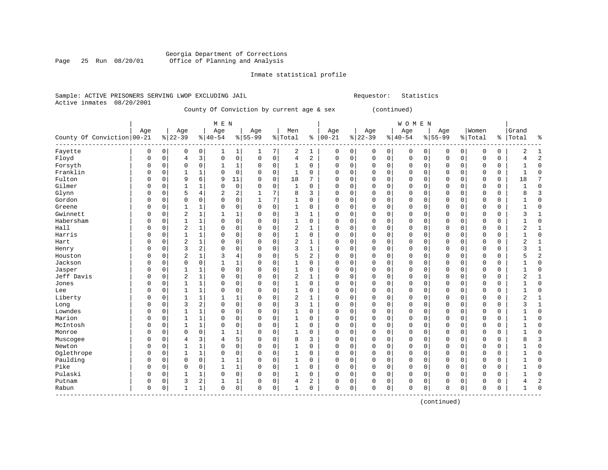#### Georgia Department of Corrections Page 25 Run 08/20/01 Office of Planning and Analysis

#### Inmate statistical profile

#### Sample: ACTIVE PRISONERS SERVING LWOP EXCLUDING JAIL Requestor: Statistics Active inmates 08/20/2001

# County Of Conviction by current age & sex (continued)

|                              |          |          |                |              | M E N        |                |           |             |                |             |             |             |          |             | WOMEN        |             |             |             |          |             |                |                |
|------------------------------|----------|----------|----------------|--------------|--------------|----------------|-----------|-------------|----------------|-------------|-------------|-------------|----------|-------------|--------------|-------------|-------------|-------------|----------|-------------|----------------|----------------|
|                              | Age      |          | Age            |              | Age          |                | Age       |             | Men            |             | Age         |             | Age      |             | Age          |             | Age         |             | Women    |             | Grand          |                |
| County Of Conviction   00-21 |          |          | $8 22-39$      |              | $8 40-54$    |                | $8 55-99$ |             | % Total        |             | $% 100-21$  |             | $ 22-39$ |             | $8 40-54$    |             | $8 55-99$   |             | % Total  | နွ          | Total          | ៖              |
| Fayette                      | 0        | 0        | 0              | 0            |              | 1              | 1         | 7           | $\overline{c}$ | 1           | 0           | $\mathsf 0$ | 0        | 0           | $\mathbf 0$  | 0           | 0           | 0           | $\Omega$ | 0           | 2              | $\overline{1}$ |
| Floyd                        | $\Omega$ | $\Omega$ | 4              | 3            | $\Omega$     | $\mathbf 0$    | 0         | 0           | $\overline{4}$ | 2           | $\Omega$    | $\mathbf 0$ | 0        | 0           | $\mathbf 0$  | 0           | O           | 0           | $\Omega$ | $\Omega$    | 4              | $\overline{2}$ |
| Forsyth                      | $\Omega$ | 0        | $\Omega$       | $\mathbf 0$  | 1            | 1              | 0         | $\mathbf 0$ | 1              | 0           | $\Omega$    | $\mathbf 0$ | 0        | 0           | 0            | 0           | $\Omega$    | $\mathbf 0$ | $\Omega$ | $\Omega$    | 1              | $\Omega$       |
| Franklin                     | 0        | 0        | $\mathbf{1}$   | 1            | $\Omega$     | $\mathbf 0$    | 0         | 0           | 1              | 0           | $\mathbf 0$ | $\mathbf 0$ | 0        | 0           | 0            | 0           | 0           | 0           | $\Omega$ | 0           | 1              | $\Omega$       |
| Fulton                       | $\Omega$ | 0        | 9              | 6            | 9            | 11             | $\Omega$  | $\mathbf 0$ | 18             | 7           | $\Omega$    | $\mathbf 0$ | 0        | $\mathbf 0$ | $\Omega$     | 0           | $\Omega$    | $\mathbf 0$ | $\Omega$ | $\Omega$    | 18             |                |
| Gilmer                       | $\Omega$ | $\Omega$ | $\mathbf{1}$   | $\mathbf{1}$ | $\Omega$     | $\mathbf 0$    | $\Omega$  | $\Omega$    | 1              | $\mathbf 0$ | $\Omega$    | $\mathbf 0$ | $\Omega$ | $\mathbf 0$ | $\Omega$     | $\Omega$    | $\Omega$    | $\mathbf 0$ | $\Omega$ | $\Omega$    | $\mathbf{1}$   | $\Omega$       |
| Glynn                        | $\Omega$ | $\Omega$ | 5              | 4            | 2            | $\overline{2}$ | 1         | 7           | 8              | 3           | $\Omega$    | $\mathbf 0$ | 0        | $\mathbf 0$ | $\Omega$     | $\Omega$    | $\Omega$    | $\mathbf 0$ | $\Omega$ | $\Omega$    | 8              |                |
| Gordon                       | $\Omega$ | $\Omega$ | 0              | 0            | $\Omega$     | $\mathbf 0$    | 1         | 7           | 1              | 0           | $\Omega$    | $\mathbf 0$ | 0        | 0           | $\Omega$     | $\Omega$    | 0           | 0           | $\Omega$ | 0           | 1              | $\Omega$       |
| Greene                       | $\Omega$ | 0        | 1              | 1            | 0            | $\mathbf 0$    | 0         | $\mathbf 0$ | 1              | $\mathbf 0$ | 0           | $\mathbf 0$ | 0        | $\mathbf 0$ | $\mathbf 0$  | 0           | $\mathbf 0$ | $\mathbf 0$ | $\Omega$ | $\mathbf 0$ | $\mathbf{1}$   | $\Omega$       |
| Gwinnett                     | $\Omega$ | 0        | $\overline{2}$ | $\mathbf 1$  | 1            | 1              | 0         | 0           | 3              | 1           | $\Omega$    | $\mathsf 0$ | 0        | 0           | $\mathbf 0$  | 0           | O           | 0           | $\Omega$ | $\Omega$    | 3              | $\mathbf{1}$   |
| Habersham                    | $\Omega$ | $\Omega$ | $\mathbf{1}$   | 1            | $\Omega$     | $\mathbf 0$    | $\Omega$  | $\mathbf 0$ | 1              | 0           | $\Omega$    | $\mathbf 0$ | 0        | 0           | $\mathbf 0$  | 0           | $\Omega$    | $\mathbf 0$ | $\Omega$ | 0           | 1              | $\Omega$       |
| Hall                         | $\Omega$ | $\Omega$ | 2              | 1            | $\Omega$     | $\mathbf 0$    | $\Omega$  | 0           | $\overline{2}$ | 1           | $\Omega$    | $\mathbf 0$ | 0        | 0           | $\Omega$     | $\Omega$    | $\Omega$    | 0           | $\Omega$ | $\Omega$    | $\overline{2}$ | $\mathbf{1}$   |
| Harris                       | $\Omega$ | $\Omega$ | $\mathbf{1}$   | $\mathbf{1}$ | $\Omega$     | $\mathbf 0$    | $\Omega$  | $\Omega$    | $\mathbf{1}$   | 0           | $\Omega$    | $\mathbf 0$ | 0        | $\mathbf 0$ | $\Omega$     | $\Omega$    | $\Omega$    | 0           | $\Omega$ | 0           | $\mathbf{1}$   | $\Omega$       |
| Hart                         | $\Omega$ | $\Omega$ | $\overline{2}$ | $\mathbf{1}$ | $\Omega$     | $\mathbf 0$    | 0         | $\mathbf 0$ | $\overline{2}$ | 1           | $\mathbf 0$ | $\mathbf 0$ | $\Omega$ | $\mathbf 0$ | $\mathbf 0$  | $\Omega$    | $\Omega$    | 0           | $\Omega$ | $\Omega$    | $\overline{2}$ | $\mathbf{1}$   |
| Henry                        | $\Omega$ | $\Omega$ | 3              | 2            | $\Omega$     | $\mathbf 0$    | $\Omega$  | $\mathbf 0$ | 3              | 1           | $\Omega$    | $\mathbf 0$ | $\Omega$ | $\mathbf 0$ | $\Omega$     | $\mathbf 0$ | $\Omega$    | $\mathbf 0$ | $\Omega$ | $\mathbf 0$ | 3              | $\mathbf{1}$   |
| Houston                      | 0        | 0        | 2              | $\mathbf 1$  | 3            | $\overline{4}$ | $\Omega$  | 0           | 5              | 2           | $\Omega$    | $\mathbf 0$ | 0        | 0           | $\mathbf 0$  | 0           | O           | 0           | $\Omega$ | 0           | 5              | $\overline{2}$ |
| Jackson                      | $\Omega$ | 0        | $\Omega$       | $\mathbf 0$  |              | 1              | $\Omega$  | 0           | 1              | 0           | $\Omega$    | $\mathbf 0$ | 0        | 0           | $\Omega$     | 0           | $\Omega$    | $\mathbf 0$ | $\Omega$ | $\Omega$    | $\mathbf{1}$   | $\Omega$       |
| Jasper                       | $\Omega$ | 0        | $\mathbf{1}$   | 1            | $\Omega$     | $\mathbf 0$    | $\Omega$  | 0           | $\mathbf{1}$   | 0           | $\Omega$    | $\mathbf 0$ | 0        | 0           | $\mathbf 0$  | 0           | O           | $\mathbf 0$ | $\Omega$ | 0           | $\mathbf{1}$   | $\Omega$       |
| Jeff Davis                   | $\Omega$ | 0        | $\overline{2}$ | 1            | $\Omega$     | $\mathbf 0$    | 0         | 0           | 2              | 1           | $\mathbf 0$ | $\mathbf 0$ | 0        | 0           | $\mathbf 0$  | 0           | $\Omega$    | 0           | $\Omega$ | 0           | $\overline{2}$ | $\mathbf{1}$   |
| Jones                        | $\Omega$ | $\Omega$ | $\mathbf{1}$   | 1            | $\Omega$     | $\mathbf 0$    | $\Omega$  | $\mathbf 0$ | 1              | $\mathbf 0$ | $\Omega$    | $\mathbf 0$ | 0        | $\mathbf 0$ | $\Omega$     | 0           | $\Omega$    | 0           | $\Omega$ | $\Omega$    | $\mathbf{1}$   | $\Omega$       |
| Lee                          | $\Omega$ | $\Omega$ | $\mathbf{1}$   | $\mathbf{1}$ | $\Omega$     | $\mathbf 0$    | $\Omega$  | $\Omega$    | 1              | $\Omega$    | $\Omega$    | $\mathbf 0$ | $\Omega$ | $\mathbf 0$ | $\Omega$     | $\Omega$    | $\Omega$    | 0           | $\Omega$ | $\Omega$    | 1              | $\Omega$       |
| Liberty                      | $\Omega$ | $\Omega$ | $\mathbf{1}$   | 1            | $\mathbf{1}$ | 1              | $\Omega$  | $\Omega$    | 2              | 1           | $\mathbf 0$ | 0           | $\Omega$ | 0           | $\Omega$     | $\Omega$    | $\Omega$    | 0           | $\Omega$ | $\Omega$    | $\overline{2}$ | $\mathbf{1}$   |
| Long                         | 0        | 0        | 3              | 2            | $\Omega$     | $\mathbf 0$    | 0         | 0           | 3              | 1           | $\Omega$    | $\mathbf 0$ | 0        | $\mathbf 0$ | $\Omega$     | 0           | 0           | 0           | $\Omega$ | 0           | 3              | 1              |
| Lowndes                      | $\Omega$ | 0        | 1              | $\mathbf 1$  | 0            | $\mathsf 0$    | 0         | 0           | 1              | $\mathbf 0$ | $\Omega$    | $\mathsf 0$ | 0        | $\mathbf 0$ | $\mathbf 0$  | 0           | O           | $\mathsf 0$ | $\Omega$ | $\mathbf 0$ | $\mathbf{1}$   | $\Omega$       |
| Marion                       | $\Omega$ | 0        | $\mathbf{1}$   | $\mathbf 1$  | $\Omega$     | $\mathbf 0$    | $\Omega$  | $\mathsf 0$ | $\mathbf{1}$   | $\mathbf 0$ | $\Omega$    | $\mathbf 0$ | 0        | 0           | $\Omega$     | 0           | O           | 0           | $\Omega$ | $\Omega$    | $\mathbf{1}$   | $\Omega$       |
| McIntosh                     | $\Omega$ | $\Omega$ | $\mathbf{1}$   | $\mathbf 1$  | $\Omega$     | $\mathbf 0$    | 0         | 0           | 1              | $\Omega$    | $\Omega$    | $\mathbf 0$ | $\Omega$ | 0           | $\Omega$     | $\Omega$    | $\Omega$    | $\mathbf 0$ | $\Omega$ | $\Omega$    | 1              | $\Omega$       |
| Monroe                       | 0        | 0        | 0              | 0            |              | 1              | 0         | 0           | 1              | 0           | $\mathbf 0$ | $\mathbf 0$ | 0        | 0           | 0            | 0           | 0           | 0           | $\Omega$ | 0           | 1              | $\Omega$       |
| Muscogee                     | 0        | $\Omega$ | 4              | 3            | 4            | 5              | 0         | 0           | 8              | 3           | $\Omega$    | $\mathbf 0$ | 0        | 0           | $\Omega$     | $\Omega$    | C           | 0           | $\Omega$ | $\Omega$    | 8              | 3              |
| Newton                       | $\Omega$ | $\Omega$ | $\mathbf{1}$   | 1            | $\Omega$     | $\mathbf 0$    | $\Omega$  | $\Omega$    | $\mathbf{1}$   | 0           | $\Omega$    | $\mathbf 0$ | 0        | $\mathbf 0$ | $\Omega$     | $\Omega$    | $\Omega$    | 0           | $\Omega$ | $\Omega$    | $\mathbf{1}$   | $\Omega$       |
| Oglethrope                   | $\Omega$ | $\Omega$ | $\mathbf{1}$   | 1            | $\Omega$     | $\mathbf 0$    | 0         | $\mathbf 0$ | 1              | 0           | $\mathbf 0$ | $\mathbf 0$ | $\Omega$ | $\mathbf 0$ | $\mathbf{0}$ | $\Omega$    | $\Omega$    | 0           | $\Omega$ | $\Omega$    | $\mathbf{1}$   | $\Omega$       |
| Paulding                     | $\Omega$ | $\Omega$ | $\Omega$       | 0            |              | 1              | 0         | 0           | 1              | 0           | $\Omega$    | $\mathbf 0$ | 0        | 0           | 0            | $\Omega$    | 0           | $\mathbf 0$ | $\Omega$ | 0           | 1              | $\Omega$       |
| Pike                         | $\Omega$ | 0        | 0              | $\mathbf 0$  |              | 1              | 0         | $\mathbf 0$ | 1              | $\mathbf 0$ | 0           | $\mathbf 0$ | 0        | $\mathbf 0$ | $\mathbf 0$  | 0           | 0           | $\mathbf 0$ | $\Omega$ | $\mathbf 0$ | $\mathbf{1}$   | $\Omega$       |
| Pulaski                      | $\Omega$ | $\Omega$ | $\mathbf{1}$   | 1            | $\Omega$     | $\mathbf 0$    | 0         | 0           | 1              | 0           | $\Omega$    | $\mathbf 0$ | 0        | 0           | $\Omega$     | $\Omega$    | O           | $\mathbf 0$ | $\Omega$ | 0           | $\mathbf{1}$   | $\Omega$       |
| Putnam                       | $\Omega$ | 0        | 3              | 2            | 1            | 1              | $\Omega$  | 0           | 4              | 2           | $\Omega$    | $\mathbf 0$ | 0        | 0           | $\Omega$     | 0           | $\Omega$    | 0           | $\Omega$ | 0           | 4              | $\mathcal{D}$  |
| Rabun                        | $\Omega$ | 0        | $\mathbf{1}$   | 1            | $\Omega$     | $\mathbf 0$    | 0         | 0           | 1              | $\Omega$    | $\Omega$    | $\mathbf 0$ | 0        | 0           | $\Omega$     | 0           | $\Omega$    | 0           | $\Omega$ | $\mathsf 0$ | 1              | $\cap$         |

(continued)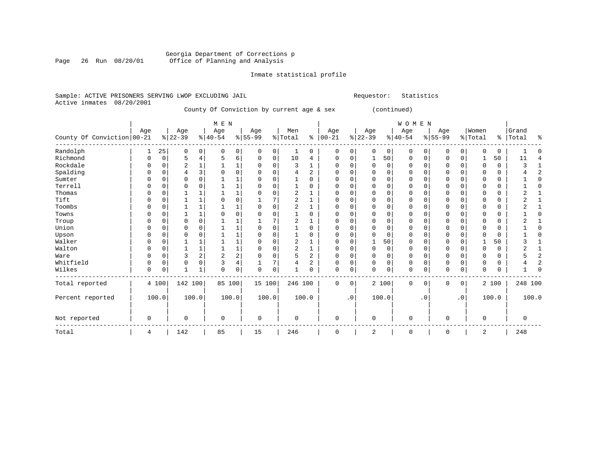### Georgia Department of Corrections p<br>Page 26 Run 08/20/01 Office of Planning and Analysis Page 26 Run 08/20/01 Office of Planning and Analysis

# Inmate statistical profile

|  | Sample: ACTIVE PRISONERS SERVING LWOP EXCLUDING JAIL |  |  |  |                                           |  | Requestor:  | Sta |
|--|------------------------------------------------------|--|--|--|-------------------------------------------|--|-------------|-----|
|  | Active inmates 08/20/2001                            |  |  |  |                                           |  |             |     |
|  |                                                      |  |  |  | County Of Conviction by current age & sex |  | (continued) |     |

|                            |             |          |                |              | M E N          |                |             |             |                |          |               |           |          |                | WOMEN       |          |              |              |          |             |          |                |
|----------------------------|-------------|----------|----------------|--------------|----------------|----------------|-------------|-------------|----------------|----------|---------------|-----------|----------|----------------|-------------|----------|--------------|--------------|----------|-------------|----------|----------------|
|                            | Age         |          | Age            |              | Age            |                | Age         |             | Men            |          | Age           |           | Age      |                | Age         |          | Age          |              | Women    |             | Grand    |                |
| County Of Conviction 00-21 |             |          | $ 22-39 $      |              | $ 40-54$       |                | $8 55-99$   |             | % Total        |          | $8   00 - 21$ |           | $ 22-39$ |                | $ 40-54$    |          | $8 55-99$    |              | % Total  | ွေ          | Total    | ႜ              |
| Randolph                   | 1           | 25       | 0              | 0            | O              | 0              | 0           | 0           | 1              | 0        | 0             | 0         | $\Omega$ | 0 <sup>1</sup> | 0           | 0        | $\mathbf 0$  | $\mathbf{0}$ | $\Omega$ | 0           |          |                |
| Richmond                   | O           | 0        | 5              | 4            | 5              | 6              | $\Omega$    | $\mathbf 0$ | 10             | 4        | 0             | 0         |          | 50             | 0           | 0        | $\mathbf 0$  | $\mathbf 0$  |          | 50          | 11       |                |
| Rockdale                   | U           | $\Omega$ | $\overline{a}$ | $\mathbf 1$  |                | 1              | 0           | $\Omega$    | 3              | 1        | $\Omega$      | 0         | $\Omega$ | $\Omega$       | $\Omega$    | $\Omega$ | $\Omega$     | $\Omega$     | $\Omega$ | $\mathbf 0$ | 2        |                |
| Spalding                   |             | O        |                | 3            |                | 0              |             | $\Omega$    | 4              | 2        |               | 0         |          | $\Omega$       | O           | O        |              | 0            |          | 0           |          |                |
| Sumter                     | U           | O        | $\mathbf 0$    | $\Omega$     |                | 1              | O           | $\Omega$    |                | $\Omega$ | $\Omega$      | 0         | $\Omega$ | $\Omega$       | $\Omega$    | $\Omega$ | $\Omega$     | $\Omega$     | $\Omega$ | $\mathbf 0$ |          | <sup>0</sup>   |
| Terrell                    | O           | $\Omega$ | $\Omega$       | O            |                | $\mathbf{1}$   | U           | $\Omega$    |                | $\Omega$ | $\Omega$      | 0         | $\Omega$ | $\Omega$       | O           | U        | $\Omega$     | $\Omega$     | $\Omega$ | 0           |          | ſ              |
| Thomas                     | O           | $\Omega$ |                | 1            |                | $\mathbf{1}$   | U           | $\Omega$    | $\overline{2}$ | 1        | U             | 0         |          | $\Omega$       | U           | O        | <sup>0</sup> | $\mathbf 0$  | O        | 0           |          |                |
| Tift                       | O           | 0        |                |              | O              | 0              |             |             | 2              |          | $\Omega$      | 0         |          | $\Omega$       | 0           | 0        | $\Omega$     | $\Omega$     | $\Omega$ | 0           | 2        |                |
| Toombs                     |             | O        |                | 1            |                | 1              | $\Omega$    | $\Omega$    | 2              | 1        |               | O         |          | $\Omega$       | 0           | 0        | <sup>0</sup> | $\Omega$     | 0        | 0           |          |                |
| Towns                      | O           | $\cap$   |                |              | $\Omega$       | $\mathbf 0$    | U           | $\Omega$    |                | $\Omega$ | $\Omega$      | 0         | $\Omega$ | $\Omega$       | U           | U        | $\Omega$     | $\Omega$     | $\Omega$ | 0           |          | C              |
| Troup                      | U           | 0        | $\Omega$       | 0            |                | 1              |             | 7           | $\overline{c}$ | 1        | U             | O         |          | $\Omega$       | O           | U        | $\Omega$     | $\Omega$     | O        | 0           |          |                |
| Union                      | $\Omega$    | $\Omega$ | $\Omega$       | 0            |                | $\mathbf{1}$   | 0           | $\Omega$    |                | 0        | 0             | 0         | Ω        | $\Omega$       | 0           | 0        | $\Omega$     | $\Omega$     | O        | 0           |          | ſ              |
| Upson                      | U           | $\Omega$ | $\Omega$       | 0            |                | $\mathbf{1}$   | U           | $\Omega$    |                | $\Omega$ | $\Omega$      | 0         | $\cap$   | $\Omega$       | U           | $\Omega$ | $\Omega$     | $\mathbf 0$  | $\Omega$ | 0           |          | ſ              |
| Walker                     | U           | 0        |                |              |                | 1              | U           | 0           | $\overline{c}$ |          | $\Omega$      | 0         |          | 50             | O           | 0        | $\Omega$     | 0            |          | 50          |          |                |
| Walton                     | O           | O        |                |              |                | $\mathbf{1}$   | 0           | $\Omega$    | 2              |          | 0             | 0         | $\Omega$ | 0              | 0           | 0        | 0            | $\Omega$     | 0        | 0           |          |                |
| Ware                       | $\Omega$    | 0        | 3              | 2            | $\overline{2}$ | $\overline{c}$ | 0           | $\Omega$    | 5              | 2        | $\Omega$      | 0         | $\Omega$ | $\Omega$       | 0           | $\Omega$ | $\Omega$     | $\Omega$     | $\Omega$ | 0           | 5        | 2              |
| Whitfield                  | 0           | 0        | 0              | 0            | 3              | 4              |             | 7           | 4              | 2        | 0             | 0         | $\Omega$ | 0              | 0           | 0        | $\mathbf 0$  | $\mathbf 0$  | 0        | 0           |          | $\overline{c}$ |
| Wilkes                     | $\mathbf 0$ | $\Omega$ | $\mathbf{1}$   | $\mathbf{1}$ | $\Omega$       | $\mathbf 0$    | $\Omega$    | $\mathbf 0$ |                | $\Omega$ | 0             | 0         | $\Omega$ | $\Omega$       | 0           | 0        | $\mathbf{0}$ | $\mathbf 0$  | $\Omega$ | 0           |          | ſ              |
| Total reported             |             | 4 100    | 142 100        |              | 85 100         |                | 15 100      |             | 246 100        |          | 0             | 0         |          | 2 100          | 0           | 0        | $\mathbf 0$  | $\mathbf{0}$ |          | 2 100       | 248 100  |                |
| Percent reported           |             | 100.0    |                | 100.0        |                | 100.0          | 100.0       |             |                | 100.0    |               | $\cdot$ 0 |          | 100.0          |             | . 0      |              | $\cdot$ 0    |          | 100.0       | 100.0    |                |
| Not reported               | $\mathbf 0$ |          | $\mathbf 0$    |              | $\Omega$       |                | $\mathbf 0$ |             | $\Omega$       |          | $\Omega$      |           | $\Omega$ |                | $\mathbf 0$ |          | $\Omega$     |              | $\Omega$ |             | $\Omega$ |                |
| Total                      | 4           |          | 142            |              | 85             |                | 15          |             | 246            |          | 0             |           | 2        |                | 0           |          | $\mathbf 0$  |              | 2        |             | 248      |                |

Requestor: Statistics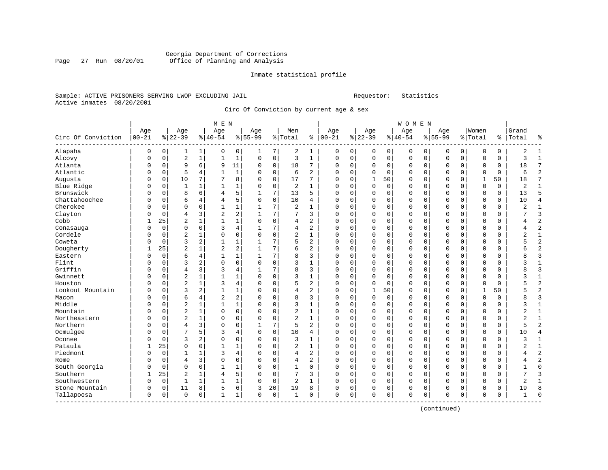#### Georgia Department of Corrections<br>Page 27 Run 08/20/01 Office of Planning and Analysis Page 27 Run 08/20/01 Office of Planning and Analysis

#### Inmate statistical profile

#### Sample: ACTIVE PRISONERS SERVING LWOP EXCLUDING JAIL Requestor: Statistics Active inmates 08/20/2001

Circ Of Conviction by current age & sex

|                         |           |             |                |              | M E N          |              |              |             |                |                |             |   |          |             | <b>WOMEN</b> |             |           |             |              |          |       |                          |
|-------------------------|-----------|-------------|----------------|--------------|----------------|--------------|--------------|-------------|----------------|----------------|-------------|---|----------|-------------|--------------|-------------|-----------|-------------|--------------|----------|-------|--------------------------|
|                         | Age       |             | Age            |              | Age            |              | Age          |             | Men            |                | Age         |   | Age      |             | Age          |             | Age       |             | Women        |          | Grand |                          |
| Circ Of Conviction      | $00 - 21$ |             | $ 22-39$       |              | $8 40-54$      |              | $8 55-99$    |             | %   Total      | နွ             | $ 00-21$    |   | $ 22-39$ |             | $ 40-54$     |             | $8 55-99$ |             | % Total      | နွ       | Total | å                        |
| Alapaha                 | 0         | 0           | 1              | 1            | 0              | 0            | 1            | 7           | 2              | 1              | 0           | 0 | $\Omega$ | 0           | 0            | 0           | 0         | 0           | 0            | 0        | 2     | -1                       |
| Alcovy                  | 0         | $\mathbf 0$ | 2              | $\mathbf 1$  | 1              | 1            | 0            | $\mathsf 0$ | 3              | $\mathbf{1}$   | 0           | 0 | 0        | $\mathbf 0$ | 0            | 0           | 0         | 0           | 0            | 0        | 3     | $\mathbf{1}$             |
| Atlanta                 | 0         | $\mathbf 0$ | 9              | 6            | 9              | 11           | $\Omega$     | $\mathbf 0$ | 18             | 7              | $\Omega$    | 0 | $\Omega$ | $\mathbf 0$ | $\Omega$     | $\mathbf 0$ | $\Omega$  | $\Omega$    | $\Omega$     | 0        | 18    | 7                        |
| Atlantic                | $\Omega$  | $\mathbf 0$ | 5              | 4            | $\mathbf{1}$   | $\mathbf{1}$ | $\Omega$     | $\mathbf 0$ | 6              | $\overline{a}$ | $\Omega$    | 0 | $\Omega$ | $\Omega$    | $\Omega$     | $\Omega$    | $\Omega$  | $\Omega$    | $\Omega$     | $\Omega$ | 6     | $\overline{a}$           |
| Augusta                 | $\Omega$  | $\mathbf 0$ | 10             | 7            | 7              | 8            | $\Omega$     | $\mathbf 0$ | 17             | 7              | $\Omega$    | 0 | 1        | 50          | $\Omega$     | $\Omega$    | $\Omega$  | $\Omega$    | $\mathbf{1}$ | 50       | 18    | 7                        |
| Blue Ridge              | $\Omega$  | $\mathbf 0$ | $\mathbf{1}$   | $\mathbf{1}$ | $\mathbf{1}$   | 1            | $\Omega$     | $\Omega$    | $\overline{c}$ | $\mathbf{1}$   | $\Omega$    | 0 | $\Omega$ | $\Omega$    | $\Omega$     | $\Omega$    | $\Omega$  | $\Omega$    | $\Omega$     | $\Omega$ | 2     | $\mathbf{1}$             |
| Brunswick               | $\Omega$  | $\Omega$    | 8              | 6            | 4              | 5            | 1            | 7           | 13             | 5              | $\Omega$    | 0 | $\Omega$ | $\Omega$    | $\Omega$     | $\Omega$    | $\Omega$  | $\Omega$    | $\Omega$     | 0        | 13    | 5                        |
| Chattahoochee           | 0         | 0           | 6              | 4            | 4              | 5            | $\Omega$     | $\mathbf 0$ | 10             | 4              | $\Omega$    | 0 | $\Omega$ | 0           | 0            | $\Omega$    | 0         | $\Omega$    | $\Omega$     | 0        | 10    | $\overline{4}$           |
| Cherokee                | 0         | 0           | $\Omega$       | 0            | $\mathbf{1}$   | 1            |              | 7           | 2              | $\mathbf{1}$   | $\Omega$    | 0 | $\Omega$ | 0           | $\Omega$     | 0           | $\Omega$  | $\mathbf 0$ | $\Omega$     | 0        | 2     | $\mathbf{1}$             |
| Clayton                 | N         | $\mathbf 0$ | 4              | 3            | $\overline{c}$ | 2            |              | 7           | 7              | 3              | $\Omega$    | 0 | $\Omega$ | 0           | 0            | $\Omega$    | $\Omega$  | $\Omega$    | $\Omega$     | 0        | 7     | 3                        |
| Cobb                    |           | 25          | $\overline{a}$ | 1            | 1              | 1            | $\Omega$     | $\mathbf 0$ | 4              | 2              | $\Omega$    | 0 | $\Omega$ | 0           | 0            | 0           | 0         | $\Omega$    | 0            | 0        | 4     | $\overline{c}$           |
| Conasauga               | $\Omega$  | $\mathbf 0$ | $\Omega$       | 0            | 3              | 4            |              | 7           | 4              | 2              | $\Omega$    | 0 | $\Omega$ | $\Omega$    | $\Omega$     | $\Omega$    | $\Omega$  | $\Omega$    | $\Omega$     | 0        | 4     | 2                        |
| Cordele                 | 0         | $\mathbf 0$ | $\overline{2}$ | 1            | $\Omega$       | 0            | $\Omega$     | $\mathbf 0$ | $\overline{a}$ | 1              | $\Omega$    | 0 | $\Omega$ | 0           | $\Omega$     | $\Omega$    | $\Omega$  | $\Omega$    | $\Omega$     | 0        | 2     | 1                        |
| Coweta                  | 0         | 0           | 3              | 2            | 1              | 1            |              | 7           | 5              | $\overline{2}$ | $\Omega$    | 0 | $\Omega$ | 0           | $\Omega$     | 0           | 0         | 0           | $\Omega$     | 0        | 5     | $\overline{2}$           |
| Dougherty               | 1         | 25          | $\overline{2}$ | $\mathbf{1}$ | 2              | 2            | $\mathbf{1}$ | 7           | 6              | $\overline{a}$ | $\Omega$    | 0 | $\Omega$ | $\mathbf 0$ | 0            | $\Omega$    | $\Omega$  | $\mathbf 0$ | $\Omega$     | 0        | 6     | $\overline{c}$           |
| Eastern                 | $\Omega$  | $\mathbf 0$ | 6              | 4            | $\mathbf{1}$   | 1            |              | 7           | 8              | 3              | $\Omega$    | 0 | $\Omega$ | $\Omega$    | $\Omega$     | $\Omega$    | $\Omega$  | $\Omega$    | $\Omega$     | 0        | 8     | 3                        |
| Flint                   | O         | $\mathbf 0$ | 3              | 2            | $\Omega$       | 0            | $\Omega$     | $\mathbf 0$ | 3              | 1              | $\Omega$    | 0 | $\Omega$ | 0           | 0            | $\Omega$    | $\Omega$  | $\Omega$    | O            | 0        | 3     | $\mathbf{1}$             |
| Griffin                 | O         | $\Omega$    | 4              | 3            | 3              | 4            |              | 7           | 8              | 3              | $\Omega$    | 0 | $\Omega$ | $\Omega$    | $\Omega$     | C           | $\Omega$  | $\Omega$    | $\Omega$     | 0        | 8     | 3                        |
| Gwinnett                | 0         | 0           | $\overline{2}$ | $\mathbf{1}$ | $\mathbf{1}$   | 1            | $\Omega$     | $\mathbf 0$ | 3              | $\mathbf{1}$   | $\Omega$    | 0 | $\Omega$ | 0           | 0            | $\Omega$    | $\Omega$  | $\Omega$    | $\Omega$     | 0        | 3     | $\mathbf{1}$             |
| Houston                 | N         | $\mathbf 0$ | $\overline{2}$ | 1            | 3              | 4            | $\Omega$     | $\mathsf 0$ | 5              | 2              | $\Omega$    | 0 | $\Omega$ | $\mathbf 0$ | 0            | 0           | $\Omega$  | $\Omega$    | $\Omega$     | 0        | 5     | $\overline{c}$           |
| Lookout Mountain        | N         | $\mathbf 0$ | 3              | 2            | $\mathbf{1}$   | 1            | ∩            | $\mathbf 0$ | 4              | $\overline{c}$ | $\Omega$    | 0 | 1        | 50          | $\Omega$     | 0           | $\Omega$  | $\Omega$    | $\mathbf{1}$ | 50       | 5     | $\overline{c}$           |
| Macon                   | O         | $\mathbf 0$ | 6              | 4            | $\overline{2}$ | 2            | $\Omega$     | $\mathbf 0$ | 8              | 3              | $\Omega$    | 0 | $\Omega$ | 0           | $\Omega$     | $\Omega$    | $\Omega$  | 0           | $\Omega$     | 0        | 8     | 3                        |
| Middle                  | O         | $\mathbf 0$ | $\overline{2}$ | 1            | $\mathbf{1}$   | $\mathbf 1$  | $\Omega$     | $\mathbf 0$ | 3              | 1              | $\Omega$    | 0 | $\Omega$ | 0           | $\Omega$     | $\Omega$    | $\Omega$  | 0           | $\Omega$     | 0        | 3     | $\mathbf{1}$             |
| Mountain                | O         | $\mathbf 0$ | $\overline{2}$ | $\mathbf{1}$ | $\mathbf 0$    | 0            | $\Omega$     | 0           | $\overline{2}$ | 1              | $\Omega$    | 0 | $\Omega$ | 0           | $\Omega$     | $\Omega$    | $\Omega$  | $\Omega$    | $\Omega$     | 0        | 2     | $\mathbf{1}$             |
| Northeastern            | $\Omega$  | $\mathbf 0$ | $\overline{2}$ | $\mathbf{1}$ | $\mathbf 0$    | 0            | $\Omega$     | $\mathbf 0$ | $\overline{a}$ | 1              | 0           | 0 | $\Omega$ | $\mathbf 0$ | 0            | $\Omega$    | $\Omega$  | $\Omega$    | $\Omega$     | 0        | 2     | $\mathbf{1}$             |
| Northern                | 0         | $\mathbf 0$ | $\overline{4}$ | 3            | $\Omega$       | 0            |              | 7           | 5              | $\overline{a}$ | $\Omega$    | 0 | $\Omega$ | $\mathbf 0$ | $\Omega$     | 0           | $\Omega$  | $\Omega$    | $\Omega$     | 0        | 5     | $\overline{\mathcal{L}}$ |
| Ocmulgee                | O         | $\mathbf 0$ | 7              | 5            | 3              | 4            | $\Omega$     | $\mathbf 0$ | 10             | 4              | $\Omega$    | 0 | $\Omega$ | $\Omega$    | $\Omega$     | $\Omega$    | $\Omega$  | $\Omega$    | $\Omega$     | 0        | 10    | 4                        |
| Oconee                  | O         | $\mathbf 0$ | 3              | 2            | $\Omega$       | 0            | $\Omega$     | $\mathbf 0$ | 3              | $\mathbf{1}$   | $\Omega$    | 0 | $\Omega$ | 0           | $\Omega$     | $\Omega$    | $\Omega$  | $\Omega$    | $\Omega$     | 0        | 3     | $\mathbf{1}$             |
| Pataula                 |           | 25          | $\Omega$       | 0            | $\mathbf{1}$   | $\mathbf{1}$ | ∩            | $\mathbf 0$ | $\overline{c}$ | $\mathbf{1}$   | $\Omega$    | 0 | $\Omega$ | $\Omega$    | $\Omega$     | $\Omega$    | $\Omega$  | $\Omega$    | $\Omega$     | 0        | 2     | $\mathbf{1}$             |
| Piedmont                | O         | $\Omega$    | 1              | 1            | 3              | 4            | ∩            | $\Omega$    | $\overline{4}$ | 2              | $\Omega$    | 0 | $\Omega$ | $\Omega$    | $\Omega$     | C           | $\Omega$  | $\Omega$    | $\Omega$     | 0        | 4     | $\overline{c}$           |
| Rome                    | O         | $\mathbf 0$ | 4              | 3            | $\Omega$       | 0            | $\Omega$     | $\mathbf 0$ | 4              | 2              | $\Omega$    | 0 | $\Omega$ | 0           | $\Omega$     | $\Omega$    | $\Omega$  | $\Omega$    | $\Omega$     | 0        | 4     | $\overline{c}$           |
| South Georgia           | 0         | $\mathbf 0$ | $\Omega$       | $\mathbf 0$  | $\mathbf{1}$   | 1            | $\Omega$     | $\mathbf 0$ | 1              | 0              | $\Omega$    | 0 | $\Omega$ | 0           | $\Omega$     | $\Omega$    | $\Omega$  | $\mathbf 0$ | $\Omega$     | 0        |       | $\Omega$                 |
| Southern                |           | 25          | 2              | 1            | 4              | 5            | $\Omega$     | 0           | 7              | 3              | 0           | 0 | $\Omega$ | 0           | 0            | $\mathbf 0$ | $\Omega$  | $\Omega$    | $\Omega$     | 0        | 7     | 3                        |
| Southwestern            | $\Omega$  | $\mathbf 0$ | $\mathbf 1$    | $\mathbf{1}$ | $\mathbf{1}$   | 1            | $\Omega$     | $\mathbf 0$ | 2              | 1              | $\mathbf 0$ | 0 | $\Omega$ | $\mathbf 0$ | 0            | 0           | $\Omega$  | 0           | $\Omega$     | 0        | 2     | 1                        |
| Stone Mountain          | 0         | 0           | 11             | 8            | 5              | 6            | 3            | 20          | 19             | 8              | $\Omega$    | 0 | $\Omega$ | 0           | $\Omega$     | 0           | $\Omega$  | 0           | 0            | 0        | 19    | 8                        |
| Tallapoosa<br>--------- | $\Omega$  | $\mathbf 0$ | $\Omega$       | 0            | $\mathbf{1}$   | 1            | $\Omega$     | $\mathbf 0$ | $\mathbf{1}$   | $\Omega$       | $\Omega$    | 0 | $\Omega$ | $\mathbf 0$ | $\Omega$     | $\Omega$    | $\Omega$  | $\mathbf 0$ | $\Omega$     | 0        | 1     | $\sqrt{ }$               |

(continued)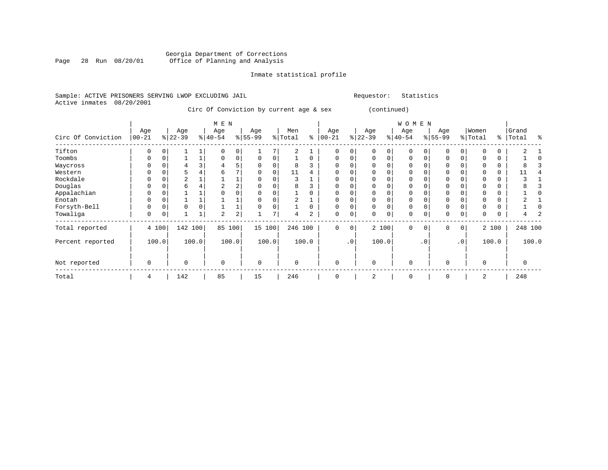#### Georgia Department of Corrections Page 28 Run 08/20/01 Office of Planning and Analysis

# Inmate statistical profile

| Sample: ACTIVE PRISONERS SERVING LWOP EXCLUDING JAIL |  |  |                                         |  | Requestor:  | Statistics |
|------------------------------------------------------|--|--|-----------------------------------------|--|-------------|------------|
| Active inmates 08/20/2001                            |  |  |                                         |  |             |            |
|                                                      |  |  | Circ Of Conviction by current age & sex |  | (continued) |            |

|                    |                 |          |                  |       | M E N            |                |                 |                |                |                |                   |             |                  |          |             | <b>WOMEN</b>     |           |                  |           |                  |          |                |         |
|--------------------|-----------------|----------|------------------|-------|------------------|----------------|-----------------|----------------|----------------|----------------|-------------------|-------------|------------------|----------|-------------|------------------|-----------|------------------|-----------|------------------|----------|----------------|---------|
| Circ Of Conviction | Age<br>$ 00-21$ |          | Age<br>$ 22-39 $ |       | Age<br>$ 40-54 $ |                | Age<br>$ 55-99$ |                | Men<br>% Total | ွေ             | Age<br>$ 00 - 21$ |             | Age<br>$ 22-39 $ |          | ៖।          | Age<br>$40 - 54$ |           | Age<br>$ 55-99 $ |           | Women<br>% Total | ႜ        | Grand<br>Total | ዱ       |
| Tifton             | $\Omega$        | $\Omega$ |                  |       |                  | $\Omega$       |                 |                | 2              |                |                   | $\Omega$    |                  | U        | $\Omega$    | $\Omega$         |           | $\Omega$         | $\Omega$  |                  | O        |                |         |
| Toombs             | U               |          |                  |       |                  | $\mathbf{0}$   |                 |                |                |                | $\Omega$          | 0           |                  | O        | $\Omega$    | $\Omega$         |           | $\Omega$         | $\Omega$  |                  | $\Omega$ |                |         |
| Waycross           | $\Omega$        |          | 4                | 3     | 4                | 5              |                 |                | 8              |                | $\Omega$          | 0           |                  | U        | $\Omega$    | $\Omega$         |           | $\mathbf 0$      |           |                  | 0        | 8              |         |
| Western            |                 |          | 5                | 4     | 6.               |                |                 |                | 11             |                | $\Omega$          | $\Omega$    |                  |          | $\Omega$    | $\Omega$         |           | $\mathbf 0$      |           |                  | $\Omega$ | 11             |         |
| Rockdale           | $\Omega$        |          | $\overline{a}$   |       |                  |                | U               |                | 3              |                | $\Omega$          | $\Omega$    |                  |          | $\Omega$    | $\Omega$         |           | $\mathbf 0$      |           |                  | $\Omega$ |                |         |
| Douglas            |                 |          | 6                |       | 2                | $\overline{2}$ |                 |                |                |                |                   |             |                  |          |             | ∩                |           | $\Omega$         |           |                  | O        |                |         |
| Appalachian        |                 |          |                  |       |                  |                |                 |                |                |                | $\Omega$          |             |                  |          | n           | $\Omega$         |           | $\Omega$         |           |                  |          |                |         |
| Enotah             | $\Omega$        |          |                  |       |                  |                |                 |                | $\overline{a}$ |                | $\Omega$          | 0           |                  | 0        | 0           | 0                |           | $\mathbf 0$      | 0         |                  | 0        |                |         |
| Forsyth-Bell       | $\Omega$        |          | 0                | 0     |                  |                |                 |                |                |                | $\Omega$          | 0           |                  | O        | $\Omega$    | $\Omega$         |           | $\mathbf 0$      | $\Omega$  |                  | $\Omega$ |                |         |
| Towaliga           | 0               | 0        |                  |       | 2                | 2              |                 | $\overline{ }$ | 4              | $\overline{2}$ | $\mathbf 0$       | $\mathsf 0$ |                  | 0        | $\mathbf 0$ | $\mathbf 0$      |           | $\mathbf 0$      | 0         | $\Omega$         | 0        | 4              |         |
| Total reported     |                 | 4 100    | 142 100          |       | 85               | 100            | 15              | 100            | 246            | 100            | $\Omega$          | $\mathbf 0$ |                  | 2 100    |             | $\Omega$         | $\Omega$  | $\Omega$         | 0         |                  | 2 100    |                | 248 100 |
| Percent reported   |                 | 100.0    |                  | 100.0 |                  | 100.0          |                 | 100.0          |                | 100.0          |                   | $\cdot$ 0   |                  | 100.0    |             |                  | $\cdot$ 0 |                  | $\cdot$ 0 |                  | 100.0    |                | 100.0   |
| Not reported       | 0               |          | 0                |       | $\Omega$         |                | 0               |                | $\Omega$       |                | $\Omega$          |             |                  | $\Omega$ |             | $\Omega$         |           | $\mathbf 0$      |           | $\Omega$         |          | $\mathbf 0$    |         |
| Total              | 4               |          | 142              |       | 85               |                | 15              |                | 246            |                | $\Omega$          |             |                  | 2        |             | $\Omega$         |           | $\Omega$         |           | 2                |          | 248            |         |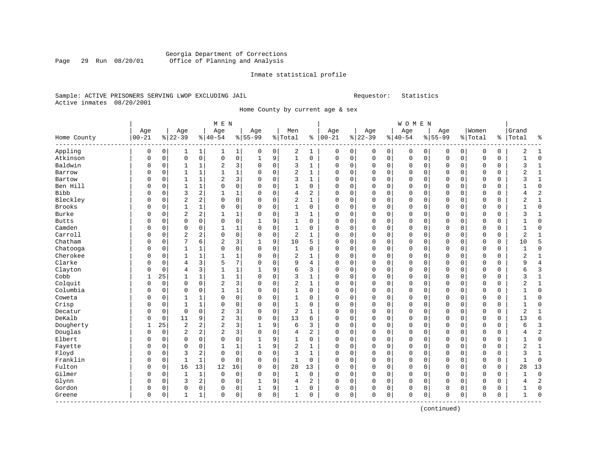#### Georgia Department of Corrections Page 29 Run 08/20/01 Office of Planning and Analysis

#### Inmate statistical profile

#### Sample: ACTIVE PRISONERS SERVING LWOP EXCLUDING JAIL Requestor: Statistics Active inmates 08/20/2001

Home County by current age & sex

|               | M E N<br>Age<br>Age<br>Age<br>Age<br>Men |          |                |                         |                |              |              |             |                | Age          |             | Age         |          | WOMEN<br>Age |             | Age         |           | Women    |             | Grand       |                |          |
|---------------|------------------------------------------|----------|----------------|-------------------------|----------------|--------------|--------------|-------------|----------------|--------------|-------------|-------------|----------|--------------|-------------|-------------|-----------|----------|-------------|-------------|----------------|----------|
| Home County   | $00 - 21$                                |          | $8 22-39$      |                         | $ 40-54$       |              | $8 55-99$    |             | %   Total      |              | $% 100-21$  |             | $ 22-39$ |              | $ 40-54$    |             | $8 55-99$ |          | % Total     | နွ          | Total          |          |
| Appling       | 0                                        | 0        | 1              | 1                       | 1              | 1            | 0            | 0           | 2              | 1            | 0           | 0           | 0        | 0            | 0           | 0           | 0         | 0        | 0           | 0           | 2              |          |
| Atkinson      | $\Omega$                                 | 0        | $\mathbf 0$    | $\mathsf{O}$            | $\mathbf 0$    | $\mathsf 0$  | $\mathbf{1}$ | 9           | $\mathbf{1}$   | 0            | $\mathbf 0$ | $\mathsf 0$ | 0        | $\mathbf 0$  | $\mathbf 0$ | $\mathbf 0$ | 0         | 0        | 0           | $\mathbf 0$ | $\mathbf{1}$   | $\Omega$ |
| Baldwin       | 0                                        | 0        | 1              | $\mathbf{1}$            | $\sqrt{2}$     | 3            | 0            | $\mathbf 0$ | 3              | 1            | $\mathbf 0$ | $\mathbf 0$ | 0        | 0            | 0           | 0           | 0         | 0        | 0           | $\mathbf 0$ | 3              | -1       |
| Barrow        | N                                        | 0        | $\mathbf{1}$   | $\mathbf{1}$            | 1              | $\mathbf 1$  | 0            | 0           | $\overline{c}$ |              | $\mathbf 0$ | $\mathbf 0$ | 0        | 0            | 0           | 0           | 0         | 0        | 0           | 0           | $\overline{2}$ |          |
| Bartow        | 0                                        | 0        | $\mathbf{1}$   | $\mathbf{1}$            | $\overline{2}$ | 3            | $\Omega$     | $\mathbf 0$ | 3              | 1            | $\mathbf 0$ | $\mathbf 0$ | 0        | $\Omega$     | $\Omega$    | $\Omega$    | 0         | 0        | $\Omega$    | 0           | 3              |          |
| Ben Hill      | 0                                        | 0        | 1              | $\mathbf{1}$            | $\mathbf 0$    | $\mathbf 0$  | $\mathbf 0$  | $\mathbf 0$ | 1              | 0            | $\mathbf 0$ | $\mathbf 0$ | 0        | $\mathbf 0$  | $\mathbf 0$ | $\mathbf 0$ | 0         | 0        | $\mathbf 0$ | $\mathbf 0$ | 1              | U        |
| Bibb          | 0                                        | 0        | 3              | $\overline{\mathbf{c}}$ | $\mathbf{1}$   | $\mathbf 1$  | 0            | 0           | 4              | 2            | 0           | $\mathbf 0$ | 0        | 0            | $\mathbf 0$ | $\Omega$    | 0         | 0        | 0           | 0           | $\overline{4}$ |          |
| Bleckley      | O                                        | 0        | $\overline{2}$ | 2                       | 0              | 0            | 0            | 0           | $\overline{2}$ | 1            | $\Omega$    | $\mathbf 0$ | 0        | 0            | $\Omega$    | 0           | $\Omega$  | 0        | 0           | 0           | $\overline{2}$ |          |
| <b>Brooks</b> | N                                        | 0        | 1              | 1                       | 0              | 0            | 0            | 0           | 1              | 0            | $\mathbf 0$ | 0           | 0        | 0            | 0           | 0           | 0         | 0        | 0           | 0           | $\mathbf{1}$   | $\cap$   |
| Burke         | O                                        | $\Omega$ | $\overline{2}$ | $\overline{\mathbf{c}}$ | $\mathbf{1}$   | $\mathbf{1}$ | $\Omega$     | $\mathbf 0$ | 3              | 1            | $\Omega$    | $\mathbf 0$ | 0        | $\Omega$     | $\Omega$    | $\Omega$    | $\Omega$  | 0        | 0           | 0           | 3              |          |
| <b>Butts</b>  | 0                                        | $\Omega$ | $\Omega$       | $\mathbf 0$             | $\Omega$       | $\mathbf 0$  | $\mathbf{1}$ | 9           | 1              | $\Omega$     | $\Omega$    | $\Omega$    | $\Omega$ | $\Omega$     | $\Omega$    | $\Omega$    | $\Omega$  | $\Omega$ | $\mathbf 0$ | $\mathbf 0$ | 1              | U        |
| Camden        | 0                                        | 0        | $\mathbf 0$    | $\mathbf 0$             | $\mathbf{1}$   | $\mathbf 1$  | 0            | $\mathbf 0$ | $\mathbf{1}$   | $\mathbf 0$  | $\mathbf 0$ | $\mathbf 0$ | 0        | $\mathbf 0$  | $\mathbf 0$ | 0           | 0         | 0        | $\mathbf 0$ | $\mathbf 0$ | $\mathbf 1$    |          |
| Carroll       | O                                        | 0        | $\overline{2}$ | 2                       | 0              | 0            | 0            | $\mathbf 0$ | $\overline{2}$ | $\mathbf{1}$ | $\Omega$    | $\mathbf 0$ | 0        | $\Omega$     | $\Omega$    | 0           | $\Omega$  | 0        | 0           | $\mathbf 0$ | $\overline{2}$ |          |
| Chatham       | 0                                        | 0        | 7              | 6                       | $\overline{2}$ | 3            | 1            | 9           | 10             | 5            | $\mathbf 0$ | $\mathbf 0$ | 0        | 0            | 0           | 0           | 0         | 0        | 0           | 0           | 10             |          |
| Chatooga      | O                                        | 0        | 1              | 1                       | 0              | 0            | 0            | $\mathbf 0$ | 1              | 0            | $\mathbf 0$ | $\mathbf 0$ | 0        | $\Omega$     | $\Omega$    | 0           | 0         | 0        | 0           | 0           | $\mathbf{1}$   |          |
| Cherokee      | N                                        | 0        | 1              | 1                       | 1              | $\mathbf 1$  | $\Omega$     | $\mathbf 0$ | 2              | 1            | $\mathbf 0$ | $\mathbf 0$ | 0        | 0            | $\Omega$    | $\Omega$    | 0         | $\Omega$ | $\Omega$    | $\mathbf 0$ | $\overline{2}$ |          |
| Clarke        | 0                                        | $\Omega$ | $\overline{4}$ | 3                       | 5              | 7            | $\Omega$     | $\mathbf 0$ | 9              | 4            | $\Omega$    | $\mathbf 0$ | 0        | 0            | $\mathbf 0$ | $\Omega$    | 0         | 0        | $\mathbf 0$ | $\mathbf 0$ | 9              |          |
| Clayton       | 0                                        | 0        | $\overline{4}$ | 3                       | $\mathbf{1}$   | $\mathbf 1$  | 1            | 9           | 6              | 3            | 0           | $\mathbf 0$ | 0        | $\mathbf 0$  | $\mathbf 0$ | 0           | 0         | 0        | $\mathbf 0$ | $\mathbf 0$ | б              |          |
| Cobb          | 1                                        | 25       | $\mathbf{1}$   | 1                       | 1              | $\mathbf 1$  | 0            | 0           | 3              | 1            | $\mathbf 0$ | 0           | 0        | 0            | $\Omega$    | 0           | 0         | 0        | 0           | 0           | 3              |          |
| Colquit       | O                                        | 0        | $\mathbf 0$    | 0                       | $\sqrt{2}$     | 3            | 0            | 0           | $\overline{2}$ | 1            | $\Omega$    | 0           | 0        | 0            | $\Omega$    | 0           | $\Omega$  | 0        | 0           | 0           | 2              |          |
| Columbia      | N                                        | 0        | $\Omega$       | $\Omega$                | $\mathbf{1}$   | $\mathbf 1$  | $\Omega$     | $\mathbf 0$ | 1              | $\Omega$     | $\Omega$    | $\mathbf 0$ | 0        | $\Omega$     | $\Omega$    | $\Omega$    | $\Omega$  | $\Omega$ | $\Omega$    | 0           | 1              |          |
| Coweta        | 0                                        | 0        | 1              | 1                       | 0              | $\mathbf 0$  | 0            | $\mathbf 0$ | 1              | 0            | $\mathbf 0$ | $\mathbf 0$ | 0        | $\mathbf 0$  | $\mathbf 0$ | $\Omega$    | 0         | 0        | $\mathbf 0$ | $\mathbf 0$ | 1              |          |
| Crisp         | 0                                        | 0        | $\mathbf{1}$   | $\mathbf{1}$            | $\mathbf 0$    | $\mathsf 0$  | $\Omega$     | $\mathbf 0$ | $\mathbf{1}$   | $\mathbf 0$  | $\mathbf 0$ | $\mathbf 0$ | 0        | $\mathbf 0$  | $\Omega$    | $\Omega$    | $\Omega$  | 0        | $\mathbf 0$ | $\mathbf 0$ | $\mathbf{1}$   |          |
| Decatur       | 0                                        | 0        | $\mathbf 0$    | $\mathbf 0$             | $\sqrt{2}$     | 3            | $\Omega$     | $\mathbf 0$ | $\overline{c}$ | $\mathbf{1}$ | $\mathbf 0$ | $\mathbf 0$ | 0        | $\mathbf 0$  | $\Omega$    | 0           | $\Omega$  | 0        | $\mathbf 0$ | $\mathbf 0$ | $\overline{2}$ |          |
| DeKalb        | O                                        | 0        | 11             | 9                       | $\overline{a}$ | 3            | 0            | 0           | 13             | 6            | $\mathbf 0$ | 0           | 0        | 0            | 0           | 0           | 0         | 0        | 0           | 0           | 13             |          |
| Dougherty     | 1                                        | 25       | $\overline{c}$ | 2                       | $\overline{a}$ | 3            |              | 9           | 6              | 3            | $\mathbf 0$ | $\mathbf 0$ | 0        | $\Omega$     | $\Omega$    | 0           | 0         | 0        | 0           | 0           | 6              |          |
| Douglas       | 0                                        | 0        | $\overline{2}$ | 2                       | $\overline{2}$ | 3            | $\Omega$     | $\mathbf 0$ | $\overline{4}$ | 2            | $\mathbf 0$ | $\mathbf 0$ | 0        | $\mathbf 0$  | $\mathbf 0$ | $\Omega$    | 0         | 0        | $\mathbf 0$ | $\mathbf 0$ | $\overline{4}$ |          |
| Elbert        | U                                        | 0        | $\mathbf 0$    | 0                       | $\mathbf 0$    | $\mathsf 0$  | 1            | 9           | 1              | 0            | $\mathbf 0$ | $\mathbf 0$ | 0        | 0            | $\Omega$    | $\Omega$    | $\Omega$  | 0        | 0           | $\mathbf 0$ | 1              |          |
| Fayette       | 0                                        | 0        | $\mathbf 0$    | 0                       | $\mathbf{1}$   | $\mathbf 1$  | $\mathbf{1}$ | 9           | $\overline{2}$ | $\mathbf{1}$ | $\Omega$    | $\mathbf 0$ | 0        | 0            | $\Omega$    | $\Omega$    | $\Omega$  | 0        | $\Omega$    | $\mathbf 0$ | $\overline{2}$ |          |
| Floyd         | 0                                        | 0        | 3              | 2                       | $\mathbf 0$    | $\mathbf 0$  | $\mathbf 0$  | $\mathbf 0$ | 3              | 1            | $\mathbf 0$ | $\mathbf 0$ | 0        | 0            | $\mathbf 0$ | 0           | 0         | 0        | $\mathbf 0$ | $\mathbf 0$ | 3              | -1       |
| Franklin      | O                                        | 0        | $\mathbf{1}$   | $\mathbf{1}$            | 0              | 0            | $\Omega$     | 0           | 1              | 0            | $\mathbf 0$ | $\mathbf 0$ | 0        | 0            | $\Omega$    | $\Omega$    | $\Omega$  | 0        | 0           | 0           | $\mathbf{1}$   | $\Omega$ |
| Fulton        | N                                        | 0        | 16             | 13                      | 12             | 16           | $\Omega$     | $\mathbf 0$ | 28             | 13           | $\mathbf 0$ | $\mathbf 0$ | 0        | 0            | $\Omega$    | 0           | 0         | 0        | $\mathbf 0$ | $\mathbf 0$ | 28             | 13       |
| Gilmer        | 0                                        | 0        | 1              | $\mathbf{1}$            | 0              | 0            | 0            | 0           | 1              | 0            | 0           | $\mathbf 0$ | 0        | 0            | 0           | 0           | 0         | 0        | 0           | 0           | 1              | $\Omega$ |
| Glynn         | 0                                        | 0        | 3              | $\overline{\mathbf{c}}$ | 0              | 0            | 1            | 9           | 4              | 2            | $\Omega$    | $\mathbf 0$ | 0        | $\mathbf 0$  | $\Omega$    | 0           | $\Omega$  | 0        | 0           | 0           | 4              |          |
| Gordon        | 0                                        | 0        | $\mathbf 0$    | 0                       | 0              | 0            | 1            | 9           | 1              | 0            | $\Omega$    | $\mathbf 0$ | 0        | 0            | 0           | 0           | 0         | 0        | 0           | $\mathbf 0$ | 1              | $\cap$   |
| Greene        | 0                                        | 0        | 1              | $\mathbf{1}$            | 0              | 0            | 0            | $\mathbf 0$ | 1              | 0            | $\mathbf 0$ | $\mathbf 0$ | 0        | 0            | $\Omega$    | 0           | 0         | 0        | 0           | $\mathbf 0$ | 1              |          |

(continued)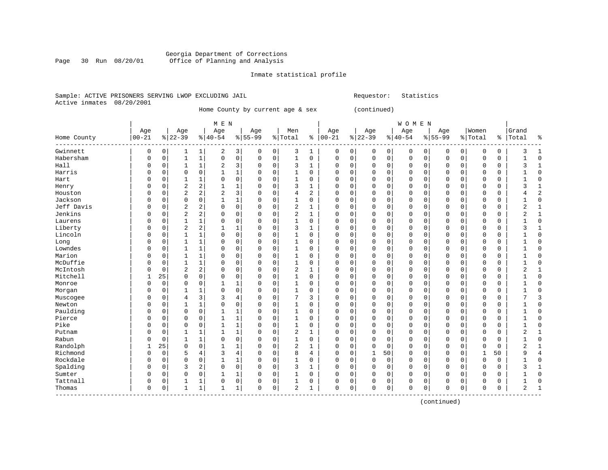#### Georgia Department of Corrections Page 30 Run 08/20/01 Office of Planning and Analysis

#### Inmate statistical profile

#### Sample: ACTIVE PRISONERS SERVING LWOP EXCLUDING JAIL Requestor: Statistics Active inmates 08/20/2001

### Home County by current age & sex (continued)

|                               | M E N      |             |                |                |                |                |             |             |                |                |          |          |           |             | WOMEN    |          |              |             |             |          |                |                |
|-------------------------------|------------|-------------|----------------|----------------|----------------|----------------|-------------|-------------|----------------|----------------|----------|----------|-----------|-------------|----------|----------|--------------|-------------|-------------|----------|----------------|----------------|
|                               | Age        |             | Age            |                | Age            |                | Age         |             | Men            |                | Age      |          | Age       |             | Age      |          | Age          |             | Women       |          | Grand          |                |
| Home County<br>-------------- | $ 00 - 21$ |             | $8 22-39$      |                | $ 40-54$       |                | $8 55-99$   |             | % Total        | ႜ              | $ 00-21$ |          | $8 22-39$ |             | $ 40-54$ |          | $8 55-99$    |             | % Total     | ႜ        | Total          | ٩,             |
| Gwinnett                      | 0          | 0           | 1              | 1              | 2              | 3              | 0           | 0           | 3              | 1              | 0        | 0        | 0         | 0           | 0        | 0        | 0            | 0           | $\Omega$    | 0        | 3              | 1              |
| Habersham                     | 0          | $\mathbf 0$ | 1              | $1\,$          | $\mathbf 0$    | $\mathsf 0$    | $\mathbf 0$ | $\mathbf 0$ | $\mathbf 1$    | 0              | 0        | 0        | $\Omega$  | $\mathbf 0$ | 0        | 0        | $\mathbf{0}$ | $\mathbf 0$ | $\mathbf 0$ | 0        |                | $\Omega$       |
| Hall                          | 0          | 0           | $\mathbf{1}$   | 1              | 2              | 3              | 0           | 0           | 3              | 1              | 0        | 0        | 0         | $\mathbf 0$ | 0        | 0        | $\mathbf 0$  | 0           | $\Omega$    | 0        | 3              | 1              |
| Harris                        | 0          | $\Omega$    | $\mathbf 0$    | $\Omega$       | 1              | $\mathbf 1$    | $\Omega$    | $\mathbf 0$ | $\mathbf{1}$   | $\Omega$       | 0        | $\Omega$ | 0         | $\Omega$    | $\Omega$ | $\Omega$ | $\Omega$     | $\Omega$    | $\Omega$    | $\Omega$ |                | 0              |
| Hart                          | 0          | 0           | 1              | 1              | 0              | $\mathbf 0$    | 0           | $\mathbf 0$ | 1              | 0              | 0        | 0        | 0         | $\mathbf 0$ | 0        | 0        | $\Omega$     | 0           | 0           | 0        |                | <sup>0</sup>   |
| Henry                         | 0          | 0           | $\sqrt{2}$     | $\overline{a}$ | 1              | 1              | 0           | $\mathbf 0$ | 3              | $\mathbf{1}$   | 0        | 0        |           | $\mathbf 0$ | 0        | 0        | 0            | 0           | 0           | 0        | 3              | 1              |
| Houston                       | 0          | 0           | $\overline{2}$ | 2              | $\overline{a}$ | 3              | $\Omega$    | $\mathbf 0$ | 4              | $\overline{c}$ | $\Omega$ | 0        | $\Omega$  | $\mathbf 0$ | 0        | 0        | $\Omega$     | 0           | 0           | 0        | 4              | $\overline{c}$ |
| Jackson                       | 0          | 0           | $\mathbf 0$    | 0              | 1              | $\mathbf 1$    | $\Omega$    | $\mathbf 0$ | $\mathbf{1}$   | 0              | $\Omega$ | 0        |           | $\mathbf 0$ | 0        | 0        | $\Omega$     | 0           | 0           | 0        |                | $\Omega$       |
| Jeff Davis                    | 0          | 0           | $\overline{c}$ | 2              | 0              | $\mathbf 0$    | $\Omega$    | $\mathbf 0$ | $\overline{2}$ | 1              | $\Omega$ | 0        | 0         | 0           | 0        | 0        | $\mathbf 0$  | 0           | $\Omega$    | 0        | $\overline{2}$ | $\mathbf{1}$   |
| Jenkins                       | 0          | 0           | $\overline{2}$ | 2              | 0              | 0              | 0           | $\mathbf 0$ | $\overline{a}$ | 1              | 0        | 0        | 0         | 0           | 0        | 0        | $\Omega$     | 0           | $\Omega$    | 0        | 2              | 1              |
| Laurens                       | 0          | $\Omega$    | $\mathbf{1}$   | $\mathbf{1}$   | 0              | $\mathsf 0$    | $\Omega$    | $\mathbf 0$ | $\mathbf{1}$   | 0              | $\Omega$ | 0        | O         | $\Omega$    | $\Omega$ | $\Omega$ | $\Omega$     | 0           | $\Omega$    | 0        |                | $\Omega$       |
| Liberty                       | U          | $\Omega$    | $\overline{2}$ | 2              | $\mathbf{1}$   | $\mathbf 1$    | $\Omega$    | $\mathbf 0$ | 3              | 1              | O        | $\Omega$ | O         | $\Omega$    | O        | $\Omega$ | $\Omega$     | $\Omega$    | $\Omega$    | 0        | ς              |                |
| Lincoln                       | 0          | $\Omega$    | 1              | 1              | $\Omega$       | 0              | $\Omega$    | 0           | 1              | 0              | O        | $\Omega$ | $\Omega$  | $\Omega$    | O        | $\Omega$ | $\Omega$     | $\Omega$    | $\Omega$    | 0        |                | $\Omega$       |
| Long                          | O          | 0           | 1              | 1              | $\Omega$       | 0              | $\Omega$    | $\mathbf 0$ | 1              | $\Omega$       | 0        | $\Omega$ |           | $\Omega$    | U        | $\Omega$ | $\Omega$     | $\Omega$    | $\Omega$    | 0        |                | $\Omega$       |
| Lowndes                       | 0          | 0           | 1              | 1              | 0              | 0              | $\Omega$    | $\mathbf 0$ | 1              | 0              | 0        | 0        |           | $\mathbf 0$ | 0        | 0        | $\Omega$     | 0           | $\Omega$    | 0        |                | $\mathcal{C}$  |
| Marion                        | O          | 0           | $\mathbf{1}$   | 1              | 0              | 0              | $\Omega$    | 0           | 1              | 0              | $\Omega$ | 0        | $\Omega$  | $\mathbf 0$ | 0        | 0        | $\Omega$     | $\Omega$    | $\Omega$    | 0        |                | $\Omega$       |
| McDuffie                      | O          | 0           | 1              | 1              | 0              | 0              | $\Omega$    | 0           | $\mathbf{1}$   | 0              | $\Omega$ | 0        | $\Omega$  | $\Omega$    | U        | 0        | $\Omega$     | 0           | $\Omega$    | 0        |                | $\Omega$       |
| McIntosh                      | 0          | 0           | 2              | 2              | 0              | 0              | 0           | 0           | 2              | 1              | 0        | 0        | 0         | $\Omega$    | 0        | 0        | $\Omega$     | $\Omega$    | $\Omega$    | 0        | 2              | 1              |
| Mitchell                      |            | 25          | $\mathbf 0$    | 0              | $\Omega$       | $\mathsf 0$    | $\Omega$    | 0           | 1              | $\Omega$       | 0        | 0        | 0         | 0           | $\Omega$ | 0        | $\Omega$     | 0           | $\Omega$    | 0        |                | $\Omega$       |
| Monroe                        | U          | $\Omega$    | $\mathbf 0$    | $\Omega$       | $\mathbf{1}$   | 1              | 0           | $\mathbf 0$ | 1              | $\Omega$       | 0        | $\Omega$ | O         | $\Omega$    | $\Omega$ | 0        | $\Omega$     | $\Omega$    | $\Omega$    | $\Omega$ |                | <sup>0</sup>   |
| Morgan                        | 0          | 0           | 1              | 1              | 0              | $\mathbf 0$    | $\Omega$    | $\mathbf 0$ | $\mathbf 1$    | 0              | 0        | 0        | O         | $\mathbf 0$ | 0        | 0        | $\Omega$     | 0           | 0           | 0        |                | <sup>0</sup>   |
| Muscogee                      | 0          | $\Omega$    | 4              | 3              | 3              | $\overline{4}$ | 0           | $\mathbf 0$ | 7              | 3              | 0        | $\Omega$ | 0         | $\Omega$    | 0        | $\Omega$ | $\Omega$     | $\Omega$    | $\Omega$    | 0        |                | 3              |
| Newton                        | 0          | 0           | 1              | 1              | $\mathbf 0$    | $\mathsf 0$    | 0           | $\mathbf 0$ | 1              | $\mathbf 0$    | 0        | 0        |           | $\mathbf 0$ | 0        | 0        | 0            | 0           | 0           | 0        |                | $\Omega$       |
| Paulding                      | 0          | 0           | $\mathbf 0$    | $\mathbf 0$    | $\mathbf{1}$   | 1              | 0           | $\mathbf 0$ | $\mathbf{1}$   | $\mathbf 0$    | $\Omega$ | 0        |           | $\mathbf 0$ | 0        | 0        | $\Omega$     | 0           | 0           | 0        |                | $\Omega$       |
| Pierce                        | 0          | 0           | $\mathbf 0$    | 0              | $\mathbf{1}$   | 1              | $\Omega$    | $\mathbf 0$ | $\mathbf{1}$   | 0              | $\Omega$ | 0        | O         | 0           | 0        | 0        | $\Omega$     | 0           | $\Omega$    | 0        |                | $\Omega$       |
| Pike                          | 0          | 0           | 0              | 0              | 1              | $\mathbf 1$    | 0           | 0           | 1              | 0              | $\Omega$ | 0        | 0         | 0           | 0        | 0        | $\mathbf 0$  | 0           | $\Omega$    | 0        |                | $\Omega$       |
| Putnam                        | O          | $\Omega$    | 1              | 1              | 1              | 1              | $\Omega$    | $\mathbf 0$ | $\overline{a}$ | 1              | O        | 0        | 0         | $\Omega$    | 0        | 0        | $\Omega$     | 0           | $\Omega$    | 0        | 2              | 1              |
| Rabun                         | 0          | $\Omega$    | 1              | 1              | 0              | 0              | $\Omega$    | $\mathbf 0$ | 1              | 0              | $\Omega$ | 0        | 0         | $\Omega$    | 0        | $\Omega$ | $\Omega$     | 0           | $\Omega$    | 0        |                | $\Omega$       |
| Randolph                      | 1          | 25          | $\mathbf 0$    | 0              | $\mathbf{1}$   | 1              | $\Omega$    | $\mathbf 0$ | $\overline{2}$ | 1              | O        | $\Omega$ | $\Omega$  | $\Omega$    | 0        | $\Omega$ | $\Omega$     | $\Omega$    | $\Omega$    | 0        | $\overline{2}$ |                |
| Richmond                      | 0          | $\mathbf 0$ | 5              | 4              | 3              | $\overline{4}$ | $\Omega$    | $\mathbf 0$ | 8              | 4              | 0        | 0        | 1         | 50          | 0        | 0        | $\Omega$     | $\mathbf 0$ | 1           | 50       | 9              | 4              |
| Rockdale                      | 0          | 0           | $\mathbf 0$    | 0              | 1              | 1              | 0           | $\mathsf 0$ | $\mathbf{1}$   | $\mathbf 0$    | 0        | 0        | $\Omega$  | $\mathbf 0$ | 0        | 0        | $\Omega$     | $\Omega$    | $\Omega$    | 0        |                | $\Omega$       |
| Spalding                      | 0          | $\Omega$    | $\overline{3}$ | 2              | 0              | 0              | $\Omega$    | $\mathbf 0$ | 3              | $\mathbf 1$    | $\Omega$ | 0        | $\Omega$  | $\mathbf 0$ | 0        | 0        | $\Omega$     | 0           | $\Omega$    | 0        | 3              | $\mathbf{1}$   |
| Sumter                        | 0          | $\Omega$    | $\mathbf 0$    | $\mathbf 0$    | $\mathbf{1}$   | $\mathbf 1$    | $\Omega$    | $\mathbf 0$ | $\mathbf 1$    | $\mathbf 0$    | $\Omega$ | 0        | $\Omega$  | $\mathbf 0$ | 0        | 0        | $\Omega$     | $\Omega$    | $\Omega$    | 0        |                | $\Omega$       |
| Tattnall                      | 0          | $\Omega$    | 1              | 1              | 0              | 0              | $\Omega$    | 0           | 1              | 0              | $\Omega$ | 0        | O         | 0           | 0        | 0        | $\mathbf 0$  | 0           | $\Omega$    | 0        |                | $\sqrt{ }$     |
| Thomas                        | 0          | 0           | $\mathbf{1}$   | 1              | 1              | 1              | $\Omega$    | 0           | 2              | 1              | $\Omega$ | 0        | O         | 0           | 0        | 0        | $\Omega$     | 0           | $\Omega$    | 0        | 2              |                |

(continued)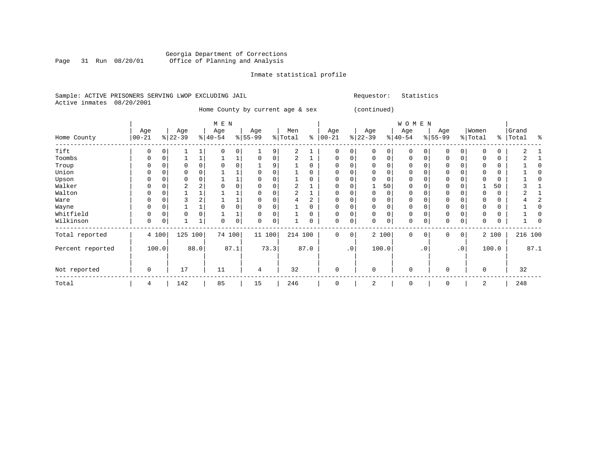#### Georgia Department of Corrections Page 31 Run 08/20/01 Office of Planning and Analysis

#### Inmate statistical profile

|  |                           |  | Sample: ACTIVE PRISONERS SERVING LWOP EXCLUDING JAIL |  |
|--|---------------------------|--|------------------------------------------------------|--|
|  | Active inmates 08/20/2001 |  |                                                      |  |

Requestor: Statistics

 Home County by current age & sex (continued) | M E N | W O M E N | Age | Age | Age | Age | Men | Age | Age | Age | Age |Women |Grand Home County |00-21 %|22-39 %|40-54 %|55-99 %|Total % |00-21 %|22-39 %|40-54 %|55-99 %|Total % |Total % ------------------------------------------------------------------------------------------------------------------------------------Tift | 0 0| 1 1| 0 0| 1 9| 2 1 | 0 0| 0 0| 0 0| 0 0| 0 0 | 2 1 Toombs | 0 0| 1 1| 1 1| 0 0| 2 1 | 0 0| 0 0| 0 0| 0 0| 0 0 | 2 1 Troup | 0 0| 0 0| 0 0| 1 9| 1 0 | 0 0| 0 0| 0 0| 0 0| 0 0 | 1 0 Union | 0 0| 0 0| 1 1| 0 0| 1 0 | 0 0| 0 0| 0 0| 0 0| 0 0 | 1 0 Upson | 0 0| 0 0| 1 1| 0 0| 1 0 | 0 0| 0 0| 0 0| 0 0| 0 0 | 1 0 Walker | 0 0| 2 2| 0 0| 0 0| 2 1 | 0 0| 1 50| 0 0| 0 0| 1 50 | 3 1 Walton | 0 0| 1 1| 1 1| 0 0| 2 1 | 0 0| 0 0| 0 0| 0 0| 0 0 | 2 1 Ware | 0 0| 3 2| 1 1| 0 0| 4 2 | 0 0| 0 0| 0 0| 0 0| 0 0 | 4 2 Wayne | 0 0| 1 1| 0 0| 0 0| 1 0 | 0 0| 0 0| 0 0| 0 0| 0 0 | 1 0 Whitfield | 0 0| 0 0| 1 1| 0 0| 1 0 | 0 0| 0 0| 0 0| 0 0| 0 0 | 1 0 Wilkinson | 0 0| 1 1| 0 0| 0 0| 1 0 | 0 0| 0 0| 0 0| 0 0| 0 0 | 1 0 ------------------------------------------------------------------------------------------------------------------------------------Total reported | 4 100| 125 100| 74 100| 11 100| 214 100 | 0 0| 2 100| 0 0| 0 0| 2 100 | 216 100 | | | | | | | | | | | Percent reported | 100.0| 88.0| 87.1| 73.3| 87.0 | .0| 100.0| .0| .0| 100.0 | 87.1 | | | | | | | | | | | | | | | | | | | | | | Not reported | 0 | 17 | 11 | 4 | 32 | 0 | 0 | 0 | 0 | 0 | 32 ------------------------------------------------------------------------------------------------------------------------------------

Total | 4 | 142 | 85 | 15 | 246 | 0 | 2 | 0 | 0 | 2 | 248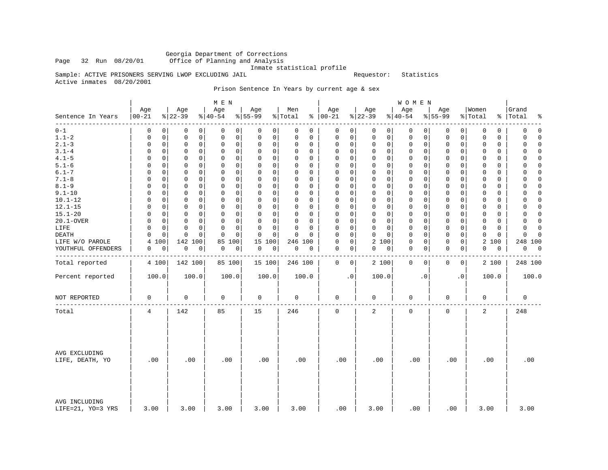Georgia Department of Corrections Office of Planning and Analysis

Inmate statistical profile

Sample: ACTIVE PRISONERS SERVING LWOP EXCLUDING JAIL Requestor: Statistics

Active inmates 08/20/2001

Prison Sentence In Years by current age & sex

|                                    |                   |                                           | M E N                        |                  |                            |                      |                                                   | WOMEN                   |                            |                         |                               |
|------------------------------------|-------------------|-------------------------------------------|------------------------------|------------------|----------------------------|----------------------|---------------------------------------------------|-------------------------|----------------------------|-------------------------|-------------------------------|
| Sentence In Years<br>------        | Age<br>$ 00 - 21$ | Age<br>$ 22-39 $                          | Age<br>$\frac{1}{6}$   40-54 | Age<br>$8 55-99$ | Men<br>% Total             | Age<br>$8   00 - 21$ | Age<br>$ 22-39 $                                  | Age<br>$8 40-54$        | Age<br>$8 55-99$           | Women<br>% Total        | Grand<br>%   Total<br>နွ      |
| $0 - 1$                            | 0                 | 0<br>0<br>0                               | 0<br>0                       | 0<br>0           | 0<br>0                     | 0                    | 0<br>$\mathbf 0$<br>0                             | 0<br>0                  | 0<br>0                     | 0<br>$\mathbf 0$        | 0<br>0                        |
| $1.1 - 2$                          | $\mathsf 0$       | $\mathbf 0$<br>$\mathbf 0$<br>0           | $\mathsf 0$<br>$\mathbf 0$   | 0<br>$\mathbf 0$ | $\mathsf 0$<br>$\mathbf 0$ | $\mathsf 0$          | $\mathsf{O}\xspace$<br>$\mathsf 0$<br>$\mathbf 0$ | $\mathsf 0$<br>0        | $\mathsf 0$<br>0           | $\mathbf 0$<br>0        | 0<br>$\Omega$                 |
| $2.1 - 3$                          | 0                 | 0<br>0<br>0                               | $\mathbf 0$<br>0             | 0<br>0           | $\Omega$<br>0              | 0                    | 0<br>0<br>0                                       | $\mathbf 0$<br>0        | 0<br>0                     | 0<br>$\Omega$           | $\mathbf 0$<br>$\Omega$       |
| $3.1 - 4$                          | 0                 | $\mathbf 0$<br>$\mathbf 0$<br>0           | $\mathbf 0$<br>$\mathbf 0$   | 0<br>$\mathbf 0$ | $\Omega$<br>0              | $\mathsf 0$          | $\mathbf 0$<br>$\mathbf 0$<br>$\mathbf 0$         | $\mathbf 0$<br>0        | $\mathbf 0$<br>0           | $\Omega$<br>0           | $\mathbf 0$<br>$\Omega$       |
| $4.1 - 5$                          | $\Omega$          | $\mathbf 0$<br>0<br>0                     | 0<br>$\mathbf 0$             | 0<br>$\mathbf 0$ | $\Omega$<br>$\Omega$       | 0                    | $\mathbf 0$<br>$\mathbf{0}$<br>$\mathbf 0$        | $\mathbf 0$<br>0        | $\mathbf 0$<br>$\mathbf 0$ | $\Omega$<br>0           | $\Omega$<br>0                 |
| $5.1 - 6$                          | $\mathbf 0$       | $\mathbf 0$<br>$\mathbf 0$<br>0           | $\mathbf 0$<br>$\mathbf 0$   | 0<br>$\mathbf 0$ | $\Omega$<br>$\Omega$       | $\mathbf 0$          | 0<br>$\mathbf 0$<br>$\Omega$                      | $\mathbf 0$<br>$\Omega$ | $\mathbf 0$<br>$\mathbf 0$ | $\Omega$<br>$\Omega$    | 0<br>$\Omega$                 |
| $6.1 - 7$                          | 0                 | 0<br>0<br>0                               | $\mathbf 0$<br>0             | $\mathbf 0$<br>0 | 0<br>0                     | 0                    | 0<br>$\mathbf{0}$<br>$\mathbf 0$                  | $\mathbf 0$<br>0        | 0<br>0                     | 0<br>$\Omega$           | $\Omega$<br>0                 |
| $7.1 - 8$                          | $\Omega$          | $\Omega$<br>0<br>0                        | 0<br>$\mathbf 0$             | 0<br>$\Omega$    | $\Omega$<br>$\Omega$       | $\mathbf 0$          | $\mathbf 0$<br>$\mathbf 0$<br>$\mathbf 0$         | $\mathbf 0$<br>0        | $\mathbf 0$<br>0           | $\Omega$<br>0           | $\Omega$<br>$\Omega$          |
| $8.1 - 9$                          | $\mathbf 0$       | $\mathbf 0$<br>0<br>0                     | $\mathbf 0$<br>$\mathbf 0$   | 0<br>0           | 0<br>0                     | $\mathbf 0$          | 0<br>$\mathbf 0$<br>$\mathbf 0$                   | $\mathbf 0$<br>0        | $\mathbf 0$<br>$\mathbf 0$ | 0<br>0                  | $\mathbf 0$<br>$\Omega$       |
| $9.1 - 10$                         | 0                 | $\Omega$<br>0<br>0                        | $\mathbf 0$<br>$\Omega$      | 0<br>0           | $\Omega$<br>$\Omega$       | 0                    | $\mathbf 0$<br>$\mathbf{0}$<br>$\Omega$           | $\mathbf 0$<br>0        | $\mathbf 0$<br>0           | $\Omega$<br>$\Omega$    | 0<br>$\Omega$                 |
| $10.1 - 12$                        | $\mathbf 0$       | $\mathbf 0$<br>$\mathbf 0$<br>$\mathbf 0$ | $\mathbf 0$<br>0             | 0<br>0           | $\Omega$<br>$\Omega$       | $\mathbf 0$          | $\mathbf 0$<br>$\mathbf 0$<br>$\mathbf 0$         | $\mathbf 0$<br>0        | $\mathbf 0$<br>$\mathbf 0$ | $\mathbf 0$<br>$\Omega$ | $\mathbf 0$<br>$\Omega$       |
| $12.1 - 15$                        | $\Omega$          | 0<br>0<br>0                               | $\mathbf 0$<br>$\mathbf 0$   | 0<br>0           | $\Omega$<br>0              | 0                    | 0<br>$\mathbf 0$<br>$\mathbf 0$                   | $\mathbf 0$<br>0        | 0<br>0                     | 0<br>0                  | 0<br>0                        |
| $15.1 - 20$                        | 0                 | 0<br>0<br>0                               | $\mathbf 0$<br>$\Omega$      | 0<br>0           | 0<br>$\Omega$              | 0                    | $\mathbf 0$<br>$\mathbf{0}$<br>$\mathbf 0$        | $\mathbf 0$<br>$\Omega$ | $\mathbf 0$<br>0           | 0<br>$\Omega$           | 0<br>$\Omega$                 |
| 20.1-OVER                          | $\Omega$          | $\mathbf 0$<br>$\mathbf 0$<br>$\mathbf 0$ | 0<br>$\mathbf 0$             | 0<br>0           | $\mathbf 0$<br>$\Omega$    | $\mathbf 0$          | $\mathsf 0$<br>$\mathbf 0$<br>$\mathbf 0$         | $\mathsf 0$<br>0        | $\mathbf 0$<br>$\mathbf 0$ | $\mathbf 0$<br>$\Omega$ | $\mathbf 0$<br>$\Omega$       |
| LIFE                               | $\Omega$          | $\Omega$<br>$\Omega$<br>0                 | $\Omega$<br>$\Omega$         | O<br>$\Omega$    | $\Omega$<br>$\Omega$       | $\Omega$             | $\mathbf 0$<br>$\mathbf 0$<br>$\Omega$            | 0<br>$\Omega$           | 0<br>0                     | $\Omega$<br>$\Omega$    | 0<br>$\Omega$                 |
| DEATH                              | $\Omega$          | $\mathbf 0$<br>$\mathbf 0$<br>$\Omega$    | $\Omega$<br>$\Omega$         | 0<br>$\mathbf 0$ | $\mathbf 0$<br>$\Omega$    | $\mathbf 0$          | $\mathbf 0$<br>$\mathbf 0$<br>$\Omega$            | $\mathbf 0$<br>$\Omega$ | $\mathbf 0$<br>$\mathbf 0$ | $\mathbf 0$<br>$\Omega$ | 0<br>$\Omega$                 |
| LIFE W/O PAROLE                    | 4<br>100          | 142 100                                   | 100<br>85                    | 15<br>100        | 246 100                    | 0                    | $\mathbf 0$<br>2 100                              | $\mathbf 0$<br>0        | $\mathbf 0$<br>0           | 2 100                   | 248 100                       |
| YOUTHFUL OFFENDERS                 | 0                 | $\mathbf 0$<br>0<br>0                     | 0<br>0                       | 0<br>0           | 0<br>$\mathbf 0$           | 0                    | 0<br>0<br> 0                                      | $\mathbf 0$<br>0        | 0<br>0                     | 0<br>0                  | 0<br>$\overline{\phantom{0}}$ |
| Total reported                     | 4 100             | 142 100                                   | 85 100                       | 15 100           | 246 100                    | $\mathbf{0}$         | $\mathbf 0$<br>2 100                              | $\mathbf 0$<br>$\Omega$ | 0<br>$\mathbf 0$           | 2 100                   | 248 100                       |
| Percent reported                   | 100.0             | 100.0                                     | 100.0                        | 100.0            | 100.0                      | $\cdot$ 0            | 100.0                                             | $\cdot$ 0               | $\cdot$ 0                  | 100.0                   | 100.0                         |
| NOT REPORTED                       | 0                 | 0                                         | 0                            | 0                | 0                          | 0                    | 0                                                 | 0                       | 0                          | $\mathbf 0$             | 0                             |
| Total                              | 4                 | 142                                       | 85                           | 15               | 246                        | $\Omega$             | 2                                                 | $\mathbf 0$             | $\mathbf 0$                | 2                       | 248                           |
| AVG EXCLUDING<br>LIFE, DEATH, YO   | .00               | .00                                       | .00                          | .00              | .00                        | .00                  | .00                                               | .00                     | .00                        | .00                     | .00                           |
| AVG INCLUDING<br>LIFE=21, YO=3 YRS | 3.00              | 3.00                                      | 3.00                         | 3.00             | 3.00                       | .00                  | 3.00                                              | .00                     | .00                        | 3.00                    | 3.00                          |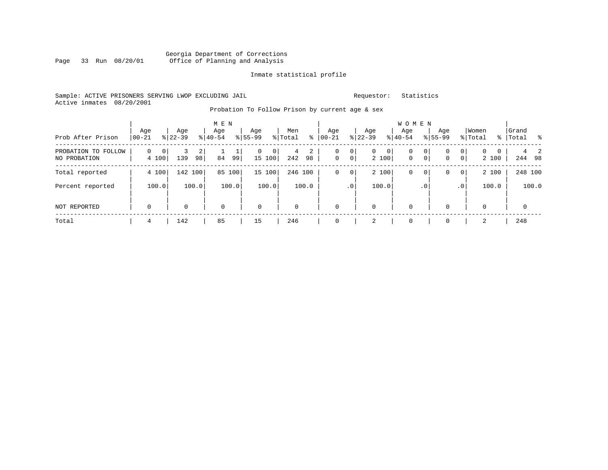#### Georgia Department of Corrections Page 33 Run 08/20/01 Office of Planning and Analysis

#### Inmate statistical profile

#### Sample: ACTIVE PRISONERS SERVING LWOP EXCLUDING JAIL Requestor: Statistics Active inmates 08/20/2001

### Probation To Follow Prison by current age & sex

| Prob After Prison                   | Age<br>$ 00-21$                     | Age<br>$ 22-39 $ | M E N<br>Age<br>$8 40-54$ | Age<br>$8 55-99$   | Men<br>ွေ<br>% Total | Age<br>$00 - 21$ | Age<br>$ 22-39 $                                    | <b>WOMEN</b><br>Aqe<br>$8 40-54$ | Age<br>$8155 - 99$                      | Women<br>% Total                                      | Grand<br>%   Total % |
|-------------------------------------|-------------------------------------|------------------|---------------------------|--------------------|----------------------|------------------|-----------------------------------------------------|----------------------------------|-----------------------------------------|-------------------------------------------------------|----------------------|
| PROBATION TO FOLLOW<br>NO PROBATION | $\Omega$<br>0 <sup>1</sup><br>4 100 | 2<br>139<br>98   | ∸.<br>84<br>99            | 0<br> 0 <br>15 100 | 2<br>4<br>242<br>98  | 0<br>$\mathbf 0$ | 0<br>$\mathbf{0}$<br> 0 <br>0 <sup>1</sup><br>2 100 | 0<br>$\mathbf 0$                 | 0<br>0<br>0 <sup>1</sup><br>$\mathbf 0$ | 0 <sup>1</sup><br>$\overline{0}$<br>0<br> 0 <br>2 100 | 2<br>244 98          |
| Total reported                      | 4 100                               | 142 100          | 85<br>100                 | 15 100             | 246 100              | $\mathbf 0$      | 2 100<br>$\mathbf 0$                                | 0                                | 0<br>0                                  | 2 100<br>0 <sup>1</sup>                               | 248 100              |
| Percent reported                    | 100.0                               | 100.0            | 100.0                     | 100.0              | 100.0                |                  | 100.0<br>.0 <sup>′</sup>                            |                                  | .0 <sup>°</sup>                         | 100.0<br>.0 <sup>1</sup>                              | 100.0                |
| NOT REPORTED                        | $\mathbf 0$                         | 0                | $\mathbf 0$               | $\mathbf 0$        | $\mathbf 0$          | $\mathbf 0$      | $\mathbf 0$                                         | $\mathbf 0$                      | $\Omega$                                | $\Omega$                                              | $\mathbf 0$          |
| Total                               | 4                                   | 142              | 85                        | 15                 | 246                  | $\mathbf 0$      |                                                     | 0                                | 0                                       | 2                                                     | 248                  |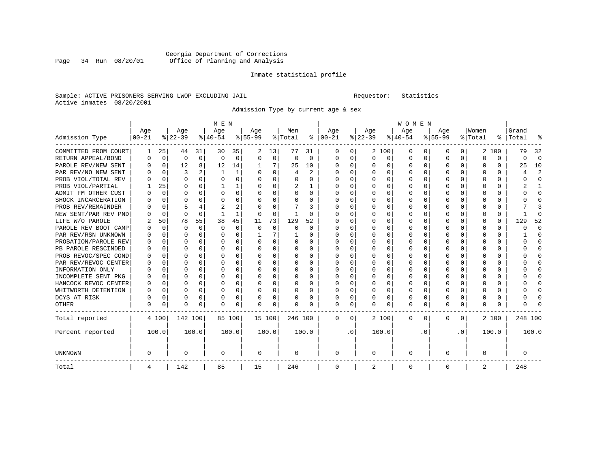### Georgia Department of Corrections<br>Page 34 Run 08/20/01 Office of Planning and Analysis Page 34 Run 08/20/01 Office of Planning and Analysis

#### Inmate statistical profile

#### Sample: ACTIVE PRISONERS SERVING LWOP EXCLUDING JAIL Requestor: Statistics Active inmates 08/20/2001

Admission Type by current age & sex

|                      |           |             |          |          | M E N       |          |           |          |          |          |               |           |          |          | WOMEN    |          |           |           |         |          |           |                         |
|----------------------|-----------|-------------|----------|----------|-------------|----------|-----------|----------|----------|----------|---------------|-----------|----------|----------|----------|----------|-----------|-----------|---------|----------|-----------|-------------------------|
|                      | Age       |             | Age      |          | Age         |          | Age       |          | Men      |          | Age           |           | Age      |          | Age      |          | Age       |           | Women   |          | Grand     |                         |
| Admission Type       | $00 - 21$ |             | $ 22-39$ |          | $ 40-54 $   |          | $8 55-99$ |          | % Total  |          | $8   00 - 21$ |           | $ 22-39$ |          | $ 40-54$ |          | $8 55-99$ |           | % Total |          | %   Total | ٩,                      |
| COMMITTED FROM COURT | 1         | 25          | 44       | 31       | 30          | 35       | 2         | 13       | 77       | 31       | 0             | 0         |          | 2 100    | 0        | $\left($ | 0         | 0         |         | 2 100    | 79        | 32                      |
| RETURN APPEAL/BOND   | O         | $\mathbf 0$ | 0        | 0        | $\mathbf 0$ | 0        | 0         | 0        | $\Omega$ | 0        | 0             | 0         | 0        | 0        | 0        | 0        | $\Omega$  | 0         | 0       | 0        | ი         | $\Omega$                |
| PAROLE REV/NEW SENT  | O         | 0           | 12       | 8        | 12          | 14       |           | 7        | 25       | 10       | $\Omega$      | 0         | $\Omega$ | 0        | $\Omega$ | $\Omega$ | 0         | $\Omega$  | 0       | 0        | 25        | 10                      |
| PAR REV/NO NEW SENT  |           | $\Omega$    | 3        | 2        | -1          | 1        | U         | $\Omega$ | 4        | 2        | <sup>0</sup>  | $\Omega$  | $\Omega$ | $\Omega$ | 0        | $\Omega$ | $\Omega$  | $\Omega$  | O       | 0        | 4         | $\overline{\mathbf{c}}$ |
| PROB VIOL/TOTAL REV  |           | $\Omega$    | $\Omega$ | $\Omega$ | $\Omega$    | $\Omega$ | U         | $\Omega$ | 0        | $\Omega$ | <sup>0</sup>  | $\Omega$  | $\Omega$ | $\Omega$ | U        | $\Omega$ | $\Omega$  | $\Omega$  | O       | 0        | U         | $\Omega$                |
| PROB VIOL/PARTIAL    |           | 25          | U        | $\Omega$ | -1          | 1        | U         | $\Omega$ | 2        | 1        | $\Omega$      | $\Omega$  | U        | $\Omega$ | U        | $\Omega$ | $\Omega$  | $\Omega$  | O       | 0        | 2         | $\mathbf{1}$            |
| ADMIT FM OTHER CUST  |           | $\Omega$    | O        | 0        | $\Omega$    | $\Omega$ | $\Omega$  | $\Omega$ | 0        | $\Omega$ | $\Omega$      | $\Omega$  | $\Omega$ | $\Omega$ | O        | $\Omega$ | $\Omega$  | $\Omega$  | O       | $\Omega$ | Λ         | $\Omega$                |
| SHOCK INCARCERATION  |           | $\Omega$    | U        | 0        | $\Omega$    | 0        |           | $\Omega$ | 0        | U        | 0             | $\Omega$  |          | 0        | Ω        | $\Omega$ | $\Omega$  | $\Omega$  |         | U        |           | <sup>0</sup>            |
| PROB REV/REMAINDER   |           | $\Omega$    | 5        |          | 2           | 2        |           | $\Omega$ |          | 3        | 0             | $\Omega$  | U        | $\Omega$ | U        | $\Omega$ | O         | $\Omega$  | O       | U        |           | κ                       |
| NEW SENT/PAR REV PND |           | $\Omega$    | $\Omega$ | $\Omega$ | -1          | 1        | O         | $\Omega$ |          | 0        | O             | $\Omega$  | U        | $\Omega$ | U        | $\Omega$ | O         | 0         | O       | 0        |           | C                       |
| LIFE W/O PAROLE      |           | 50          | 78       | 55       | 38          | 45       | 11        | 73       | 129      | 52       | O             | $\Omega$  | O        | $\Omega$ | U        | O        | O         | 0         | O       | 0        | 129       | 52                      |
| PAROLE REV BOOT CAMP |           | $\Omega$    | U        | $\Omega$ | $\Omega$    | $\Omega$ | O         | $\Omega$ | U        | $\Omega$ | O             | 0         | U        | $\Omega$ | U        | n        | O         | U         | U       | 0        | Λ         | $\Omega$                |
| PAR REV/RSN UNKNOWN  |           | $\Omega$    | U        | 0        | $\Omega$    | $\Omega$ |           | 7        |          | U        | <sup>0</sup>  | $\Omega$  | ∩        | $\Omega$ | U        | n        | ∩         | 0         | U       | 0        |           | <sup>0</sup>            |
| PROBATION/PAROLE REV |           | 0           | U        | U        | $\Omega$    | $\Omega$ | U         | 0        | U        | U        | <sup>0</sup>  | 0         | U        | $\Omega$ | U        | n        | ∩         | 0         | U       | $\Omega$ |           | <sup>0</sup>            |
| PB PAROLE RESCINDED  | O         | 0           | O        | 0        | $\Omega$    | $\Omega$ | O         | 0        | 0        | 0        | <sup>0</sup>  | $\Omega$  | U        | $\Omega$ | U        | n        | $\Omega$  | $\Omega$  |         | O        |           | <sup>0</sup>            |
| PROB REVOC/SPEC COND | O         | 0           | U        | 0        | $\Omega$    | 0        | U         | 0        | 0        | 0        | 0             | 0         | O        | U        | U        | $\Omega$ | ∩         | 0         |         | 0        |           | ∩                       |
| PAR REV/REVOC CENTER | O         | 0           | U        | $\Omega$ | $\Omega$    | 0        | U         | 0        | 0        | 0        | <sup>0</sup>  | 0         | U        | U        | U        | $\Omega$ | ∩         | $\Omega$  | n       | 0        |           | ∩                       |
| INFORMATION ONLY     |           | 0           | U        | $\Omega$ | $\Omega$    | 0        | U         | $\Omega$ | 0        | U        | <sup>0</sup>  | $\Omega$  | U        | O        | U        | $\Omega$ | ∩         | $\Omega$  | n       | 0        |           | ∩                       |
| INCOMPLETE SENT PKG  |           | $\Omega$    | U        | $\Omega$ | $\Omega$    | 0        | U         | 0        | 0        | $\Omega$ | <sup>0</sup>  | 0         | U        | O        | U        | $\Omega$ | ∩         | $\Omega$  |         | 0        |           | ∩                       |
| HANCOCK REVOC CENTER | 0         | 0           | U        | 0        | $\Omega$    | 0        | U         | 0        | 0        | $\Omega$ | 0             | $\Omega$  | 0        | 0        | 0        | $\Omega$ | $\Omega$  | $\Omega$  |         | 0        |           | ∩                       |
| WHITWORTH DETENTION  | O         | 0           | 0        | 0        | $\Omega$    | 0        | O         | 0        | 0        | 0        | 0             | 0         | 0        | 0        | 0        | $\Omega$ | $\Omega$  | $\Omega$  | O       | 0        |           | <sup>0</sup>            |
| DCYS AT RISK         |           | $\Omega$    | 0        | 0        | $\Omega$    | 0        | O         | $\Omega$ | 0        | 0        | 0             | $\Omega$  | U        | $\Omega$ | 0        | $\Omega$ | $\Omega$  | $\Omega$  |         | 0        |           | ſ                       |
| OTHER                | $\Omega$  | $\Omega$    | O        | $\Omega$ | $\Omega$    | 0        | U         | $\Omega$ | 0        | 0        | $\Omega$      | 0         | U        | $\Omega$ | 0        | $\Omega$ | $\Omega$  | $\Omega$  | O       | 0        |           |                         |
| Total reported       |           | 4 100       | 142 100  |          |             | 85 100   | 15 100    |          | 246 100  |          | $\Omega$      | $\Omega$  |          | 2 100    | $\Omega$ | $\Omega$ | $\Omega$  | $\Omega$  |         | 2 100    | 248 100   |                         |
| Percent reported     |           | 100.0       |          | 100.0    |             | 100.0    |           | 100.0    |          | 100.0    |               | $\cdot$ 0 |          | 100.0    |          | . 0      |           | $\cdot$ 0 |         | 100.0    |           | 100.0                   |
| UNKNOWN              | 0         |             | 0        |          | 0           |          | 0         |          | 0        |          | 0             |           | 0        |          | 0        |          | $\Omega$  |           | 0       |          | 0         |                         |
| Total                | 4         |             | 142      |          | 85          |          | 15        |          | 246      |          | 0             |           | 2        |          | 0        |          | $\Omega$  |           | 2       |          | 248       |                         |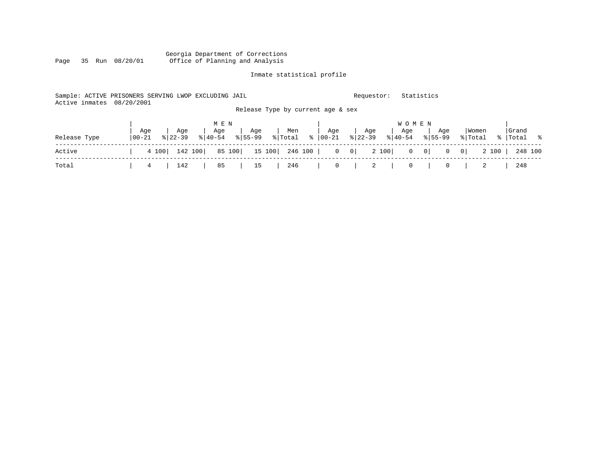#### Georgia Department of Corrections Page 35 Run 08/20/01 Office of Planning and Analysis

# Inmate statistical profile

| Sample: ACTIVE PRISONERS SERVING LWOP EXCLUDING JAIL<br>Active inmates | 08/20/2001     |                    |                  |                                   |                  |                  | Requestor:       |                  | Statistics                     |                         |                    |
|------------------------------------------------------------------------|----------------|--------------------|------------------|-----------------------------------|------------------|------------------|------------------|------------------|--------------------------------|-------------------------|--------------------|
|                                                                        |                |                    |                  | Release Type by current age & sex |                  |                  |                  |                  |                                |                         |                    |
|                                                                        |                |                    | M E N            |                                   |                  |                  |                  | W O M E N        |                                |                         |                    |
| Release Type                                                           | Aqe<br>  00-21 | Aqe<br>$8122 - 39$ | Age<br>$ 40-54 $ | Age<br>$8155 - 99$                | Men<br>% Total % | Age<br>$ 00-21 $ | Age<br>$8 22-39$ | Aqe<br>$8 40-54$ | Aqe<br>$8155 - 99$             | Women<br>% Total        | Grand<br>% Total % |
| Active                                                                 |                | 142 100<br>4 100   | 85 100           | 15 100                            | 246 100          |                  | $0 \qquad 0$     | 2 100            | $0 \qquad 0$<br>$\overline{0}$ | 0 <sup>1</sup><br>2 100 | 248 100            |
| Total                                                                  | 4              | 142                | 85               | 15                                | 246              | 0                | 2                | $\circ$          | $\circ$                        |                         | 248                |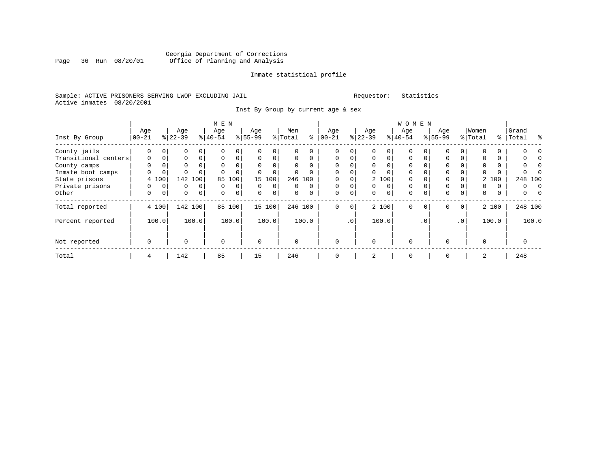#### Georgia Department of Corrections Page 36 Run 08/20/01 Office of Planning and Analysis

# Inmate statistical profile

|  |                           |  | Sample: ACTIVE PRISONERS SERVING LWOP EXCLUDING JAII |  |
|--|---------------------------|--|------------------------------------------------------|--|
|  | Active inmates 08/20/2001 |  |                                                      |  |

L<br>
Sample: ACTIVE PREQUESTOR: Statistics

Inst By Group by current age & sex

|                      |             |       |           |         | M E N       |       |           |             |          |          |              |             |             |          | <b>WOMEN</b> |           |             |                 |          |       |           |          |
|----------------------|-------------|-------|-----------|---------|-------------|-------|-----------|-------------|----------|----------|--------------|-------------|-------------|----------|--------------|-----------|-------------|-----------------|----------|-------|-----------|----------|
|                      | Age         |       | Age       |         | Age         |       | Age       |             | Men      |          | Age          |             | Age         |          | Age          |           | Age         |                 | Women    |       | Grand     |          |
| Inst By Group        | $ 00-21$    |       | $8 22-39$ |         | $8 40-54$   |       | $8 55-99$ |             | % Total  | ⊱        | $00 - 21$    |             | $ 22-39 $   |          | $8 40-54$    |           | $8155 - 99$ |                 | % Total  |       | %   Total | ႜ        |
| County jails         |             |       | 0         |         |             |       |           | 0           |          |          | 0            |             |             |          | 0            |           |             |                 |          |       |           |          |
| Transitional centers | 0           |       | 0         |         | $\mathbf 0$ |       | 0         | 0           | 0        | $\Omega$ | 0            |             | $\mathbf 0$ | $\Omega$ | 0            | $\Omega$  | 0           |                 | $\Omega$ |       |           |          |
| County camps         | 0           |       | 0         |         | 0           |       | 0         | 0           | 0        | $\Omega$ | 0            |             | 0           |          | 0            |           | $\Omega$    |                 | $\Omega$ |       |           |          |
| Inmate boot camps    | $\Omega$    |       | 0         |         | $\Omega$    |       | $\Omega$  | $\mathbf 0$ | U        | $\Omega$ | $\Omega$     |             | $\Omega$    | 0        | $\Omega$     |           | $\Omega$    |                 | $\Omega$ |       |           |          |
| State prisons        |             | 4 100 | 142       | 100     | 85          | 100   |           | 15 100      |          | 246 100  | $\Omega$     |             |             | 2 100    | $\Omega$     |           | $\Omega$    |                 |          | 2 100 | 248 100   |          |
| Private prisons      | 0           |       | 0         | 0       | $\mathbf 0$ | 0     | 0         | 0           | 0        | $\Omega$ | $\mathbf 0$  |             | 0           | 0        | $\mathbf 0$  |           | 0           |                 | 0        | 0     | 0         | $\Omega$ |
| Other                | 0           | 0     | 0         | 0       | $\mathbf 0$ | 0     | $\Omega$  | 0           | 0        | 0        | $\mathbf 0$  | 0           | 0           | 0        | $\Omega$     | $\Omega$  | $\Omega$    | $\Omega$        | $\Omega$ | 0     | 0         | 0        |
| Total reported       |             | 4 100 |           | 142 100 | 85          | 100   |           | 15 100      |          | 246 100  | 0            | $\mathbf 0$ |             | 2 100    | $\mathbf 0$  | $\Omega$  | $\Omega$    | $\overline{0}$  |          | 2 100 | 248 100   |          |
| Percent reported     |             | 100.0 |           | 100.0   |             | 100.0 |           | 100.0       |          | 100.0    |              | $\cdot$ 0   |             | 100.0    |              | $\cdot$ 0 |             | .0 <sup>1</sup> |          | 100.0 |           | 100.0    |
| Not reported         | $\mathbf 0$ |       | 0         |         | $\Omega$    |       | $\Omega$  |             | $\Omega$ |          | $\mathbf{0}$ |             | $\Omega$    |          | $\Omega$     |           |             |                 | $\Omega$ |       | $\Omega$  |          |
| Total                | 4           |       | 142       |         | 85          |       | 15        |             | 246      |          | $\Omega$     |             | 2           |          | $\mathbf 0$  |           | $\Omega$    |                 | 2        |       | 248       |          |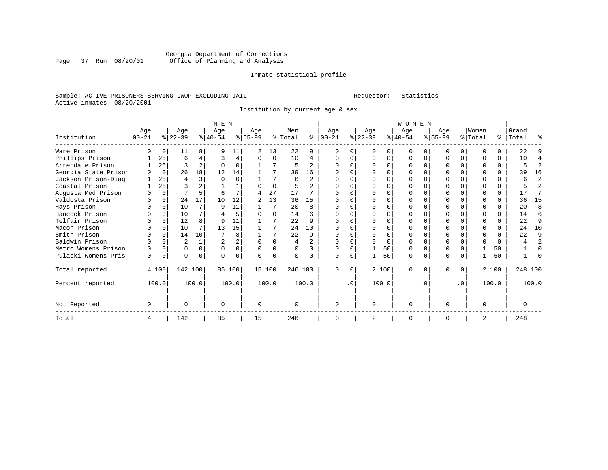### Georgia Department of Corrections Page 37 Run 08/20/01 Office of Planning and Analysis

#### Inmate statistical profile

#### Sample: ACTIVE PRISONERS SERVING LWOP EXCLUDING JAIL Requestor: Statistics Active inmates 08/20/2001

Institution by current age & sex

|                      |            |          | M E N     |                |                |                |           |          | <b>WOMEN</b> |                |           |           |              |       |              |           |           |              |          |          |           |                |
|----------------------|------------|----------|-----------|----------------|----------------|----------------|-----------|----------|--------------|----------------|-----------|-----------|--------------|-------|--------------|-----------|-----------|--------------|----------|----------|-----------|----------------|
|                      | Age        |          | Age       |                | Age            |                | Age       |          | Men          |                | Age       |           | Age          |       | Aqe          |           | Aqe       |              | Women    |          | Grand     |                |
| Institution          | $ 00 - 21$ |          | $ 22-39 $ |                | $8 40-54$      |                | $8 55-99$ |          | % Total      | ∻              | $00 - 21$ |           | $ 22-39 $    |       | $ 40-54 $    |           | $ 55-99 $ |              | % Total  |          | %   Total | ዱ              |
| Ware Prison          |            |          | 11        | 8              |                | 11             | 2         | 13       | 22           |                |           |           |              |       | <sup>0</sup> |           |           | <sup>0</sup> |          |          | 22        | 9              |
| Phillips Prison      |            | 25       | 6         | 4              | ζ              | 4              | $\Omega$  | $\Omega$ | 10           | 4              | $\Omega$  |           | $\Omega$     | 0     | $\Omega$     | $\Omega$  | O         | $\Omega$     | ∩        | $\Omega$ | 10        | 4              |
| Arrendale Prison     |            | 25       |           | $\overline{a}$ |                |                |           | 7        | 5            | 2              |           |           | <sup>0</sup> | 0     |              |           |           | $\Omega$     |          |          |           | $\overline{a}$ |
| Georgia State Prison |            | $\Omega$ | 26        | 18             | 12             | 14             |           | 7        | 39           | 16             |           |           | ∩            | U     |              |           | U         | $\Omega$     | ∩        | $\Omega$ | 39        | 16             |
| Jackson Prison-Diag  |            | 25       | 4         | 3              | $\Omega$       | $\Omega$       |           | 7        | 6            | $\overline{2}$ |           |           | $\Omega$     | O     |              |           |           | $\Omega$     | ∩        | $\Omega$ | 6         | $\overline{2}$ |
| Coastal Prison       |            | 25       |           |                |                |                | U         | $\Omega$ |              | $\overline{a}$ |           |           |              | O     |              |           |           |              |          | $\Omega$ |           | $\overline{a}$ |
| Augusta Med Prison   |            |          |           |                | 6              |                |           | 27       | 17           |                |           |           |              | U     |              |           |           |              |          |          | 17        | 7              |
| Valdosta Prison      |            | $\Omega$ | 24        | 17             | 10             | 12             | 2         | 13       | 36           | 15             |           |           |              |       |              |           |           |              |          | 0        | 36        | 15             |
| Hays Prison          |            | $\Omega$ | 10        | 7              | Q              | 11             |           | 7        | 20           | $\mathsf{R}$   |           |           | $\cap$       | O     |              | $\Omega$  |           | U            |          | 0        | 2.0       | 8              |
| Hancock Prison       |            |          | 10        |                |                | 5              |           |          | 14           | б              |           |           |              |       |              |           |           |              |          |          | 14        | 6              |
| Telfair Prison       |            |          | 12        | 8              |                | 11             |           |          | 22           | q              |           |           |              | U     |              |           |           | U            |          | $\Omega$ | 22        | 9              |
| Macon Prison         |            | $\Omega$ | 10        | 7              | 13             | 15             |           | 7        | 24           | 10             |           |           | <sup>0</sup> | O     | $\Omega$     |           |           | O            |          | $\Omega$ | 2.4       | 10             |
| Smith Prison         |            | $\cap$   | 14        | 10             |                | 8              |           | 7        | 22           | 9              |           |           | ∩            | U     | ∩            | $\Omega$  |           | $\cap$       | ∩        | $\cap$   | 22        | 9              |
| Baldwin Prison       |            |          | 2         |                | $\overline{2}$ | $\overline{a}$ | $\Omega$  |          |              | $\overline{2}$ |           |           | <sup>0</sup> | U     | $\Omega$     |           |           | U            | ∩        | $\cap$   |           | $\overline{a}$ |
| Metro Womens Prison  | O          | $\cap$   | O         | $\Omega$       | $\cap$         | $\Omega$       | $\Omega$  | 0        | $\Omega$     | <sup>n</sup>   | $\Omega$  |           |              | 50    | $\Omega$     | $\Omega$  | O         | $\Omega$     |          | 50       |           | O              |
| Pulaski Womens Pris  | $\Omega$   | $\Omega$ | O         | $\Omega$       |                | $\Omega$       | O         | 0        |              |                | $\Omega$  | $\Omega$  |              | 50    | $\Omega$     | $\Omega$  |           | $\Omega$     |          | 50       |           |                |
| Total reported       |            | 4 100    | 142 100   |                |                | 85 100         |           | 15 100   | 246 100      |                | $\Omega$  | $\Omega$  |              | 2 100 | $\Omega$     | $\Omega$  | $\Omega$  | $\Omega$     |          | 2 100    | 248 100   |                |
| Percent reported     |            | 100.0    |           | 100.0          |                | 100.0          |           | 100.0    |              | 100.0          |           | $\cdot$ 0 |              | 100.0 |              | $\cdot$ 0 |           | $\cdot$ 0    |          | 100.0    |           | 100.0          |
| Not Reported         | O          |          | U         |                | O              |                | $\Omega$  |          |              |                | $\Omega$  |           | $\Omega$     |       | $\Omega$     |           | O         |              | $\Omega$ |          | $\Omega$  |                |
| Total                | 4          |          | 142       |                | 85             |                | 15        |          | 246          |                | ∩         |           | 2            |       | $\Omega$     |           | በ         |              |          |          | 248       |                |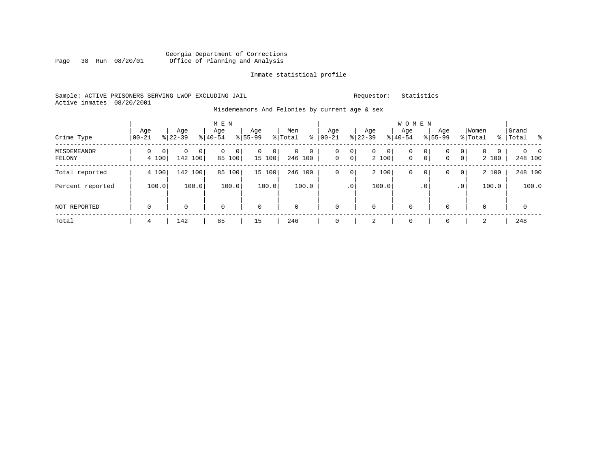#### Georgia Department of Corrections Page 38 Run 08/20/01 Office of Planning and Analysis

#### Inmate statistical profile

### Sample: ACTIVE PRISONERS SERVING LWOP EXCLUDING JAIL Requestor: Statistics Active inmates 08/20/2001

#### Misdemeanors And Felonies by current age & sex

|                              |                            |                                          | M E N             |                             |                                         |                   |                                                                               | <b>WOMEN</b>                            |                            |                                                               |                                       |
|------------------------------|----------------------------|------------------------------------------|-------------------|-----------------------------|-----------------------------------------|-------------------|-------------------------------------------------------------------------------|-----------------------------------------|----------------------------|---------------------------------------------------------------|---------------------------------------|
| Crime Type                   | Age<br>$00 - 21$           | Age<br>$8 22-39$                         | Age<br>$8 40-54$  | Age<br>$8155 - 99$          | Men<br>% Total<br>နွ                    | Age<br>$00 - 21$  | Age<br>$ 22-39 $                                                              | Age<br>$8 40-54$                        | Age<br>$8155 - 99$         | Women<br>% Total<br>%                                         | Grand<br>$\sim$ 8<br>Total            |
| <b>MISDEMEANOR</b><br>FELONY | 0<br>$\mathbf{0}$<br>4 100 | $\mathbf 0$<br>$\overline{0}$<br>142 100 | 0 <br>0<br>85 100 | $\mathbf{0}$<br>0<br>15 100 | $\mathbf{0}$<br>$\mathbf{0}$<br>246 100 | 0<br>$\mathbf{0}$ | 0 <sup>1</sup><br>$\overline{0}$<br>0 <sup>1</sup><br>0 <sup>1</sup><br>2 100 | 0<br>0<br>$\mathbf 0$<br>$\overline{0}$ | $\mathbf 0$<br>$\mathbf 0$ | 0 <br>$\mathbf{0}$<br>$\mathbf{0}$<br>0 <sup>1</sup><br>2 100 | $\Omega$<br>$\overline{0}$<br>248 100 |
| Total reported               | 4 100                      | 142 100                                  | 85 100            | 15 100                      | 246 100                                 | 0                 | 2 100<br>0 <sup>1</sup>                                                       | 0<br>0                                  | 0                          | 2 100<br>0 <sup>1</sup>                                       | 248 100                               |
| Percent reported             | 100.0                      | 100.0                                    | 100.0             | 100.0                       | 100.0                                   | .0 <sup>1</sup>   | 100.0                                                                         | . 0                                     |                            | 100.0<br>.0 <sup>1</sup>                                      | 100.0                                 |
| NOT REPORTED                 | $\mathbf 0$                | 0                                        | $\mathbf 0$       | $\mathbf 0$                 | $\mathbf 0$                             | 0                 | $\mathbf 0$                                                                   | $\mathbf 0$                             | $\mathbf 0$                | $\mathbf 0$                                                   | $\mathbf 0$                           |
| Total                        | 4                          | 142                                      | 85                | 15                          | 246                                     |                   | 2                                                                             | 0                                       | $\mathbf 0$                | 2                                                             | 248                                   |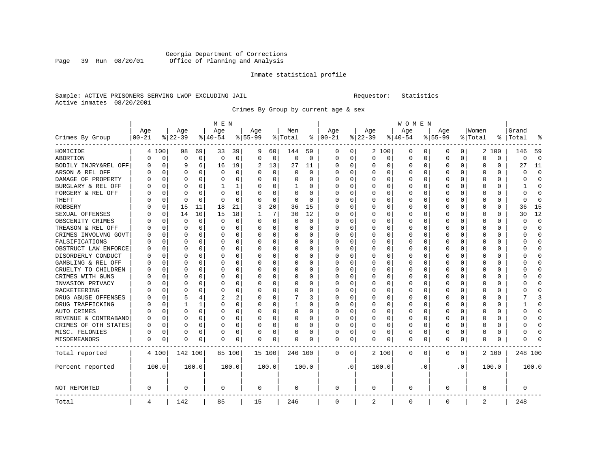### Georgia Department of Corrections<br>Page 39 Run 08/20/01 Office of Planning and Analysis Page 39 Run 08/20/01 Office of Planning and Analysis

#### Inmate statistical profile

#### Sample: ACTIVE PRISONERS SERVING LWOP EXCLUDING JAIL Requestor: Statistics Active inmates 08/20/2001

Crimes By Group by current age & sex

|                      |           |             |             |              | M E N    |             |           |             |             |             | W O M E N     |           |          |          |             |          |              |             |          |          |         |                |  |  |
|----------------------|-----------|-------------|-------------|--------------|----------|-------------|-----------|-------------|-------------|-------------|---------------|-----------|----------|----------|-------------|----------|--------------|-------------|----------|----------|---------|----------------|--|--|
|                      | Age       |             | Age         |              | Age      |             | Age       |             | Men         |             | Age           |           | Age      |          | Age         |          | Age          |             | Women    |          | Grand   |                |  |  |
| Crimes By Group      | $00 - 21$ |             | $8 22-39$   |              | $ 40-54$ |             | $8 55-99$ |             | % Total     |             | $8   00 - 21$ |           | $ 22-39$ |          | $8 40-54$   |          | $8155 - 99$  |             | % Total  | ႜ        | Total   |                |  |  |
| HOMICIDE             | 4         | 100         | 98          | 69           | 33       | 39          | 9         | 60          | 144         | 59          | 0             | 0         |          | 2 100    | 0           | 0        | 0            | 0           | 2        | 100      | 146     | 59             |  |  |
| ABORTION             | O         | $\mathbf 0$ | $\mathbf 0$ | $\mathbf 0$  | $\Omega$ | $\mathbf 0$ | $\Omega$  | $\mathbf 0$ | $\mathbf 0$ | $\mathbf 0$ | $\Omega$      | 0         | $\Omega$ | 0        | $\Omega$    | 0        | $\Omega$     | $\mathbf 0$ | $\Omega$ | $\Omega$ | 0       | $\overline{0}$ |  |  |
| BODILY INJRY&REL OFF | O         | $\mathbf 0$ | 9           | 6            | 16       | 19          | 2         | 13          | 27          | 11          | $\Omega$      | 0         | $\Omega$ | $\Omega$ | 0           | 0        | <sup>0</sup> | $\Omega$    | O        | $\Omega$ | 27      | 11             |  |  |
| ARSON & REL OFF      | U         | $\mathbf 0$ | $\Omega$    | 0            | $\Omega$ | 0           | ∩         | 0           | 0           | $\Omega$    | $\Omega$      | 0         | O        | $\Omega$ | 0           | $\Omega$ | O            | 0           | O        | O        | U       | $\Omega$       |  |  |
| DAMAGE OF PROPERTY   |           | $\Omega$    | U           | U            | $\Omega$ | 0           |           | $\Omega$    | O           | U           | $\Omega$      | U         | $\Omega$ | $\Omega$ | U           | C        | ∩            | U           | O        | $\Omega$ | Λ       | $\Omega$       |  |  |
| BURGLARY & REL OFF   | O         | $\Omega$    | O           | 0            | -1       | 1           | $\Omega$  | $\Omega$    | 1           | 0           | O             | 0         | $\Omega$ | $\Omega$ | 0           | $\Omega$ | ∩            | $\Omega$    | O        | 0        |         | ∩              |  |  |
| FORGERY & REL OFF    |           | 0           | O           | $\Omega$     | $\Omega$ | 0           |           | $\mathbf 0$ | 0           | 0           | 0             | 0         | $\Omega$ | 0        | 0           | $\Omega$ | <sup>0</sup> | $\Omega$    | O        | 0        | U       | $\Omega$       |  |  |
| THEFT                |           | $\mathbf 0$ | 0           | 0            | $\Omega$ | 0           |           | 0           | $\Omega$    | $\Omega$    | C             | 0         | $\Omega$ | $\Omega$ | 0           | $\Omega$ | <sup>0</sup> | $\Omega$    | 0        | 0        | O       | $\sqrt{ }$     |  |  |
| <b>ROBBERY</b>       |           | 0           | 15          | 11           | 18       | 21          | 3         | 20          | 36          | 15          | $\Omega$      | 0         | $\Omega$ | 0        | 0           | $\Omega$ | <sup>0</sup> | $\Omega$    | O        | 0        | 36      | 15             |  |  |
| SEXUAL OFFENSES      |           | 0           | 14          | 10           | 15       | 18          |           | 7           | 30          | 12          | $\Omega$      | 0         | $\Omega$ | $\Omega$ | 0           | $\Omega$ | <sup>0</sup> | 0           | O        | 0        | 30      | 12             |  |  |
| OBSCENITY CRIMES     |           | $\Omega$    | $\Omega$    | $\Omega$     | $\Omega$ | $\Omega$    |           | $\Omega$    | 0           | O           | $\Omega$      | 0         | $\Omega$ | $\Omega$ | 0           | C        | <sup>0</sup> | 0           | $\Omega$ | $\Omega$ | O       | $\Omega$       |  |  |
| TREASON & REL OFF    |           | $\Omega$    | $\Omega$    | $\Omega$     | $\Omega$ | 0           | $\Omega$  | $\Omega$    | 0           | 0           | 0             | 0         | O        | $\Omega$ | 0           | $\Omega$ | 0            | $\Omega$    | O        | $\Omega$ | U       | $\Omega$       |  |  |
| CRIMES INVOLVNG GOVT |           | $\mathbf 0$ | $\Omega$    | $\Omega$     | 0        | 0           |           | $\mathbf 0$ | 0           | 0           | 0             | 0         | 0        | $\Omega$ | 0           | $\Omega$ | 0            | $\Omega$    | 0        | 0        | ი       | $\Omega$       |  |  |
| FALSIFICATIONS       |           | $\Omega$    | $\Omega$    | $\Omega$     | $\Omega$ | $\Omega$    | $\Omega$  | $\Omega$    | 0           | $\Omega$    | $\Omega$      | 0         | $\Omega$ | $\Omega$ | U           | C        | <sup>0</sup> | $\Omega$    | O        | $\Omega$ | U       | $\Omega$       |  |  |
| OBSTRUCT LAW ENFORCE | O         | $\mathbf 0$ | O           | $\Omega$     | O        | 0           | $\Omega$  | 0           | 0           | 0           | $\Omega$      | 0         | $\Omega$ | $\Omega$ | 0           | 0        | O            | $\Omega$    | O        | 0        | ი       | $\Omega$       |  |  |
| DISORDERLY CONDUCT   | O         | 0           | O           | 0            | 0        | 0           |           | 0           | 0           | 0           | O             | 0         | $\Omega$ | $\Omega$ | 0           | $\Omega$ |              | 0           | O        | 0        |         | <sup>0</sup>   |  |  |
| GAMBLING & REL OFF   | n         | $\Omega$    | U           | 0            | $\Omega$ | 0           | ∩         | $\Omega$    | 0           | O           | $\Omega$      | 0         | $\Omega$ | $\Omega$ | 0           | C        | ∩            | 0           | U        | 0        | ∩       | ∩              |  |  |
| CRUELTY TO CHILDREN  |           | $\Omega$    | O           | 0            | O        | 0           | $\Omega$  | 0           | 0           | 0           | $\Omega$      | 0         | $\Omega$ | $\Omega$ | 0           | $\Omega$ | <sup>0</sup> | $\Omega$    | O        | 0        |         | ∩              |  |  |
| CRIMES WITH GUNS     |           | 0           | O           | $\Omega$     | $\Omega$ | 0           |           | 0           | 0           | $\Omega$    | 0             | 0         | $\Omega$ | 0        | 0           | $\Omega$ | <sup>0</sup> | $\Omega$    | 0        | 0        |         | U              |  |  |
| INVASION PRIVACY     |           | $\mathbf 0$ | $\Omega$    | $\Omega$     | $\Omega$ | 0           |           | 0           | 0           | $\Omega$    | $\Omega$      | 0         | $\Omega$ | 0        | 0           | 0        | $\Omega$     | $\Omega$    | O        | 0        | ∩       | $\cap$         |  |  |
| RACKETEERING         | U         | $\mathbf 0$ | $\Omega$    | $\Omega$     | $\Omega$ | 0           | ∩         | 0           | 0           | 0           | $\Omega$      | 0         | $\Omega$ | 0        | 0           | $\Omega$ | <sup>0</sup> | $\Omega$    | O        | 0        |         | $\Omega$       |  |  |
| DRUG ABUSE OFFENSES  |           | 0           | 5           | 4            | 2        | 2           |           | $\Omega$    |             | 3           | 0             | 0         | $\Omega$ | $\Omega$ | 0           | $\Omega$ |              | 0           | 0        | 0        |         | 3              |  |  |
| DRUG TRAFFICKING     | U         | $\Omega$    |             | $\mathbf{1}$ | $\Omega$ | 0           | O         | $\Omega$    | 1           | O           | $\Omega$      | O         | $\Omega$ | $\Omega$ | U           | C        | <sup>0</sup> | $\Omega$    | O        | $\Omega$ |         | $\Omega$       |  |  |
| AUTO CRIMES          |           | $\Omega$    | $\Omega$    | $\Omega$     | O        | 0           | O         | $\Omega$    | 0           | 0           | $\Omega$      | 0         | O        | $\Omega$ | 0           | $\Omega$ | O            | $\Omega$    | O        | 0        | O       | <sup>0</sup>   |  |  |
| REVENUE & CONTRABAND |           | 0           | O           | $\Omega$     | 0        | 0           |           | $\mathbf 0$ | 0           | 0           | 0             | 0         | 0        | 0        | 0           | $\Omega$ | <sup>0</sup> | $\Omega$    | 0        | 0        |         | $\Omega$       |  |  |
| CRIMES OF OTH STATES | O         | 0           | O           | $\Omega$     | O        | 0           | ∩         | 0           | 0           | 0           | $\Omega$      | 0         | $\Omega$ | $\Omega$ | 0           | $\Omega$ | <sup>0</sup> | $\Omega$    | O        | 0        | O       | $\Omega$       |  |  |
| MISC. FELONIES       | O         | 0           | O           | 0            | 0        | 0           | ∩         | 0           | 0           | 0           | $\Omega$      | 0         | O        | 0        | 0           | 0        | O            | $\Omega$    | O        | 0        | U       | <sup>0</sup>   |  |  |
| MISDEMEANORS         | 0         | 0           | 0           | 0            | 0        | 0           | $\Omega$  | 0           | 0           | 0           | 0             | 0         | 0        | 0        | 0           | 0        | $\Omega$     | 0           | 0        | 0        | ი       | ſ              |  |  |
| Total reported       |           | 4 100       | 142 100     |              |          | 85 100      | 15 100    |             | 246 100     |             | 0             | 0         |          | 2 100    | $\mathbf 0$ | 0        | $\Omega$     | 0           |          | 2 100    | 248 100 |                |  |  |
| Percent reported     |           | 100.0       |             | 100.0        |          | 100.0       |           | 100.0       |             | 100.0       |               | $\cdot$ 0 |          | 100.0    |             | . 0      |              | $\cdot$ 0   |          | 100.0    |         | 100.0          |  |  |
| NOT REPORTED         | 0         |             | 0           |              | 0        |             | 0         |             | 0           |             | $\mathbf 0$   |           | 0        |          | 0           |          | 0            |             | 0        |          | 0       |                |  |  |
| Total                | 4         |             | 142         |              | 85       |             | 15        |             | 246         |             | $\mathbf 0$   |           | 2        |          | 0           |          | $\Omega$     |             | 2        |          | 248     |                |  |  |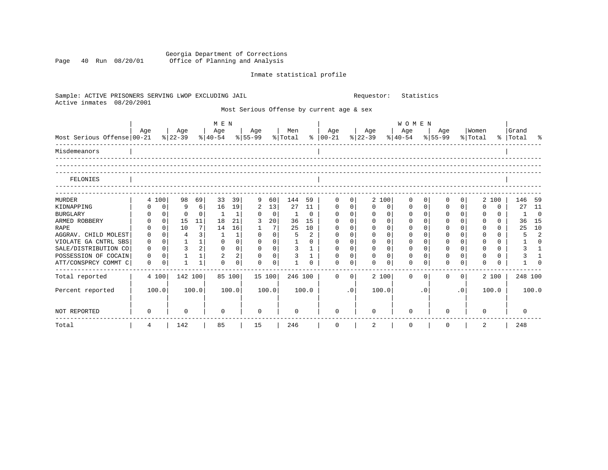Georgia Department of Corrections Page 40 Run 08/20/01 Office of Planning and Analysis

# Inmate statistical profile

| Sample: ACTIVE PRISONERS SERVING LWOP EXCLUDING JAIL<br>Active inmates 08/20/2001 |     |                |                  |              |             |                |                                           |                |                |              | Statistics<br>Requestor:                  |                |                                                                       |             |             |             |             |                |                  |              |                    |                |  |
|-----------------------------------------------------------------------------------|-----|----------------|------------------|--------------|-------------|----------------|-------------------------------------------|----------------|----------------|--------------|-------------------------------------------|----------------|-----------------------------------------------------------------------|-------------|-------------|-------------|-------------|----------------|------------------|--------------|--------------------|----------------|--|
|                                                                                   |     |                |                  |              |             |                |                                           |                |                |              | Most Serious Offense by current age & sex |                |                                                                       |             |             |             |             |                |                  |              |                    |                |  |
|                                                                                   |     |                |                  |              | M E N       |                |                                           |                |                |              |                                           |                | <b>WOMEN</b>                                                          |             |             |             |             |                |                  |              |                    |                |  |
| Most Serious Offense 00-21                                                        | Age |                | Age<br>$8 22-39$ |              | Age         |                | Age   Men<br>$ 40-54 \t  55-99 \t  Total$ |                |                |              | Age<br>$\frac{1}{6}$   00-21              |                | Age<br>$ \frac{1}{22-39} \cdot \frac{1}{8} $ 40-54 $ \frac{1}{55-99}$ |             | Age         |             | Age         |                | Women<br>% Total |              | Grand<br>% Total % |                |  |
| Misdemeanors                                                                      |     |                |                  |              |             |                |                                           |                |                |              |                                           |                |                                                                       |             |             |             |             |                |                  |              |                    |                |  |
| FELONIES                                                                          |     |                |                  |              |             |                |                                           |                |                |              |                                           |                |                                                                       |             |             |             |             |                |                  |              |                    |                |  |
|                                                                                   |     |                |                  |              |             |                |                                           |                |                |              |                                           |                |                                                                       |             |             |             |             |                |                  |              |                    |                |  |
| <b>MURDER</b>                                                                     |     | 4 100          | 98               | 69           | 33          | 39             | 9                                         | 60             | 144            | 59           | $\mathsf{O}$                              | $\overline{0}$ |                                                                       | 2 100       | 0           | $\Omega$    | $\mathbf 0$ | 0              |                  | 2 100        |                    | 146 59         |  |
| KIDNAPPING                                                                        | 0   | $\mathbf{0}$   | 9                | $6 \mid$     | 16          | 19             | 2                                         | 13             | 27             | 11           | $\mathbf 0$                               | $\overline{0}$ | $\Omega$                                                              | $\mathbf 0$ | $\mathbf 0$ | $\mathbf 0$ | 0           | 0              | $\Omega$         | $\Omega$     | 27                 | 11             |  |
| <b>BURGLARY</b>                                                                   | 0   | 0              | $\Omega$         | $\Omega$     | 1           | $\mathbf{1}$   | $\Omega$                                  | $\overline{0}$ | 1              | $\Omega$     | $\Omega$                                  | 0 <sup>1</sup> | $\Omega$                                                              | $\mathbf 0$ | $\Omega$    | $\Omega$    | $\Omega$    | $\Omega$       | $\Omega$         | $\Omega$     | $\mathbf{1}$       | $\Omega$       |  |
| ARMED ROBBERY                                                                     |     | 0 <sup>1</sup> | 15               | 11           | 18          | 21             | 3                                         | 20             | 36             | 15           | $\mathbf 0$                               | $\Omega$       |                                                                       | $\Omega$    | $\Omega$    | $\Omega$    | $\Omega$    | $\Omega$       |                  | $\Omega$     |                    | 36 15          |  |
| <b>RAPE</b>                                                                       | 0   | $\Omega$       | 10               | 7            | 14          | 16             | 1                                         | 7              | 25             | 10           | $\mathbf 0$                               | 0 <sup>1</sup> | $\Omega$                                                              | $\Omega$    | 0           | $\Omega$    | $\Omega$    | $\Omega$       | $\Omega$         | $\cap$       | 25                 | 10             |  |
| AGGRAV. CHILD MOLEST                                                              | 0   | 0 <sup>1</sup> | 4                | 3            | 1           | $\mathbf{1}$   | $\mathbf 0$                               | 0 <sup>1</sup> | 5              | 2            | $\mathbf 0$                               | 0 <sup>1</sup> | $\mathbf 0$                                                           | $\mathbf 0$ | $\Omega$    | $\Omega$    | $\mathbf 0$ | $\Omega$       |                  | $\Omega$     | 5                  | 2              |  |
| VIOLATE GA CNTRL SBS                                                              | 0   | 0 <sup>1</sup> | $\mathbf{1}$     | 1            | $\mathbf 0$ | $\mathsf{O}$   | $\mathbf 0$                               | 0 <sup>1</sup> |                | 0            | 0                                         | 0 <sup>1</sup> | 0                                                                     | $\Omega$    | $\Omega$    | $\Omega$    | 0           | $\Omega$       | $\mathbf 0$      | $\Omega$     |                    | $\Omega$       |  |
| SALE/DISTRIBUTION CO                                                              | 0   | $\Omega$       | $\overline{3}$   | 2            | $\Omega$    | $\mathbf 0$    | $\Omega$                                  | 0 <sup>1</sup> | $\overline{3}$ | $\mathbf{1}$ | $\mathbf 0$                               | 0 <sup>1</sup> | $\Omega$                                                              | $\Omega$    | $\Omega$    | 0           | $\Omega$    | $\Omega$       | $\Omega$         | $\Omega$     | 3                  | 1              |  |
| POSSESSION OF COCAIN                                                              | 0   | $\mathbf 0$    |                  | 1            | 2           | $\overline{a}$ | $\mathbf 0$                               | 0 <sup>1</sup> | 3              | $\mathbf{1}$ | $\mathbf{0}$                              | $\overline{0}$ |                                                                       | $\Omega$    | $\Omega$    | $\Omega$    | $\mathbf 0$ | $\Omega$       |                  | 0            | 3                  | $\overline{1}$ |  |
| ATT/CONSPRCY COMMT C                                                              | 0   | $\mathbf 0$    | 1                | $\mathbf{1}$ | $\Omega$    | $\mathbf 0$    | $\cap$                                    | 0 <sup>1</sup> | $\mathbf{1}$   | $\Omega$     | $\Omega$                                  | 0              | $\Omega$                                                              | $\Omega$    | $\Omega$    | 0           | $\Omega$    | 0              | $\cap$           | <sup>0</sup> |                    | $\cap$         |  |
| Total reported                                                                    |     | 4 100          | 142 100          |              |             | 85 100         |                                           | 15 100         | 246 100        |              | $\Omega$                                  | $\overline{0}$ |                                                                       | 2 100       | $\Omega$    | $\Omega$    | $\Omega$    | $\overline{0}$ |                  | 2 100        |                    | 248 100        |  |
| Percent reported                                                                  |     | 100.0          |                  | 100.0        |             | 100.0          |                                           | 100.0          |                | 100.0        |                                           | .0             | 100.0                                                                 |             |             | $\cdot$ 0   |             | $\cdot$ 0      |                  | 100.0        |                    | 100.0          |  |
| NOT REPORTED                                                                      | 0   |                | $\Omega$         |              | $\mathbf 0$ |                | $\mathbf{0}$                              |                | $\Omega$       |              | $\mathbf{0}$                              |                | $\Omega$                                                              |             | 0           |             | $\Omega$    |                | 0                |              | $\Omega$           |                |  |
| Total                                                                             | 4   |                | 142              |              | 85          |                | 15                                        |                | 246            |              | 0                                         |                | 2                                                                     |             | $\mathbf 0$ |             | 0           |                | 2                |              | 248                |                |  |